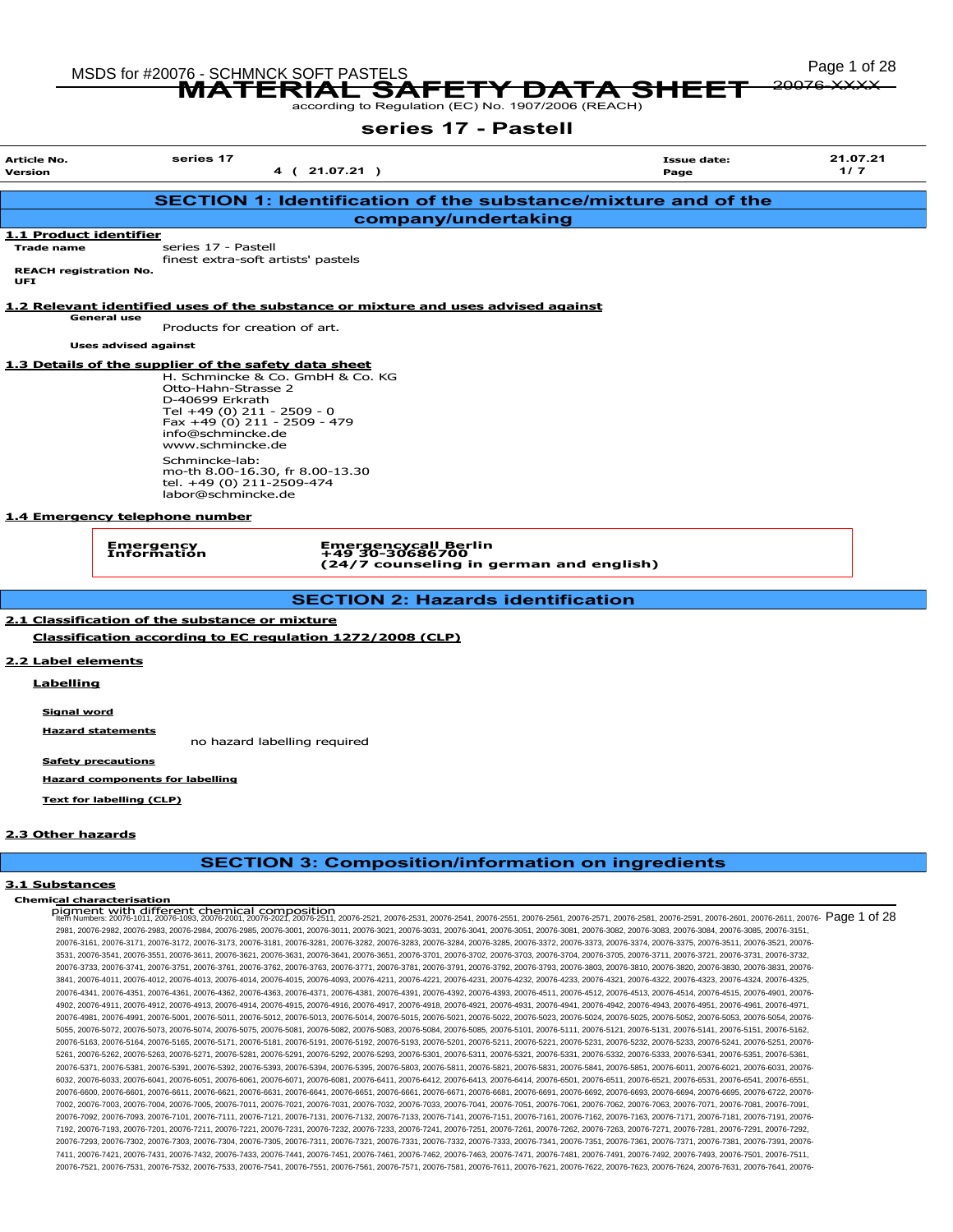20076-XXXX

MSDS for #200<u>76 - SCHMNCK SOFT PASTELS \_</u>\_ \_\_ \_\_ \_ \_ \_ \_ \_ \_ \_ \_ \_ \_ \_ \_ Page 1 of 28 76 - SUHINIUK SUFT PASTELS<br>MATERIAL SAFETY DATA SHEET

# series 17 - Pastell

| <b>Article No.</b>                          | series 17                                            |                                                                                   |                                                               | <b>Issue date:</b> | 21.07.21 |
|---------------------------------------------|------------------------------------------------------|-----------------------------------------------------------------------------------|---------------------------------------------------------------|--------------------|----------|
| <b>Version</b>                              |                                                      | 4 (21.07.21)                                                                      | Page                                                          | 1/7                |          |
|                                             |                                                      |                                                                                   | SECTION 1: Identification of the substance/mixture and of the |                    |          |
|                                             |                                                      |                                                                                   |                                                               |                    |          |
|                                             |                                                      |                                                                                   | company/undertaking                                           |                    |          |
| 1.1 Product identifier<br><b>Trade name</b> | series 17 - Pastell                                  |                                                                                   |                                                               |                    |          |
|                                             |                                                      | finest extra-soft artists' pastels                                                |                                                               |                    |          |
| <b>REACH registration No.</b><br><b>UFI</b> |                                                      |                                                                                   |                                                               |                    |          |
|                                             |                                                      |                                                                                   |                                                               |                    |          |
|                                             |                                                      | 1.2 Relevant identified uses of the substance or mixture and uses advised against |                                                               |                    |          |
|                                             | <b>General use</b><br>Products for creation of art.  |                                                                                   |                                                               |                    |          |
|                                             | <b>Uses advised against</b>                          |                                                                                   |                                                               |                    |          |
|                                             |                                                      |                                                                                   |                                                               |                    |          |
|                                             | 1.3 Details of the supplier of the safety data sheet | H. Schmincke & Co. GmbH & Co. KG                                                  |                                                               |                    |          |
|                                             | Otto-Hahn-Strasse 2                                  |                                                                                   |                                                               |                    |          |
|                                             | D-40699 Erkrath                                      |                                                                                   |                                                               |                    |          |
|                                             | Tel +49 (0) 211 - 2509 - 0                           | Fax +49 (0) 211 - 2509 - 479                                                      |                                                               |                    |          |
|                                             | info@schmincke.de                                    |                                                                                   |                                                               |                    |          |
|                                             | www.schmincke.de                                     |                                                                                   |                                                               |                    |          |
|                                             | Schmincke-lab:                                       | mo-th 8.00-16.30, fr 8.00-13.30                                                   |                                                               |                    |          |
|                                             | tel. +49 (0) 211-2509-474                            |                                                                                   |                                                               |                    |          |
|                                             | labor@schmincke.de                                   |                                                                                   |                                                               |                    |          |
|                                             | 1.4 Emergency telephone number                       |                                                                                   |                                                               |                    |          |
|                                             |                                                      |                                                                                   |                                                               |                    |          |
|                                             | Emergency<br>Information                             | Emergencycall Berlin<br>+49 30-30686700                                           |                                                               |                    |          |
|                                             |                                                      |                                                                                   | (24/7 counseling in german and english)                       |                    |          |
|                                             |                                                      |                                                                                   |                                                               |                    |          |
|                                             |                                                      |                                                                                   | <b>SECTION 2: Hazards identification</b>                      |                    |          |
|                                             | 2.1 Classification of the substance or mixture       |                                                                                   |                                                               |                    |          |
|                                             |                                                      | Classification according to EC regulation 1272/2008 (CLP)                         |                                                               |                    |          |
|                                             |                                                      |                                                                                   |                                                               |                    |          |
| 2.2 Label elements                          |                                                      |                                                                                   |                                                               |                    |          |
| Labelling                                   |                                                      |                                                                                   |                                                               |                    |          |
|                                             |                                                      |                                                                                   |                                                               |                    |          |
| Signal word                                 |                                                      |                                                                                   |                                                               |                    |          |

Hazard statements no hazard labelling required

Safety precautions

Hazard components for labelling

Text for labelling (CLP)

#### 2.3 Other hazards

# SECTION 3: Composition/information on ingredients

#### 3.1 Substances

Chemical characterisation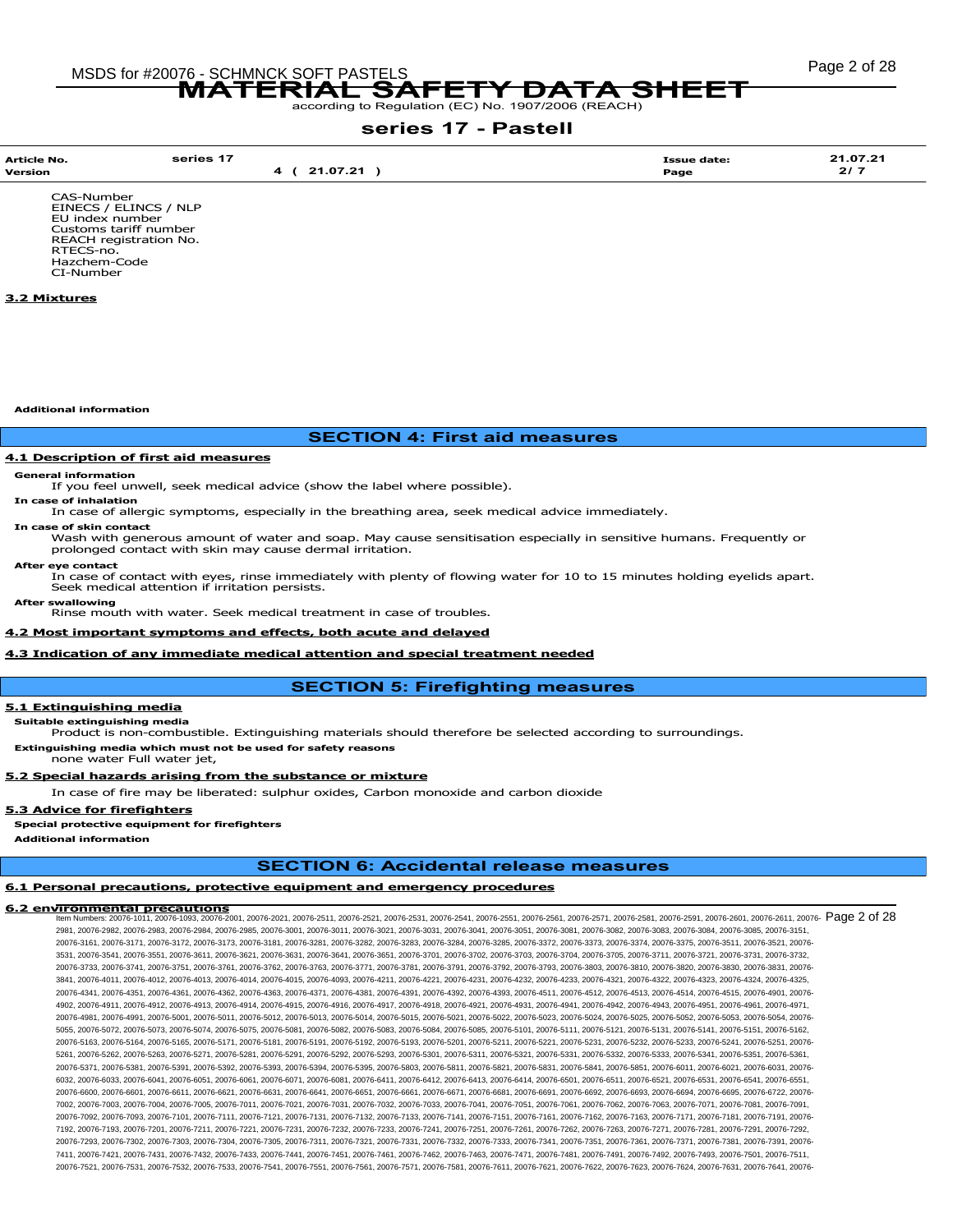# Page 2 of 28 MSDS for #20076 - SCHMNCK SOFT PASTELS MATERIAL SAFETY DATA SHEET

according to Regulation (EC) No. 1907/2006 (REACH)

# series 17 - Pastell

| Article No.            | series 17     | <b>Issue date:</b> | 21.07.21 |
|------------------------|---------------|--------------------|----------|
| Version                | 21.07.21<br>4 | Page               | 2/7      |
| CAS-Number             |               |                    |          |
| EINECS / ELINCS / NLP  |               |                    |          |
| EU index number        |               |                    |          |
| Customs tariff number  |               |                    |          |
| REACH registration No. |               |                    |          |

RTECS-no. Hazchem-Code CI-Number

### 3.2 Mixtures

Additional information

# SECTION 4: First aid measures

#### **4.1 Description of first aid measures**

# General information In case of inhalation

If you feel unwell, seek medical advice (show the label where possible).

In case of allergic symptoms, especially in the breathing area, seek medical advice immediately.

In case of skin contact

Wash with generous amount of water and soap. May cause sensitisation especially in sensitive humans. Frequently or prolonged contact with skin may cause dermal irritation.

After eye contact

In case of contact with eyes, rinse immediately with plenty of flowing water for 10 to 15 minutes holding eyelids apart. Seek medical attention if irritation persists.

After swallowing Rinse mouth with water. Seek medical treatment in case of troubles.

#### 4.2 Most important symptoms and effects, both acute and delayed

# 4.3 Indication of any immediate medical attention and special treatment needed

# SECTION 5: Firefighting measures

#### 5.1 Extinguishing media

Suitable extinguishing media

Product is non-combustible. Extinguishing materials should therefore be selected according to surroundings.

Extinguishing media which must not be used for safety reasons none water Full water jet,

# 5.2 Special hazards arising from the substance or mixture

In case of fire may be liberated: sulphur oxides, Carbon monoxide and carbon dioxide

#### 5.3 Advice for firefighters

Special protective equipment for firefighters

Additional information

# SECTION 6: Accidental release measures

### 6.1 Personal precautions, protective equipment and emergency procedures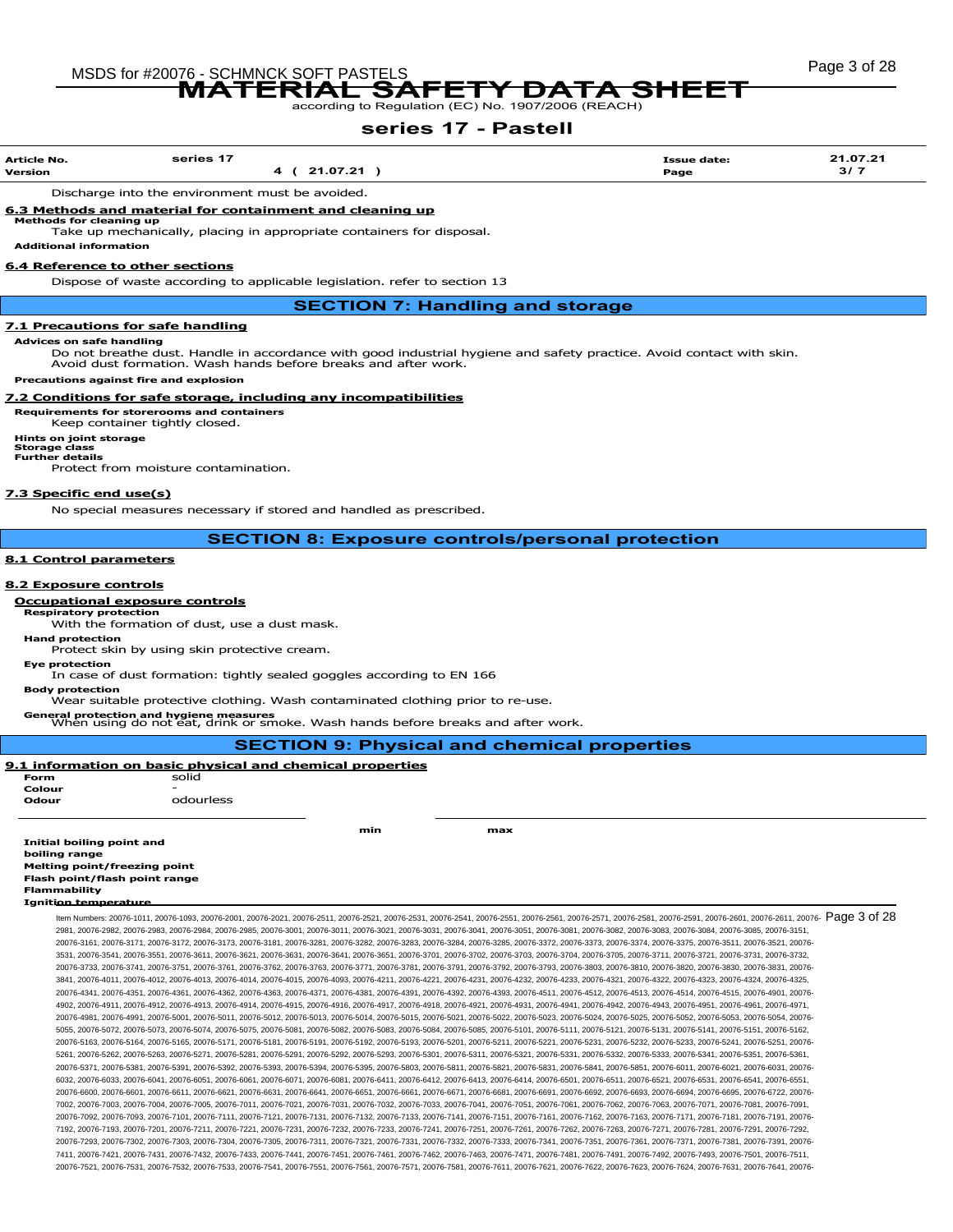# Page 3 of 28 MSDS for #20076 - SCHMNCK SOFT PASTELS MATERIAL SAFETY DATA SHEET

according to Regulation (EC) No. 1907/2006 (REACH)

# series 17 - Pastell

| <b>Article No.</b><br>Version | series 17<br>21.07.21 | <b>Issue date:</b><br>Page | 21.07.21<br>3/7 |
|-------------------------------|-----------------------|----------------------------|-----------------|
|                               |                       |                            |                 |

Discharge into the environment must be avoided.

#### 6.3 Methods and material for containment and cleaning up Methods for cleaning up

Take up mechanically, placing in appropriate containers for disposal.

Additional information

### 6.4 Reference to other sections

Dispose of waste according to applicable legislation. refer to section 13

SECTION 7: Handling and storage

#### 7.1 Precautions for safe handling

Advices on safe handling

Do not breathe dust. Handle in accordance with good industrial hygiene and safety practice. Avoid contact with skin. Avoid dust formation. Wash hands before breaks and after work.

Precautions against fire and explosion

#### 7.2 Conditions for safe storage, including any incompatibilities

#### Requirements for storerooms and containers

Keep container tightly closed.

# Hints on joint storage Storage class Further details

Protect from moisture contamination.

## 7.3 Specific end use(s)

No special measures necessary if stored and handled as prescribed.

SECTION 8: Exposure controls/personal protection

#### 8.1 Control parameters

#### 8.2 Exposure controls

#### Occupational exposure controls

Respiratory protection

With the formation of dust, use a dust mask. Hand protection

Protect skin by using skin protective cream.

Eye protection

In case of dust formation: tightly sealed goggles according to EN 166

Body protection Wear suitable protective clothing. Wash contaminated clothing prior to re-use.

General protection and hygiene measures When using do not eat, drink or smoke. Wash hands before breaks and after work.

|                                     |                                                                  |     | <b>SECTION 9: Physical and chemical properties</b>                                                                                                                                                                              |
|-------------------------------------|------------------------------------------------------------------|-----|---------------------------------------------------------------------------------------------------------------------------------------------------------------------------------------------------------------------------------|
|                                     | <u>9.1 information on basic physical and chemical properties</u> |     |                                                                                                                                                                                                                                 |
| Form                                | solid                                                            |     |                                                                                                                                                                                                                                 |
| Colour                              |                                                                  |     |                                                                                                                                                                                                                                 |
| Odour                               | odourless                                                        |     |                                                                                                                                                                                                                                 |
|                                     |                                                                  | min | max                                                                                                                                                                                                                             |
| Initial boiling point and           |                                                                  |     |                                                                                                                                                                                                                                 |
| boiling range                       |                                                                  |     |                                                                                                                                                                                                                                 |
| <b>Melting point/freezing point</b> |                                                                  |     |                                                                                                                                                                                                                                 |
| Flash point/flash point range       |                                                                  |     |                                                                                                                                                                                                                                 |
| <b>Flammability</b>                 |                                                                  |     |                                                                                                                                                                                                                                 |
| <b>Ignition temperature</b>         |                                                                  |     |                                                                                                                                                                                                                                 |
|                                     |                                                                  |     | Item Numbers: 20076-1011, 20076-1093, 20076-2001, 20076-2021, 20076-2511, 20076-2521, 20076-2531, 20076-2541, 20076-2551, 20076-2581, 20076-2581, 20076-2591, 20076-2591, 20076-2591, 20076-2601, 20076-2611, 20076-2581, 2007  |
|                                     |                                                                  |     | 20076-2083, 20076-2983, 20076-2984, 20076-2985, 20076-3001, 20076-3011, 20076-3021, 20076-3031, 20076-3041, 20076-3051, 20076-3081, 20076-3081, 20076-3082, 20076-3083, 20076-3084, 20076-3085, 20076-3085, 20076-3085, 20076-3 |
|                                     |                                                                  |     | 20076-3161, 20076-3171, 20076-3172, 20076-3173, 20076-3181, 20076-3281, 20076-3282, 20076-3283, 20076-3284, 20076-3285, 20076-3372, 20076-3373, 20076-3374, 20076-3375, 20076-3375, 20076-3511, 20076-3521, 20076-3522, 20076-3 |
|                                     |                                                                  |     | 3531, 20076-3541, 20076-3551, 20076-3611, 20076-3621, 20076-3631, 20076-3641, 20076-3651, 20076-3701, 20076-3702, 20076-3703, 20076-3704, 20076-3705, 20076-3701, 20076-3711, 20076-3721, 20076-3731, 20076-3732,               |
|                                     |                                                                  |     | 20076-3733, 20076-3741, 20076-3751, 20076-3761, 20076-3762, 20076-3763, 20076-3771, 20076-3781, 20076-3791, 20076-3792, 20076-3793, 20076-3803, 20076-3810, 20076-3820, 20076-3820, 20076-3830, 20076-3830, 20076-3830, 20076-3 |
|                                     |                                                                  |     | 3841, 20076-4012, 20076-4012, 20076-4013, 20076-4014, 20076-4015, 20076-4093, 20076-4211, 20076-4221, 20076-4231, 20076-4232, 20076-4232, 20076-4323, 20076-4322, 20076-4322, 20076-4323, 20076-4323, 20076-4324, 20076-4323, 2 |
|                                     |                                                                  |     | 20076-4361, 20076-4361, 20076-4362, 20076-4363, 20076-4363, 20076-4371, 20076-4381, 20076-4391, 20076-4392, 20076-4393, 20076-4511, 20076-4512, 20076-4513, 20076-4514, 20076-4515, 20076-4515, 20076-4911, 20076-4518, 20076-4 |
|                                     |                                                                  |     | 4902, 20076-4941, 20076-4912, 20076-4913, 20076-4914, 20076-4915, 20076-4916, 20076-4917, 20076-4918, 20076-4921, 20076-4931, 20076-4941, 20076-4942, 20076-4943, 20076-4951, 20076-4961, 20076-4971,                           |
|                                     |                                                                  |     | 20076-4991, 20076-5001, 20076-5011, 20076-5012, 20076-5012, 20076-5013, 20076-5013, 20076-5014, 20076-5021, 20076-5022, 20076-5023, 20076-5023, 20076-5024, 20076-5025, 20076-5025, 20076-5025, 20076-5025, 20076-5025, 20076-5 |
|                                     |                                                                  |     | 5056.20076-5072.20076-5073.20076-5074.20076-5075.20076-5081.20076-5082.20076-5083.20076-5084.20076-5085.20076-5101.20076-5111.20076-5121.20076-5131.20076-5131.20076-5141.20076-5151.20076-5151.20076-5162.                     |
|                                     |                                                                  |     | 20076-5164, 20076-5164, 20076-5165, 20076-5171, 20076-5181, 20076-5191, 20076-5192, 20076-5193, 20076-5201, 20076-5211, 20076-5221, 20076-5232, 20076-5233, 20076-5234, 20076-5241, 20076-5234, 20076-5241, 20076-52351, 20076- |
|                                     |                                                                  |     | 5261, 20076-5282, 20076-5263, 20076-5271, 20076-5281, 20076-5291, 20076-5292, 20076-5293, 20076-5301, 20076-5301, 20076-5321, 20076-5331, 20076-5332, 20076-5333, 20076-5341, 20076-5351, 20076-5351, 20076-5361,               |
|                                     |                                                                  |     | 20076-5381, 20076-5391, 20076-5392, 20076-5393, 20076-5394, 20076-5394, 20076-5805, 20076-5803, 20076-5811, 20076-5821, 20076-5831, 20076-5841, 20076-5851, 20076-6011, 20076-6021, 20076-6031, 20076-6031, 20076-              |
|                                     |                                                                  |     | 6032, 20076-6033, 20076-6041, 20076-6051, 20076-6061, 20076-6071, 20076-6081, 20076-6411, 20076-6412, 20076-6413, 20076-6414, 20076-6501, 20076-6511, 20076-6521, 20076-6531, 20076-6541, 20076-6541, 20076-6541, 20076-6521, 2 |
|                                     |                                                                  |     | 20076-6600, 20076-6601, 20076-6611, 20076-6621, 20076-6631, 20076-6641, 20076-6651, 20076-6661, 20076-6671, 20076-6681, 20076-6691, 20076-6692, 20076-6692, 20076-6693, 20076-6694, 20076-6695, 20076-6722, 20076-              |

7002, 20076-7003, 20076-7004, 20076-7005, 20076-7011, 20076-7021, 20076-7031, 20076-7032, 20076-7033, 20076-7041, 20076-7051, 20076-7061, 20076-7062, 20076-7063, 20076-7071, 20076-7081, 20076-7091, 20076-7092, 20076-7093, 20076-7101, 20076-7111, 20076-7121, 20076-7131, 20076-7132, 20076-7133, 20076-7141, 20076-7151, 20076-7161, 20076-7162, 20076-7163, 20076-7171, 20076-7181, 20076-7191, 20076- 7192, 20076-7193, 20076-7201, 20076-7211, 20076-7221, 20076-7231, 20076-7232, 20076-7233, 20076-7241, 20076-7251, 20076-7261, 20076-7262, 20076-7263, 20076-7271, 20076-7281, 20076-7291, 20076-7292, 20076-7293, 20076-7302, 20076-7303, 20076-7304, 20076-7305, 20076-7311, 20076-7321, 20076-7331, 20076-7332, 20076-7333, 20076-7341, 20076-7351, 20076-7361, 20076-7371, 20076-7381, 20076-7391, 20076- 7411, 20076-7421, 20076-7431, 20076-7432, 20076-7433, 20076-7441, 20076-7451, 20076-7461, 20076-7462, 20076-7463, 20076-7471, 20076-7481, 20076-7491, 20076-7492, 20076-7493, 20076-7501, 20076-7511, 20076-7521, 20076-7531, 20076-7532, 20076-7533, 20076-7541, 20076-7551, 20076-7561, 20076-7571, 20076-7581, 20076-7611, 20076-7621, 20076-7622, 20076-7623, 20076-7624, 20076-7631, 20076-7641, 20076-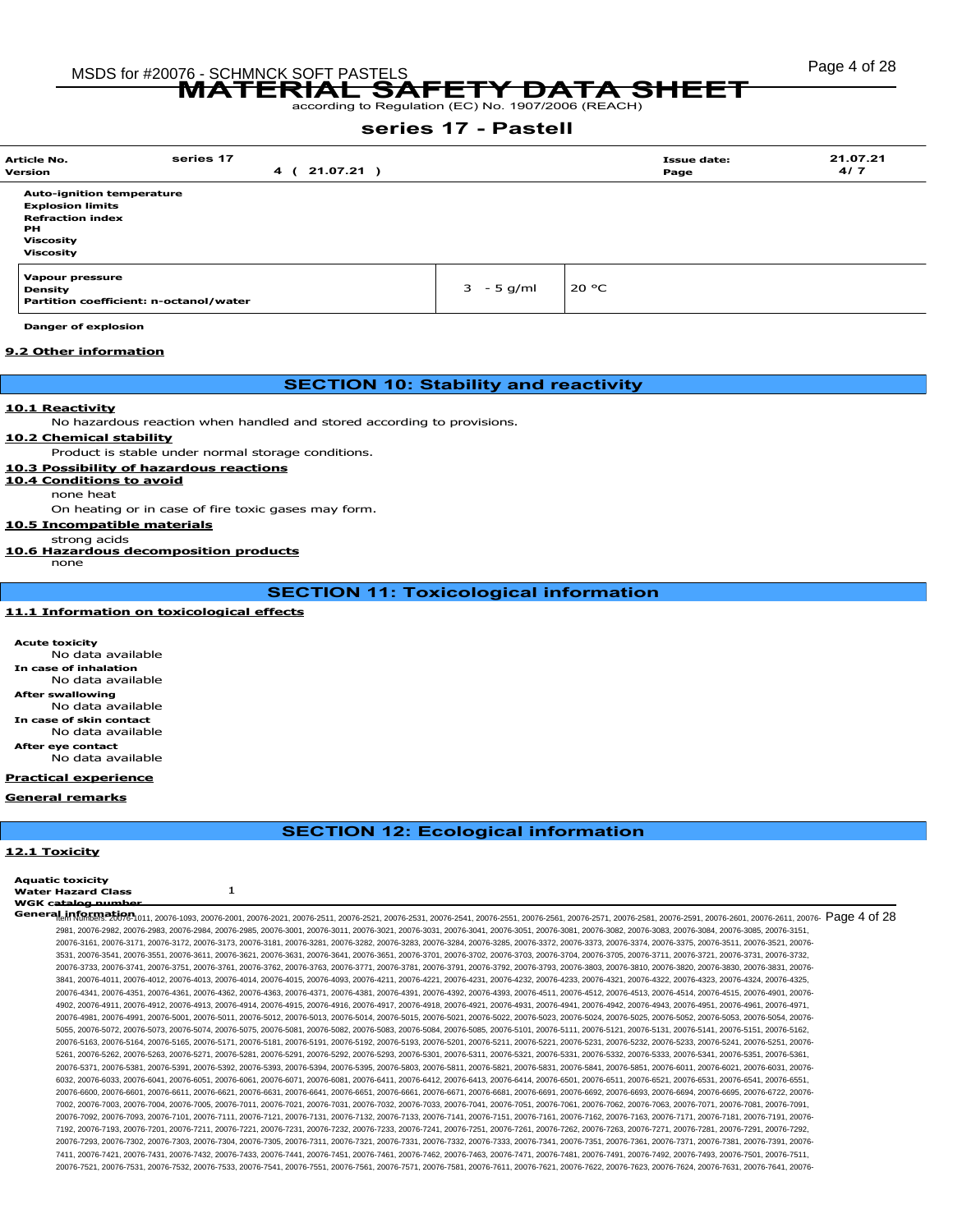# Page 4 of 28 MSDS for #20076 - SCHMNCK SOFT PASTELS MATERIAL SAFETY DATA SHEET

according to Regulation (EC) No. 1907/2006 (REACH)

# series 17 - Pastell

| <b>Article No.</b><br>Version                                                                                                 | series 17 | $21.07.21$ )<br>$\overline{\mathbf{4}}$ |              |       | <b>Issue date:</b><br>Page | 21.07.21<br>4/7 |
|-------------------------------------------------------------------------------------------------------------------------------|-----------|-----------------------------------------|--------------|-------|----------------------------|-----------------|
| <b>Auto-ignition temperature</b><br><b>Explosion limits</b><br><b>Refraction index</b><br><b>PH</b><br>Viscosity<br>Viscosity |           |                                         |              |       |                            |                 |
| Vapour pressure<br><b>Density</b><br>Partition coefficient: n-octanol/water                                                   |           |                                         | $3 - 5$ g/ml | 20 °C |                            |                 |

Danger of explosion

#### 9.2 Other information

# SECTION 10: Stability and reactivity

#### 10.1 Reactivity

No hazardous reaction when handled and stored according to provisions.

#### 10.2 Chemical stability

Product is stable under normal storage conditions.

#### 10.3 Possibility of hazardous reactions

#### 10.4 Conditions to avoid

none heat

#### On heating or in case of fire toxic gases may form.

### 10.5 Incompatible materials

#### strong acids

10.6 Hazardous decomposition products

none

SECTION 11: Toxicological information

#### 11.1 Information on toxicological effects

Acute toxicity No data available case of inhalation No data available After swallowing No data available In case of skin contact No data available After eye contact No data available

#### Practical experience

#### General remarks

SECTION 12: Ecological information

#### 12.1 Toxicity

Aquatic toxicity Water Hazard Class 1

WGK catalog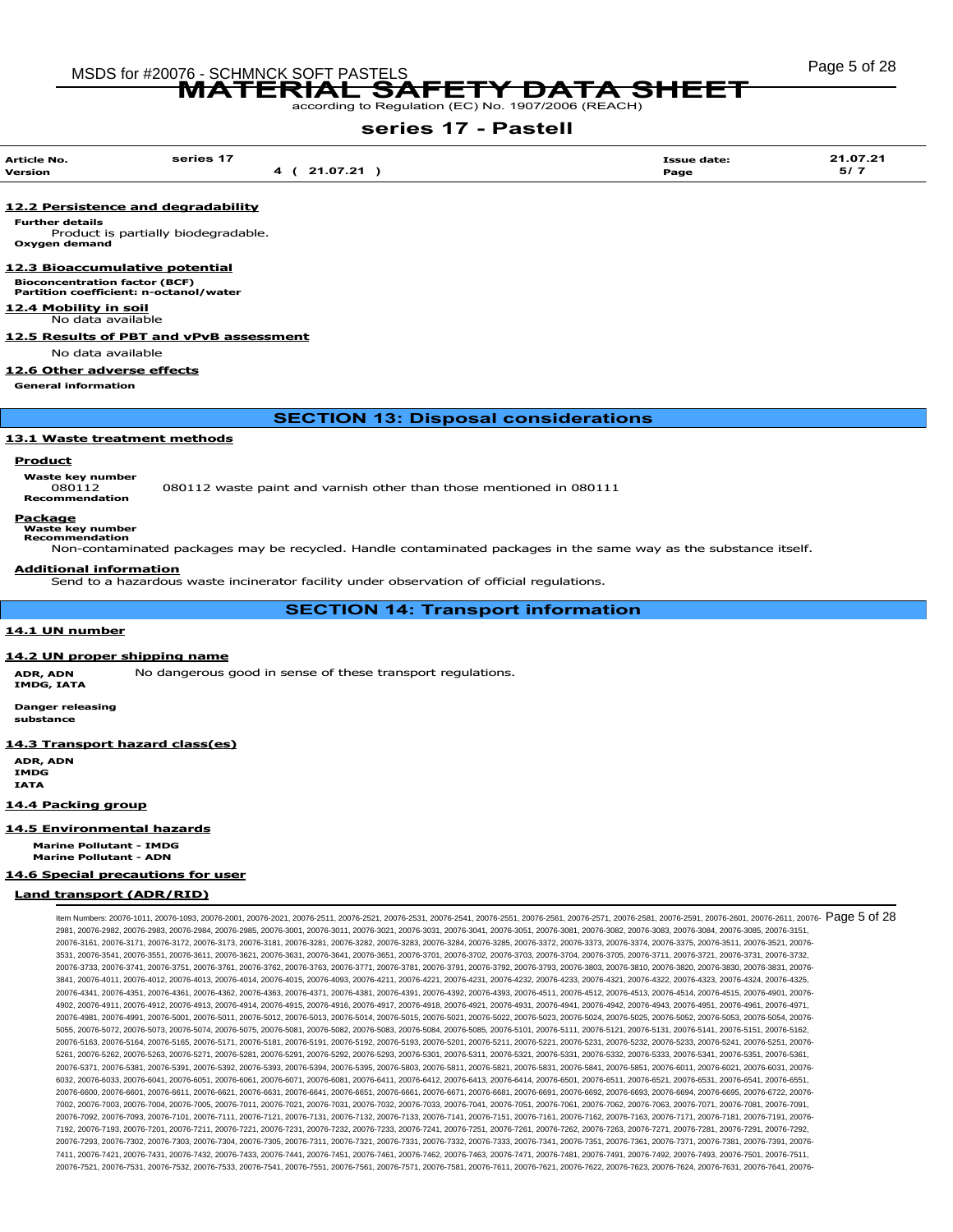# MSDS for #20076 - SCHMNCK SOFT PASTELS And the state of the state of 28 MSDS for #20076 - SCHMNCK SOFT PASTELS MATERIAL SAFETY DATA SHEET

according to Regulation (EC) No. 1907/2006 (REACH)

# series 17 - Pastell

| <b>Article No.</b><br>Version | series 17<br>21.07.21 | Page | 21.07.21<br><b>Issue date:</b><br>5/7 |  |
|-------------------------------|-----------------------|------|---------------------------------------|--|
|                               |                       |      |                                       |  |

#### 12.2 Persistence and degradability

Further details

Product is partially biodegradable. Oxygen demand

### 12.3 Bioaccumulative potential

Bioconcentration factor (BCF) Partition coefficient: n-octanol/water

12.4 Mobility in soil

No data available

# 12.5 Results of PBT and vPvB assessment

No data available

# 12.6 Other adverse effects

General information

# SECTION 13: Disposal considerations

#### 13.1 Waste treatment methods

#### Product

**Waste key number** 

080112 080112 waste paint and varnish other than those mentioned in 080111

Recommendation

#### Package Waste key number

Recommendation

Non-contaminated packages may be recycled. Handle contaminated packages in the same way as the substance itself.

#### Additional information

Send to a hazardous waste incinerator facility under observation of official regulations.

SECTION 14: Transport information

# 14.1 UN number

#### 14.2 UN proper shipping name

ADR, ADN No dangerous good in sense of these transport regulations. IMDG, IATA

Danger releasing

substance

#### 14.3 Transport hazard class(es)

ADR, ADN IMDG IATA

# 14.4 Packing group

14.5 Environmental hazards

Marine Pollutant - IMDG Marine Pollutant - ADN

# 14.6 Special precautions for user

# Land transport (ADR/RID)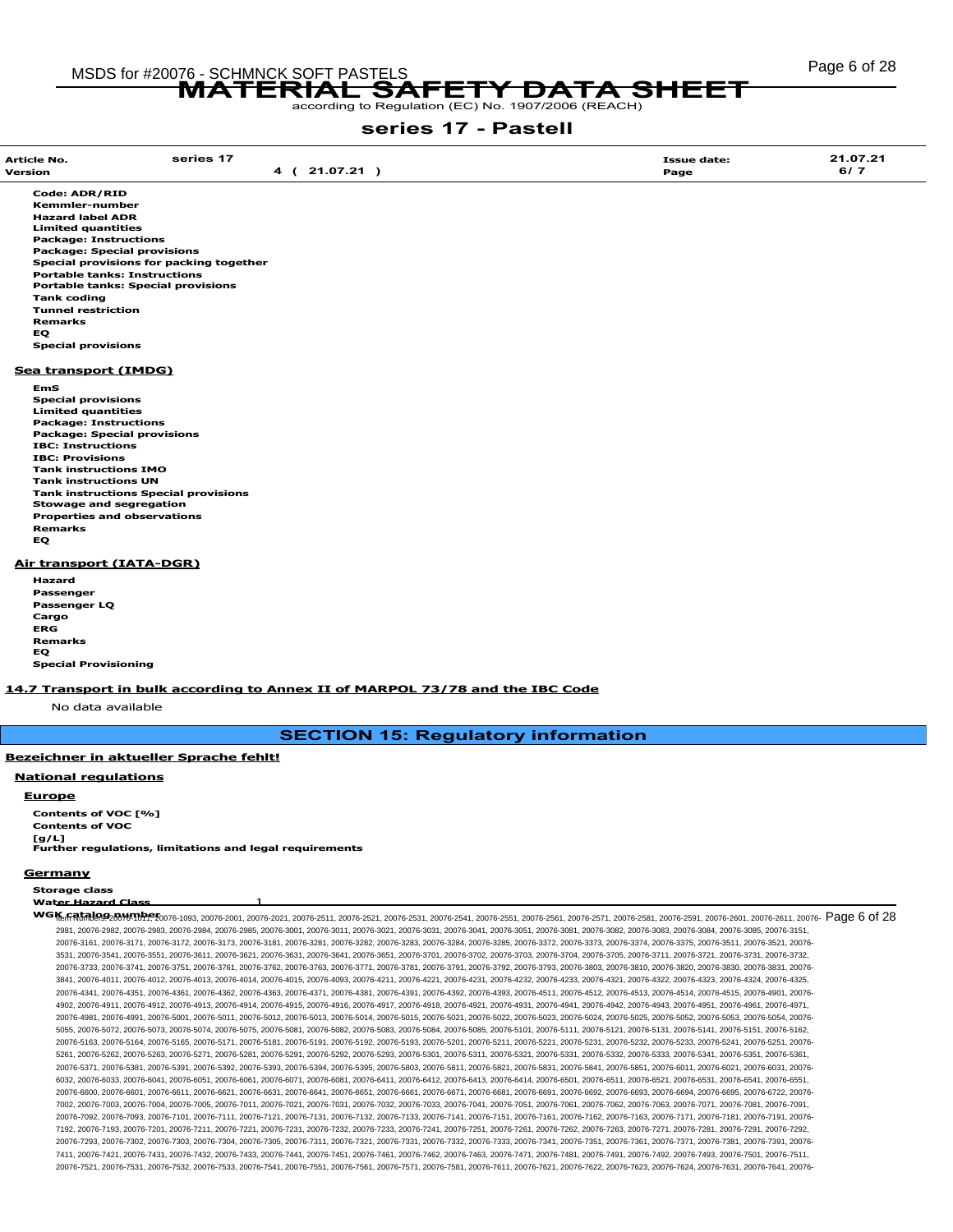# Page 6 of 28 MSDS for #20076 - SCHMNCK SOFT PASTELS

76 - SUHINIUK SUFT PASTELS<br>MATERIAL SAFETY DATA SHEET

# series 17 - Pastell

| <b>Article No.</b>                  | series 17                                                                     | <b>Issue date:</b> | 21.07.21 |
|-------------------------------------|-------------------------------------------------------------------------------|--------------------|----------|
| <b>Version</b>                      | 4 (21.07.21)                                                                  | Page               | 6/7      |
|                                     |                                                                               |                    |          |
| <b>Code: ADR/RID</b>                |                                                                               |                    |          |
| <b>Kemmler-number</b>               |                                                                               |                    |          |
| <b>Hazard label ADR</b>             |                                                                               |                    |          |
| <b>Limited quantities</b>           |                                                                               |                    |          |
| <b>Package: Instructions</b>        |                                                                               |                    |          |
| <b>Package: Special provisions</b>  |                                                                               |                    |          |
|                                     | Special provisions for packing together                                       |                    |          |
| <b>Portable tanks: Instructions</b> | <b>Portable tanks: Special provisions</b>                                     |                    |          |
|                                     |                                                                               |                    |          |
| <b>Tank coding</b>                  |                                                                               |                    |          |
| <b>Tunnel restriction</b>           |                                                                               |                    |          |
| <b>Remarks</b>                      |                                                                               |                    |          |
| EQ.                                 |                                                                               |                    |          |
| <b>Special provisions</b>           |                                                                               |                    |          |
| Sea transport (IMDG)                |                                                                               |                    |          |
| EmS                                 |                                                                               |                    |          |
| <b>Special provisions</b>           |                                                                               |                    |          |
| <b>Limited quantities</b>           |                                                                               |                    |          |
| <b>Package: Instructions</b>        |                                                                               |                    |          |
| <b>Package: Special provisions</b>  |                                                                               |                    |          |
| <b>IBC: Instructions</b>            |                                                                               |                    |          |
| <b>IBC: Provisions</b>              |                                                                               |                    |          |
| <b>Tank instructions IMO</b>        |                                                                               |                    |          |
| <b>Tank instructions UN</b>         |                                                                               |                    |          |
|                                     | <b>Tank instructions Special provisions</b>                                   |                    |          |
| <b>Stowage and segregation</b>      |                                                                               |                    |          |
| <b>Properties and observations</b>  |                                                                               |                    |          |
| <b>Remarks</b>                      |                                                                               |                    |          |
| <b>EQ</b>                           |                                                                               |                    |          |
| Air transport (IATA-DGR)            |                                                                               |                    |          |
| <b>Hazard</b>                       |                                                                               |                    |          |
| Passenger                           |                                                                               |                    |          |
| Passenger LQ                        |                                                                               |                    |          |
| Cargo                               |                                                                               |                    |          |
| <b>ERG</b>                          |                                                                               |                    |          |
| <b>Remarks</b>                      |                                                                               |                    |          |
| EQ.                                 |                                                                               |                    |          |
| <b>Special Provisioning</b>         |                                                                               |                    |          |
|                                     |                                                                               |                    |          |
|                                     | 14.7 Transport in bulk according to Annex II of MARPOL 73/78 and the IBC Code |                    |          |
| No data available                   |                                                                               |                    |          |
|                                     |                                                                               |                    |          |

# SECTION 15: Regulatory information

#### Bezeichner in aktueller Sprache fehlt!

#### National regulations

**Europe** 

Contents of VOC [%] Contents of VOC  $[g/L]$ Further regulations, limitations and legal requirements

#### **Germany**

Storage class

Water Hazard Class 1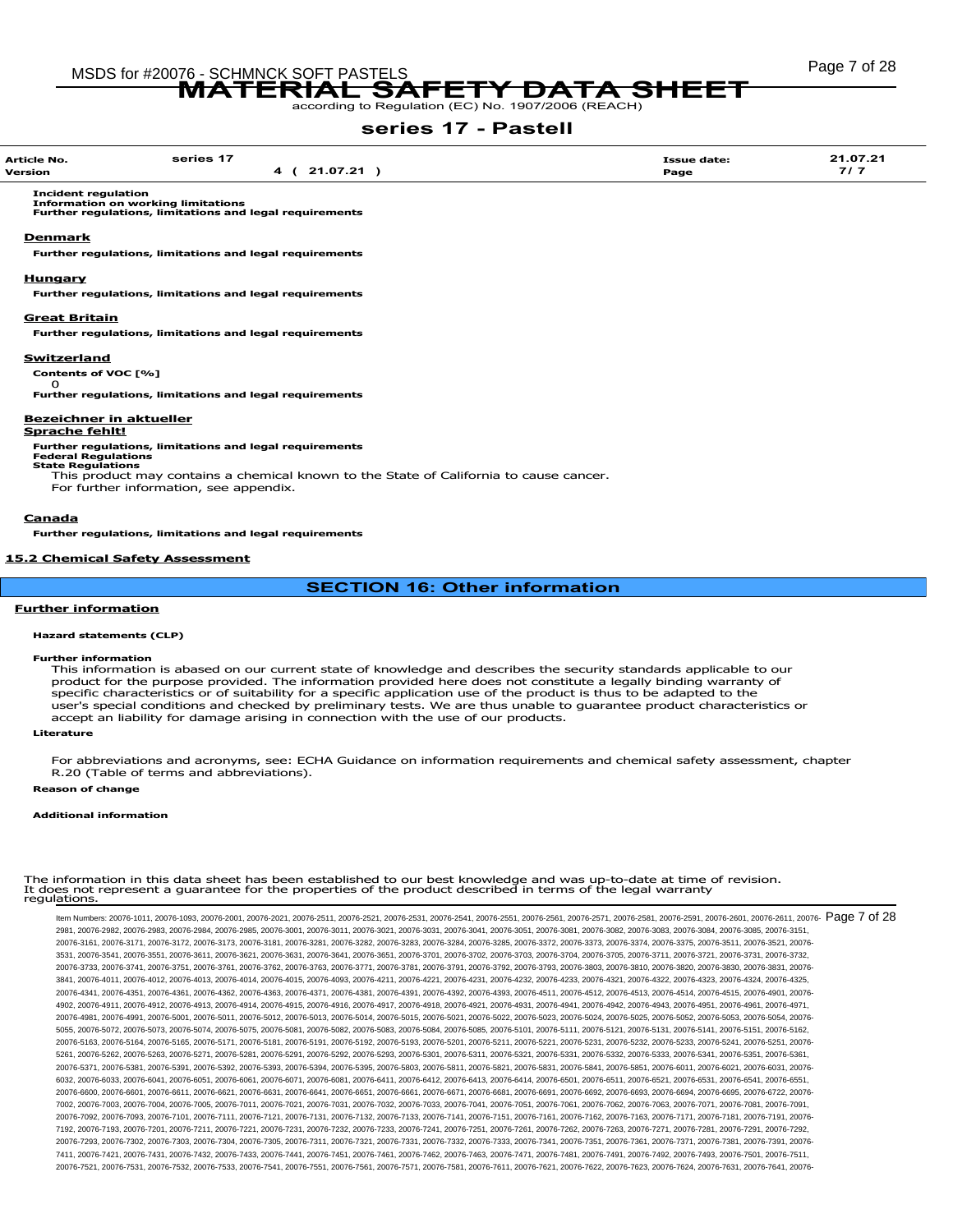# Page 7 of 28 MSDS for #20076 - SCHMNCK SOFT PASTELS 76 - SUHINIUK SUFT PASTELS<br>MATERIAL SAFETY DATA SHEET

# series 17 - Pastell

| <b>Article No.</b>    | series 17                                                                                                                                 | <b>Issue date:</b> | 21.07.21 |
|-----------------------|-------------------------------------------------------------------------------------------------------------------------------------------|--------------------|----------|
| Version               | 4 ( 21.07.21 )                                                                                                                            | Page               | 7/7      |
|                       | <b>Incident regulation</b><br><b>Information on working limitations</b><br><b>Further regulations, limitations and legal requirements</b> |                    |          |
| <b>Denmark</b>        |                                                                                                                                           |                    |          |
|                       |                                                                                                                                           |                    |          |
|                       | <b>Further regulations, limitations and legal requirements</b>                                                                            |                    |          |
| <b>Hungary</b>        |                                                                                                                                           |                    |          |
|                       |                                                                                                                                           |                    |          |
|                       | <b>Further regulations, limitations and legal requirements</b>                                                                            |                    |          |
|                       |                                                                                                                                           |                    |          |
| <b>Great Britain</b>  |                                                                                                                                           |                    |          |
|                       | <b>Further regulations, limitations and legal requirements</b>                                                                            |                    |          |
|                       |                                                                                                                                           |                    |          |
| Switzerland           |                                                                                                                                           |                    |          |
|                       | Contents of VOC [%]                                                                                                                       |                    |          |
| Ω                     |                                                                                                                                           |                    |          |
|                       | <b>Further regulations, limitations and legal requirements</b>                                                                            |                    |          |
|                       |                                                                                                                                           |                    |          |
|                       | <b>Bezeichner in aktueller</b>                                                                                                            |                    |          |
| <b>Sprache fehlt!</b> |                                                                                                                                           |                    |          |
|                       | <b>Further regulations, limitations and legal requirements</b>                                                                            |                    |          |
|                       | <b>Federal Regulations</b>                                                                                                                |                    |          |
|                       | <b>State Regulations</b><br>This product may contains a chemical known to the State of California to cause cancer.                        |                    |          |
|                       |                                                                                                                                           |                    |          |
|                       | For further information, see appendix.                                                                                                    |                    |          |
|                       |                                                                                                                                           |                    |          |

#### Canada

Further regulations, limitations and legal requirements

# 15.2 Chemical Safety Assessment

SECTION 16: Other information

#### Further information

#### Hazard statements (CLP)

#### Further information

This information is abased on our current state of knowledge and describes the security standards applicable to our product for the purpose provided. The information provided here does not constitute a legally binding warranty of specific characteristics or of suitability for a specific application use of the product is thus to be adapted to the user's special conditions and checked by preliminary tests. We are thus unable to guarantee product characteristics or accept an liability for damage arising in connection with the use of our products.

#### Literature

For abbreviations and acronyms, see: ECHA Guidance on information requirements and chemical safety assessment, chapter R.20 (Table of terms and abbreviations).

### Reason of change

#### Additional information

|              | The information in this data sheet has been established to our best knowledge and was up-to-date at time of revision. |  |
|--------------|-----------------------------------------------------------------------------------------------------------------------|--|
|              | It does not represent a guarantee for the properties of the product described in terms of the legal warranty          |  |
| regulations. |                                                                                                                       |  |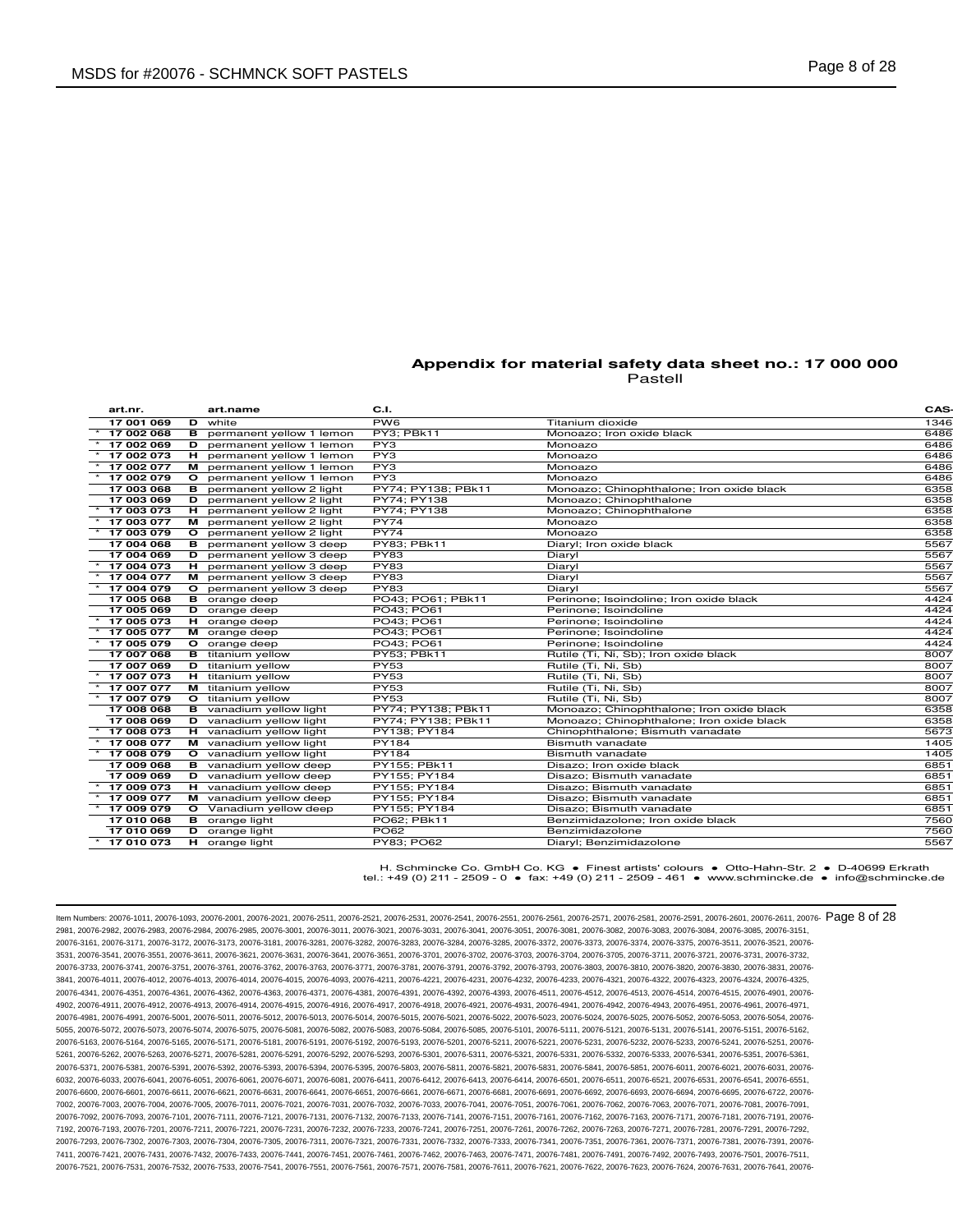| art.nr.    |         | art.name                       | C.I.               |                                           | <b>CAS</b> |
|------------|---------|--------------------------------|--------------------|-------------------------------------------|------------|
| 17 001 069 | D       | white                          | PW <sub>6</sub>    | Titanium dioxide                          | 1346       |
| 17 002 068 | в       | permanent yellow 1 lemon       | PY3; PBk11         | Monoazo; Iron oxide black                 | 6486       |
| 17 002 069 | D       | permanent yellow 1 lemon       | PY3                | Monoazo                                   | 6486       |
| 17 002 073 | н.      | permanent yellow 1 lemon       | PY3                | Monoazo                                   | 6486       |
| 17 002 077 | м       | permanent yellow 1 lemon       | PY3                | Monoazo                                   | 6486       |
| 17 002 079 | $\circ$ | permanent yellow 1 lemon       | PY3                | Monoazo                                   | 6486       |
| 17 003 068 | в       | permanent yellow 2 light       | PY74: PY138: PBk11 | Monoazo; Chinophthalone; Iron oxide black | 6358       |
| 17 003 069 | D       | permanent yellow 2 light       | PY74: PY138        | Monoazo; Chinophthalone                   | 6358       |
| 17 003 073 | н       | permanent yellow 2 light       | PY74: PY138        | Monoazo; Chinophthalone                   | 6358       |
| 17 003 077 |         | M permanent yellow 2 light     | PY74               | Monoazo                                   | 6358       |
| 17 003 079 | $\circ$ | permanent yellow 2 light       | <b>PY74</b>        | Monoazo                                   | 6358       |
| 17 004 068 | в       | permanent yellow 3 deep        | PY83; PBk11        | Diaryl; Iron oxide black                  | 5567       |
| 17 004 069 | D       | permanent yellow 3 deep        | <b>PY83</b>        | Diaryl                                    | 5567       |
| 17 004 073 | н.      | permanent yellow 3 deep        | PY83               | Diaryl                                    | 5567       |
| 17 004 077 |         | M permanent yellow 3 deep      | PY83               | Diaryl                                    | 5567       |
| 17 004 079 | $\circ$ | permanent yellow 3 deep        | PY83               | Diaryl                                    | 5567       |
| 17 005 068 | в       | orange deep                    | PO43; PO61; PBk11  | Perinone; Isoindoline; Iron oxide black   | 4424       |
| 17 005 069 |         | D orange deep                  | PO43; PO61         | Perinone; Isoindoline                     | 4424       |
| 17 005 073 |         | H orange deep                  | PO43: PO61         | Perinone: Isoindoline                     | 4424       |
| 17 005 077 |         | M orange deep                  | PO43; PO61         | Perinone; Isoindoline                     | 4424       |
| 17 005 079 |         | O orange deep                  | PO43; PO61         | Perinone; Isoindoline                     | 4424       |
| 17 007 068 |         | <b>B</b> titanium yellow       | PY53; PBk11        | Rutile (Ti, Ni, Sb); Iron oxide black     | 8007       |
| 17 007 069 |         | <b>D</b> titanium yellow       | <b>PY53</b>        | Rutile (Ti, Ni, Sb)                       | 8007       |
| 17 007 073 |         | H titanium yellow              | PY53               | Rutile (Ti, Ni, Sb)                       | 8007       |
| 17 007 077 |         | M titanium yellow              | PY53               | Rutile (Ti, Ni, Sb)                       | 8007       |
| 17 007 079 |         | O titanium yellow              | <b>PY53</b>        | Rutile (Ti, Ni, Sb)                       | 8007       |
| 17 008 068 |         | <b>B</b> vanadium yellow light | PY74; PY138; PBk11 | Monoazo; Chinophthalone; Iron oxide black | 6358       |
| 17 008 069 | D       | vanadium yellow light          | PY74; PY138; PBk11 | Monoazo; Chinophthalone; Iron oxide black | 6358       |
| 17 008 073 | н.      | vanadium yellow light          | PY138; PY184       | Chinophthalone; Bismuth vanadate          | 5673       |
| 17 008 077 |         | M vanadium yellow light        | <b>PY184</b>       | Bismuth vanadate                          | 1405       |
| 17 008 079 |         | O vanadium yellow light        | <b>PY184</b>       | Bismuth vanadate                          | 1405       |
| 17 009 068 |         | <b>B</b> vanadium yellow deep  | PY155; PBk11       | Disazo: Iron oxide black                  | 6851       |
| 17 009 069 |         | D vanadium yellow deep         | PY155; PY184       | Disazo; Bismuth vanadate                  | 6851       |
| 17 009 073 |         | H vanadium yellow deep         | PY155; PY184       | Disazo; Bismuth vanadate                  | 6851       |
| 17 009 077 |         | M vanadium yellow deep         | PY155; PY184       | Disazo; Bismuth vanadate                  | 6851       |
| 17 009 079 |         | O Vanadium yellow deep         | PY155; PY184       | Disazo; Bismuth vanadate                  | 6851       |
| 17 010 068 |         | <b>B</b> orange light          | PO62; PBk11        | Benzimidazolone; Iron oxide black         | 7560       |
| 17 010 069 |         | D orange light                 | <b>PO62</b>        | Benzimidazolone                           | 7560       |
| 17 010 073 |         | H orange light                 | <b>PY83: PO62</b>  | Diaryl; Benzimidazolone                   | 5567       |
|            |         |                                |                    |                                           |            |

H. Schmincke Co. GmbH Co. KG ● Finest artists' colours ● Otto-Hahn-Str. 2 ● D-40699 Erkrath tel.: +49 (0) 211 - 2509 - 0 ● fax: +49 (0) 211 - 2509 - 461 ● www.schmincke.de ● info@schmincke.de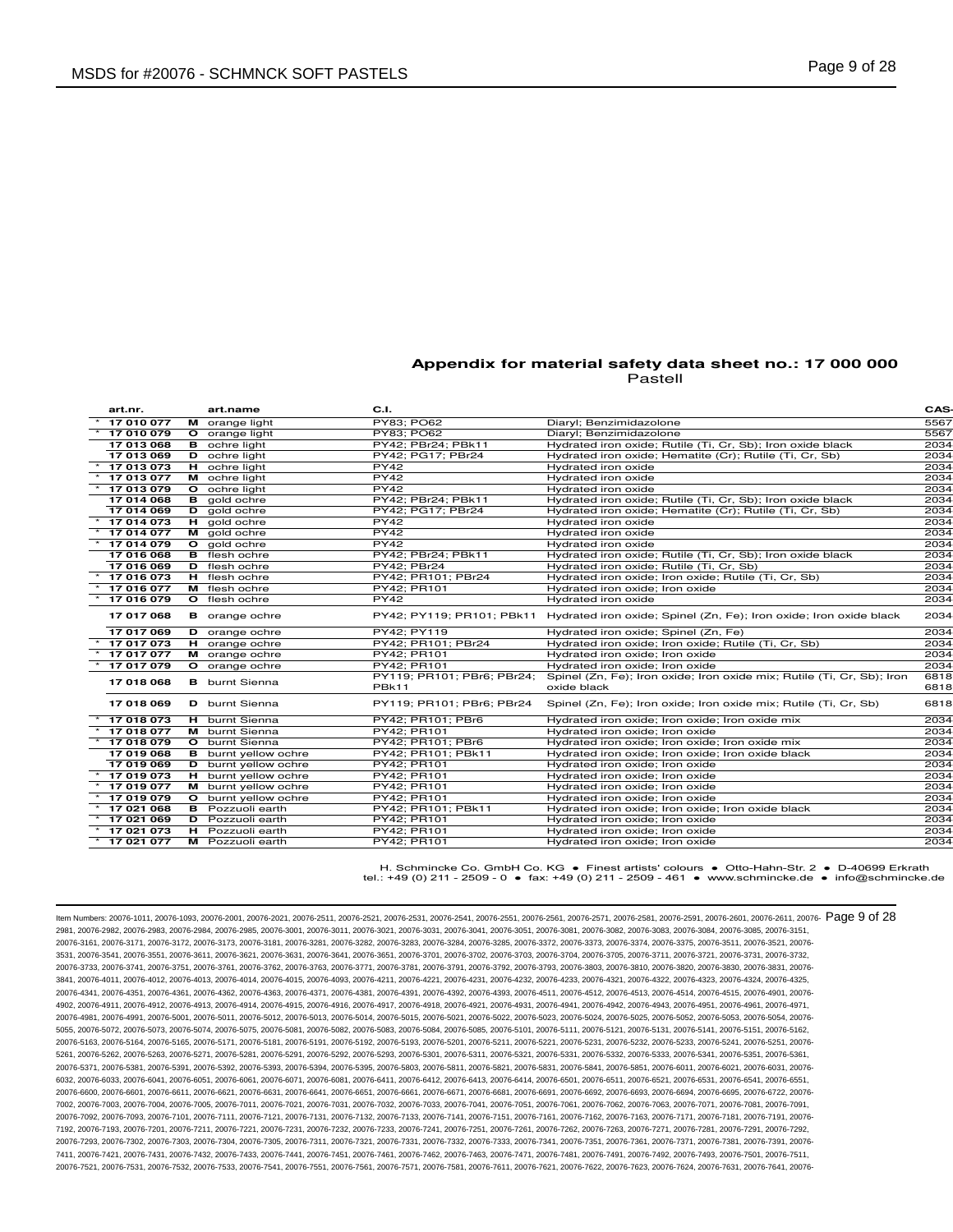| art.nr.    |         | art.name                    | C.I.                                |                                                                                              | CAS-         |
|------------|---------|-----------------------------|-------------------------------------|----------------------------------------------------------------------------------------------|--------------|
| 17 010 077 |         | M orange light              | PY83: PO62                          | Diaryl; Benzimidazolone                                                                      | 5567         |
| 17 010 079 |         | O orange light              | PY83; PO62                          | Diaryl; Benzimidazolone                                                                      | 5567         |
| 17 013 068 |         | <b>B</b> ochre light        | PY42; PBr24; PBk11                  | Hydrated iron oxide; Rutile (Ti, Cr, Sb); Iron oxide black                                   | 2034         |
| 17 013 069 |         | <b>D</b> ochre light        | PY42; PG17; PBr24                   | Hydrated iron oxide; Hematite (Cr); Rutile (Ti, Cr, Sb)                                      | 2034         |
| 17 013 073 |         | H ochre light               | PY42                                | Hydrated iron oxide                                                                          | 2034         |
| 17 013 077 |         | M ochre light               | <b>PY42</b>                         | Hydrated iron oxide                                                                          | 2034         |
| 17 013 079 |         | O ochre light               | PY42                                | Hydrated iron oxide                                                                          | 2034         |
| 17 014 068 |         | $\overline{B}$ gold ochre   | PY42; PBr24; PBk11                  | Hydrated iron oxide; Rutile (Ti, Cr, Sb); Iron oxide black                                   | 2034         |
| 17 014 069 |         | D gold ochre                | PY42: PG17: PBr24                   | Hydrated iron oxide; Hematite (Cr); Rutile (Ti, Cr, Sb)                                      | 2034         |
| 17 014 073 |         | $H$ gold ochre              | <b>PY42</b>                         | Hydrated iron oxide                                                                          | 2034         |
| 17 014 077 |         | M gold ochre                | <b>PY42</b>                         | Hydrated iron oxide                                                                          | 2034         |
| 17 014 079 |         | O gold ochre                | <b>PY42</b>                         | Hydrated iron oxide                                                                          | 2034         |
| 17 016 068 |         | <b>B</b> flesh ochre        | PY42; PBr24; PBk11                  | Hydrated iron oxide; Rutile (Ti, Cr, Sb); Iron oxide black                                   | 2034         |
| 17 016 069 |         | D flesh ochre               | PY42; PBr24                         | Hydrated iron oxide; Rutile (Ti, Cr, Sb)                                                     | 2034         |
| 17 016 073 |         | H flesh ochre               | PY42; PR101; PBr24                  | Hydrated iron oxide; Iron oxide; Rutile (Ti, Cr, Sb)                                         | 2034         |
| 17 016 077 |         | M flesh ochre               | PY42: PR101                         | Hydrated iron oxide; Iron oxide                                                              | 2034         |
| 17 016 079 |         | O flesh ochre               | PY42                                | Hydrated iron oxide                                                                          | 2034         |
| 17 017 068 |         | <b>B</b> orange ochre       |                                     | PY42; PY119; PR101; PBk11 Hydrated iron oxide; Spinel (Zn, Fe); Iron oxide; Iron oxide black | 2034         |
| 17 017 069 |         | D orange ochre              | PY42; PY119                         | Hydrated iron oxide; Spinel (Zn, Fe)                                                         | 2034         |
| 17 017 073 |         | H orange ochre              | PY42; PR101; PBr24                  | Hydrated iron oxide; Iron oxide; Rutile (Ti, Cr, Sb)                                         | 2034         |
| 17 017 077 |         | M orange ochre              | PY42; PR101                         | Hydrated iron oxide; Iron oxide                                                              | 2034         |
| 17 017 079 | $\circ$ | orange ochre                | PY42; PR101                         | Hydrated iron oxide; Iron oxide                                                              | 2034         |
| 17 018 068 |         | <b>B</b> burnt Sienna       | PY119; PR101; PBr6; PBr24;<br>PBk11 | Spinel (Zn, Fe); Iron oxide; Iron oxide mix; Rutile (Ti, Cr, Sb); Iron<br>oxide black        | 6818<br>6818 |
| 17 018 069 |         | D burnt Sienna              | PY119; PR101; PBr6; PBr24           | Spinel (Zn, Fe); Iron oxide; Iron oxide mix; Rutile (Ti, Cr, Sb)                             | 6818         |
| 17 018 073 |         | H burnt Sienna              | PY42; PR101; PBr6                   | Hydrated iron oxide; Iron oxide; Iron oxide mix                                              | 2034         |
| 17 018 077 |         | M burnt Sienna              | PY42; PR101                         | Hydrated iron oxide; Iron oxide                                                              | 2034         |
| 17 018 079 |         | O burnt Sienna              | PY42; PR101; PBr6                   | Hydrated iron oxide; Iron oxide; Iron oxide mix                                              | 2034         |
| 17 019 068 |         | <b>B</b> burnt yellow ochre | PY42; PR101; PBk11                  | Hydrated iron oxide; Iron oxide; Iron oxide black                                            | 2034         |
| 17 019 069 |         | D burnt yellow ochre        | PY42; PR101                         | Hydrated iron oxide; Iron oxide                                                              | 2034         |
| 17 019 073 |         | H burnt yellow ochre        | PY42: PR101                         | Hydrated iron oxide; Iron oxide                                                              | 2034         |
| 17 019 077 |         | M burnt yellow ochre        | PY42; PR101                         | Hydrated iron oxide; Iron oxide                                                              | 2034         |
| 17 019 079 |         | O burnt yellow ochre        | PY42; PR101                         | Hydrated iron oxide; Iron oxide                                                              | 2034         |
| 17 021 068 |         | <b>B</b> Pozzuoli earth     | PY42; PR101; PBk11                  | Hydrated iron oxide; Iron oxide; Iron oxide black                                            | 2034         |
| 17 021 069 |         | <b>D</b> Pozzuoli earth     | PY42; PR101                         | Hydrated iron oxide; Iron oxide                                                              | 2034         |
| 17 021 073 |         | H Pozzuoli earth            | PY42; PR101                         | Hydrated iron oxide; Iron oxide                                                              | 2034         |
| 17 021 077 |         | M Pozzuoli earth            | PY42; PR101                         | Hydrated iron oxide; Iron oxide                                                              | 2034         |
|            |         |                             |                                     |                                                                                              |              |

H. Schmincke Co. GmbH Co. KG ● Finest artists' colours ● Otto-Hahn-Str. 2 ● D-40699 Erkrath tel.: +49 (0) 211 - 2509 - 0 ● fax: +49 (0) 211 - 2509 - 461 ● www.schmincke.de ● info@schmincke.de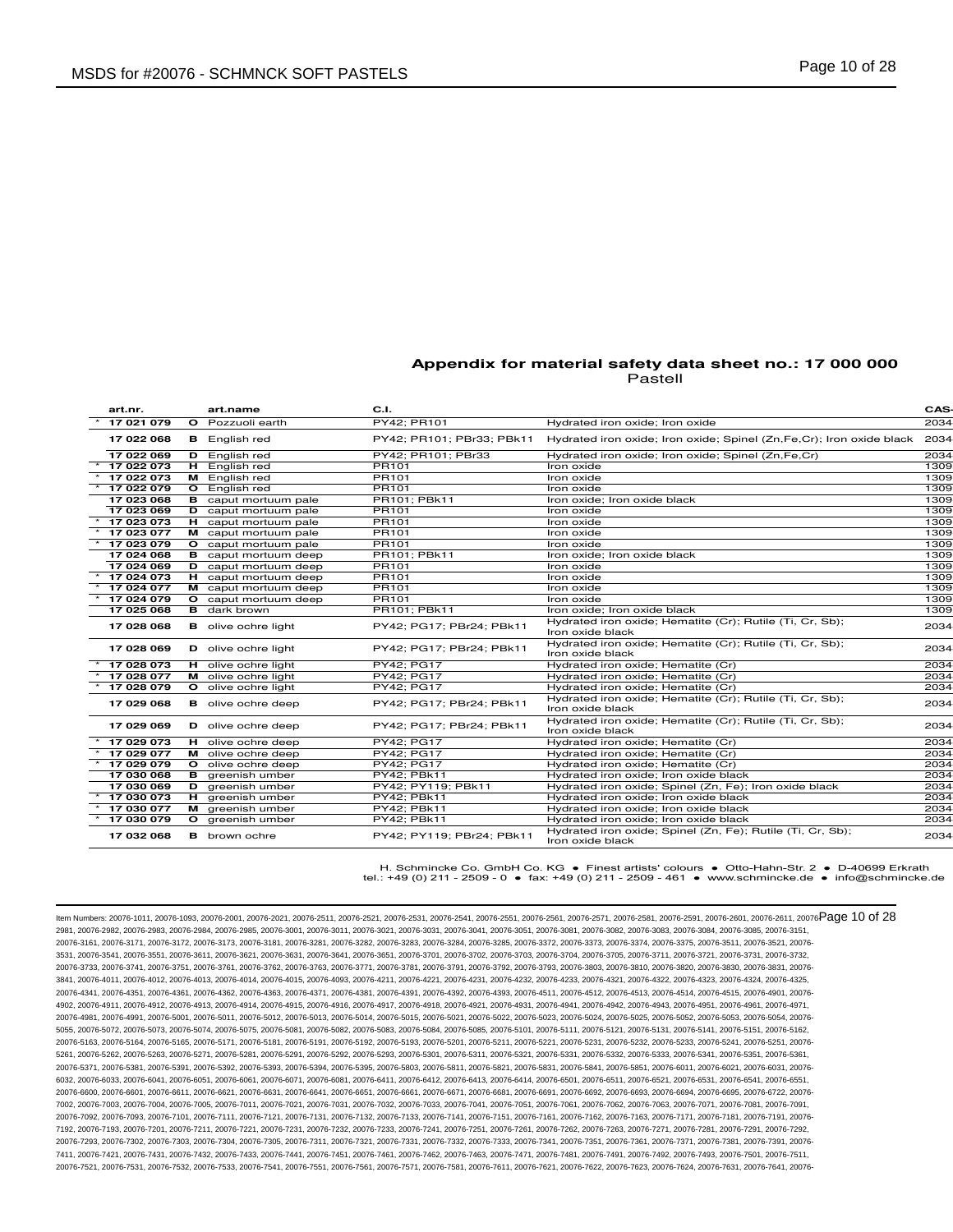| art.nr.    | art.name                    | C.I.                      |                                                                                | <b>CAS-</b> |
|------------|-----------------------------|---------------------------|--------------------------------------------------------------------------------|-------------|
| 17 021 079 | O Pozzuoli earth            | PY42; PR101               | Hydrated iron oxide; Iron oxide                                                | 2034        |
| 17 022 068 | <b>B</b> English red        | PY42: PR101: PBr33: PBk11 | Hydrated iron oxide; Iron oxide; Spinel (Zn, Fe, Cr); Iron oxide black         | 2034        |
| 17 022 069 | <b>D</b> English red        | PY42; PR101; PBr33        | Hydrated iron oxide; Iron oxide; Spinel (Zn,Fe,Cr)                             | 2034        |
| 17 022 073 | H English red               | PR101                     | Iron oxide                                                                     | 1309        |
| 17 022 073 | M English red               | PR101                     | Iron oxide                                                                     | 1309        |
| 17 022 079 | O English red               | PR101                     | Iron oxide                                                                     | 1309        |
| 17 023 068 | <b>B</b> caput mortuum pale | PR101; PBk11              | Iron oxide; Iron oxide black                                                   | 1309        |
| 17 023 069 | <b>D</b> caput mortuum pale | PR101                     | Iron oxide                                                                     | 1309        |
| 17 023 073 | <b>H</b> caput mortuum pale | PR101                     | Iron oxide                                                                     | 1309        |
| 17 023 077 | M caput mortuum pale        | PR101                     | Iron oxide                                                                     | 1309        |
| 17 023 079 | O caput mortuum pale        | PR101                     | Iron oxide                                                                     | 1309        |
| 17 024 068 | <b>B</b> caput mortuum deep | PR101: PBk11              | Iron oxide: Iron oxide black                                                   | 1309        |
| 17 024 069 | <b>D</b> caput mortuum deep | PR101                     | Iron oxide                                                                     | 1309        |
| 17 024 073 | H caput mortuum deep        | PR101                     | Iron oxide                                                                     | 1309        |
| 17 024 077 | M caput mortuum deep        | PR101                     | Iron oxide                                                                     | 1309        |
| 17 024 079 | O caput mortuum deep        | PR101                     | Iron oxide                                                                     | 1309        |
| 17 025 068 | <b>B</b> dark brown         | PR101; PBk11              | Iron oxide; Iron oxide black                                                   | 1309        |
| 17 028 068 | <b>B</b> olive ochre light  | PY42; PG17; PBr24; PBk11  | Hydrated iron oxide; Hematite (Cr); Rutile (Ti, Cr, Sb);<br>Iron oxide black   | 2034        |
| 17 028 069 | D olive ochre light         | PY42; PG17; PBr24; PBk11  | Hydrated iron oxide; Hematite (Cr); Rutile (Ti, Cr, Sb);<br>Iron oxide black   | 2034        |
| 17 028 073 | <b>H</b> olive ochre light  | <b>PY42: PG17</b>         | Hydrated iron oxide; Hematite (Cr)                                             | 2034        |
| 17 028 077 | M olive ochre light         | PY42; PG17                | Hydrated iron oxide; Hematite (Cr)                                             | 2034        |
| 17 028 079 | O olive ochre light         | PY42; PG17                | Hydrated iron oxide: Hematite (Cr)                                             | 2034        |
| 17 029 068 | <b>B</b> olive ochre deep   | PY42; PG17; PBr24; PBk11  | Hydrated iron oxide; Hematite (Cr); Rutile (Ti, Cr, Sb);<br>Iron oxide black   | 2034        |
| 17 029 069 | <b>D</b> olive ochre deep   | PY42; PG17; PBr24; PBk11  | Hydrated iron oxide; Hematite (Cr); Rutile (Ti, Cr, Sb);<br>Iron oxide black   | 2034        |
| 17 029 073 | <b>H</b> olive ochre deep   | <b>PY42: PG17</b>         | Hydrated iron oxide; Hematite (Cr)                                             | 2034        |
| 17 029 077 | M olive ochre deep          | PY42; PG17                | Hydrated iron oxide; Hematite (Cr)                                             | 2034        |
| 17 029 079 | O olive ochre deep          | PY42; PG17                | Hydrated iron oxide; Hematite (Cr)                                             | 2034        |
| 17 030 068 | <b>B</b> greenish umber     | PY42; PBk11               | Hydrated iron oxide; Iron oxide black                                          | 2034        |
| 17 030 069 | <b>D</b> areenish umber     | PY42: PY119: PBk11        | Hydrated iron oxide; Spinel (Zn, Fe); Iron oxide black                         | 2034        |
| 17 030 073 | H greenish umber            | PY42; PBk11               | Hydrated iron oxide; Iron oxide black                                          | 2034        |
| 17 030 077 | M greenish umber            | PY42; PBk11               | Hydrated iron oxide; Iron oxide black                                          | 2034        |
| 17 030 079 | O greenish umber            | PY42; PBk11               | Hydrated iron oxide; Iron oxide black                                          | 2034        |
| 17 032 068 | <b>B</b> brown ochre        | PY42: PY119: PBr24: PBk11 | Hydrated iron oxide; Spinel (Zn, Fe); Rutile (Ti, Cr, Sb);<br>Iron oxide black | 2034        |

H. Schmincke Co. GmbH Co. KG ● Finest artists' colours ● Otto-Hahn-Str. 2 ● D-40699 Erkrath tel.: +49 (0) 211 - 2509 - 0 ● fax: +49 (0) 211 - 2509 - 461 ● www.schmincke.de ● info@schmincke.de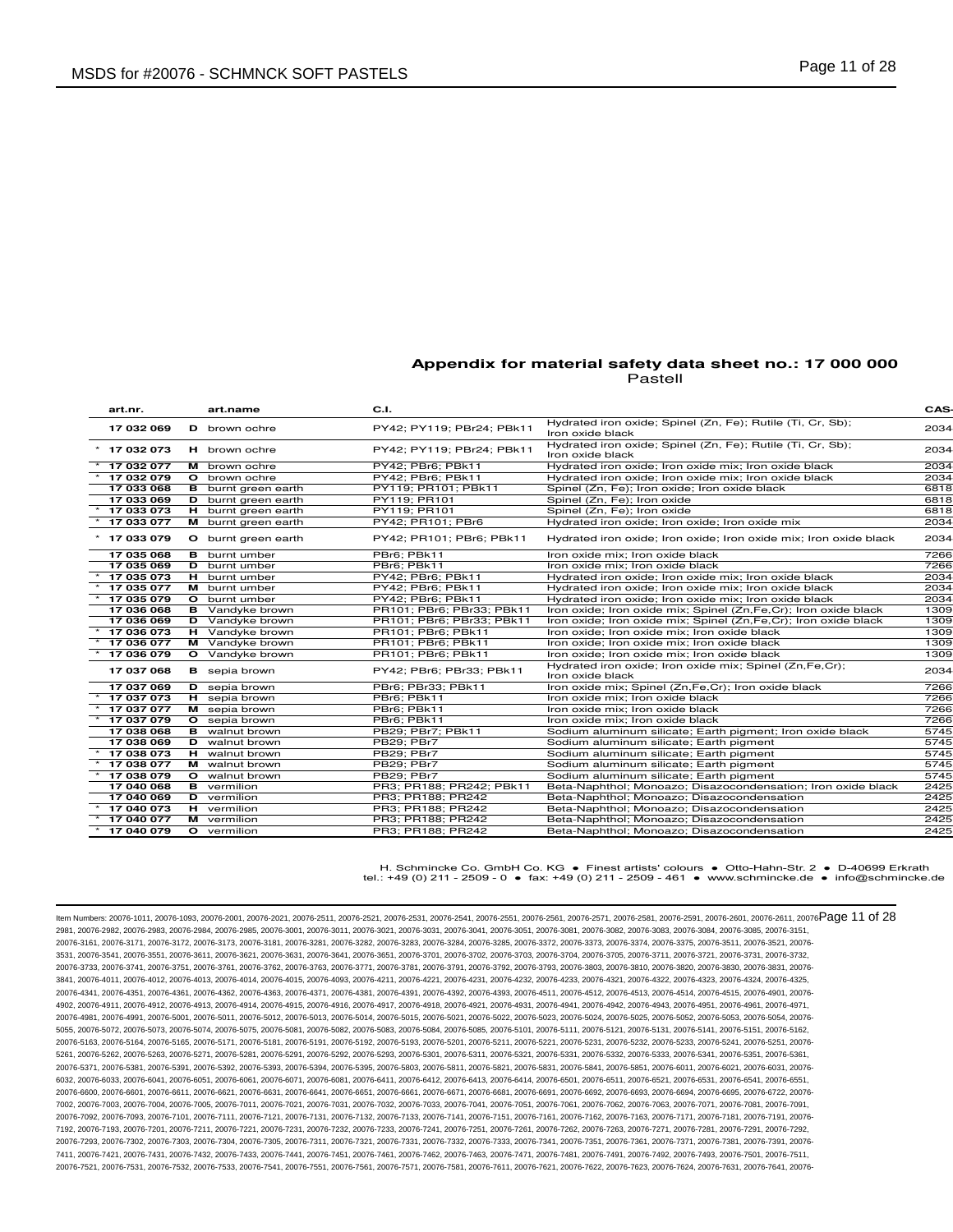| art nr.        | art.name                   | C.I.                      |                                                                                | CAS- |
|----------------|----------------------------|---------------------------|--------------------------------------------------------------------------------|------|
| 17 032 069     | D brown ochre              | PY42; PY119; PBr24; PBk11 | Hydrated iron oxide; Spinel (Zn, Fe); Rutile (Ti, Cr, Sb);<br>Iron oxide black | 2034 |
| $*$ 17 032 073 | H brown ochre              | PY42: PY119: PBr24: PBk11 | Hydrated iron oxide; Spinel (Zn, Fe); Rutile (Ti, Cr, Sb);<br>Iron oxide black | 2034 |
| 17 032 077     | M brown ochre              | PY42; PBr6; PBk11         | Hydrated iron oxide; Iron oxide mix; Iron oxide black                          | 2034 |
| 17 032 079     | <b>O</b> brown ochre       | PY42: PBr6: PBk11         | Hydrated iron oxide: Iron oxide mix: Iron oxide black                          | 2034 |
| 17 033 068     | <b>B</b> burnt green earth | PY119; PR101; PBk11       | Spinel (Zn, Fe); Iron oxide; Iron oxide black                                  | 6818 |
| 17 033 069     | <b>D</b> burnt green earth | PY119; PR101              | Spinel (Zn, Fe); Iron oxide                                                    | 6818 |
| 17 033 073     | H burnt green earth        | PY119; PR101              | Spinel (Zn, Fe); Iron oxide                                                    | 6818 |
| 17 033 077     | M burnt green earth        | PY42; PR101; PBr6         | Hydrated iron oxide; Iron oxide; Iron oxide mix                                | 2034 |
| $*$ 17 033 079 | O burnt green earth        | PY42; PR101; PBr6; PBk11  | Hydrated iron oxide; Iron oxide; Iron oxide mix; Iron oxide black              | 2034 |
| 17 035 068     | <b>B</b> burnt umber       | PBr6: PBk11               | Iron oxide mix: Iron oxide black                                               | 7266 |
| 17 035 069     | D burnt umber              | PBr6: PBk11               | Iron oxide mix: Iron oxide black                                               | 7266 |
| 17 035 073     | H burnt umber              | PY42; PBr6; PBk11         | Hydrated iron oxide; Iron oxide mix; Iron oxide black                          | 2034 |
| 17 035 077     | M burnt umber              | PY42; PBr6; PBk11         | Hydrated iron oxide; Iron oxide mix; Iron oxide black                          | 2034 |
| 17 035 079     | O burnt umber              | PY42; PBr6; PBk11         | Hydrated iron oxide; Iron oxide mix; Iron oxide black                          | 2034 |
| 17 036 068     | <b>B</b> Vandyke brown     | PR101; PBr6; PBr33; PBk11 | Iron oxide; Iron oxide mix; Spinel (Zn, Fe, Cr); Iron oxide black              | 1309 |
| 17 036 069     | <b>D</b> Vandyke brown     | PR101; PBr6; PBr33; PBk11 | Iron oxide; Iron oxide mix; Spinel (Zn, Fe, Cr); Iron oxide black              | 1309 |
| 17 036 073     | H Vandyke brown            | PR101; PBr6; PBk11        | Iron oxide; Iron oxide mix; Iron oxide black                                   | 1309 |
| 17 036 077     | M Vandyke brown            | PR101; PBr6; PBk11        | Iron oxide; Iron oxide mix; Iron oxide black                                   | 1309 |
| 17 036 079     | O Vandyke brown            | PR101; PBr6; PBk11        | Iron oxide; Iron oxide mix; Iron oxide black                                   | 1309 |
| 17 037 068     | <b>B</b> sepia brown       | PY42; PBr6; PBr33; PBk11  | Hydrated iron oxide; Iron oxide mix; Spinel (Zn, Fe, Cr);<br>Iron oxide black  | 2034 |
| 17 037 069     | <b>D</b> sepia brown       | PBr6; PBr33; PBk11        | Iron oxide mix; Spinel (Zn,Fe,Cr); Iron oxide black                            | 7266 |
| 17 037 073     | <b>H</b> sepia brown       | PBr6: PBk11               | Iron oxide mix; Iron oxide black                                               | 7266 |
| 17 037 077     | M sepia brown              | PBr6; PBk11               | Iron oxide mix; Iron oxide black                                               | 7266 |
| 17 037 079     | O sepia brown              | PBr6; PBk11               | Iron oxide mix; Iron oxide black                                               | 7266 |
| 17 038 068     | <b>B</b> walnut brown      | PB29: PBr7: PBk11         | Sodium aluminum silicate; Earth pigment; Iron oxide black                      | 5745 |
| 17 038 069     | D walnut brown             | <b>PB29: PBr7</b>         | Sodium aluminum silicate; Earth pigment                                        | 5745 |
| 17 038 073     | H walnut brown             | <b>PB29; PBr7</b>         | Sodium aluminum silicate; Earth pigment                                        | 5745 |
| 17 038 077     | M walnut brown             | <b>PB29: PBr7</b>         | Sodium aluminum silicate; Earth pigment                                        | 5745 |
| 17 038 079     | <b>O</b> walnut brown      | <b>PB29: PBr7</b>         | Sodium aluminum silicate; Earth pigment                                        | 5745 |
| 17 040 068     | <b>B</b> vermilion         | PR3; PR188; PR242; PBk11  | Beta-Naphthol; Monoazo; Disazocondensation; Iron oxide black                   | 2425 |
| 17 040 069     | <b>D</b> vermilion         | PR3; PR188; PR242         | Beta-Naphthol; Monoazo; Disazocondensation                                     | 2425 |
| 17 040 073     | H vermilion                | PR3; PR188; PR242         | Beta-Naphthol; Monoazo; Disazocondensation                                     | 2425 |
| 17 040 077     | M vermilion                | PR3: PR188: PR242         | Beta-Naphthol; Monoazo; Disazocondensation                                     | 2425 |
| $*$ 17 040 079 | O vermilion                | PR3; PR188; PR242         | Beta-Naphthol; Monoazo; Disazocondensation                                     | 2425 |

H. Schmincke Co. GmbH Co. KG ● Finest artists' colours ● Otto-Hahn-Str. 2 ● D-40699 Erkrath tel.: +49 (0) 211 - 2509 - 0 ● fax: +49 (0) 211 - 2509 - 461 ● www.schmincke.de ● info@schmincke.de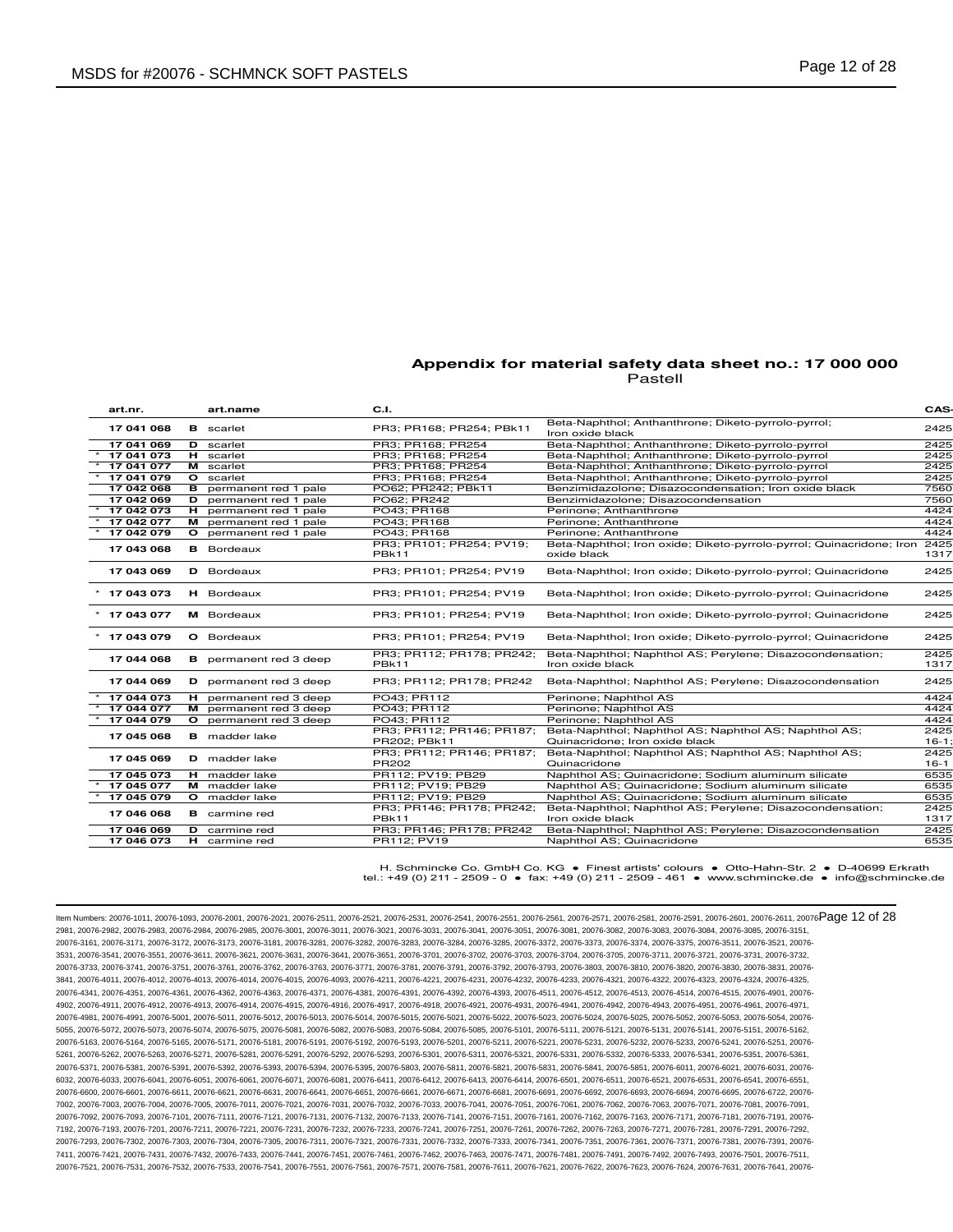| art nr.        | art.name                      | C.I.                                      |                                                                                         | CAS-            |
|----------------|-------------------------------|-------------------------------------------|-----------------------------------------------------------------------------------------|-----------------|
| 17 041 068     | <b>B</b> scarlet              | PR3; PR168; PR254; PBk11                  | Beta-Naphthol; Anthanthrone; Diketo-pyrrolo-pyrrol;<br>Iron oxide black                 | 2425            |
| 17 041 069     | <b>D</b> scarlet              | PR3: PR168: PR254                         | Beta-Naphthol; Anthanthrone; Diketo-pyrrolo-pyrrol                                      | 2425            |
| 17 041 073     | H scarlet                     | PR3; PR168; PR254                         | Beta-Naphthol; Anthanthrone; Diketo-pyrrolo-pyrrol                                      | 2425            |
| 17 041 077     | M scarlet                     | PR3; PR168; PR254                         | Beta-Naphthol; Anthanthrone; Diketo-pyrrolo-pyrrol                                      | 2425            |
| 17 041 079     | O scarlet                     | PR3; PR168; PR254                         | Beta-Naphthol; Anthanthrone; Diketo-pyrrolo-pyrrol                                      | 2425            |
| 17 042 068     | <b>B</b> permanent red 1 pale | PO62; PR242; PBk11                        | Benzimidazolone; Disazocondensation; Iron oxide black                                   | 7560            |
| 17 042 069     | D permanent red 1 pale        | PO62; PR242                               | Benzimidazolone; Disazocondensation                                                     | 7560            |
| 17 042 073     | H permanent red 1 pale        | PO43; PR168                               | Perinone; Anthanthrone                                                                  | 4424            |
| 17 042 077     | M permanent red 1 pale        | PO43; PR168                               | Perinone; Anthanthrone                                                                  | 4424            |
| 17 042 079     | O permanent red 1 pale        | PO43; PR168                               | Perinone; Anthanthrone                                                                  | 4424            |
| 17 043 068     | <b>B</b> Bordeaux             | PR3; PR101; PR254; PV19;<br>PBk11         | Beta-Naphthol; Iron oxide; Diketo-pyrrolo-pyrrol; Quinacridone; Iron<br>oxide black     | 2425<br>1317    |
| 17 043 069     | <b>D</b> Bordeaux             | PR3: PR101: PR254: PV19                   | Beta-Naphthol; Iron oxide; Diketo-pyrrolo-pyrrol; Quinacridone                          | 2425            |
| $*$ 17 043 073 | H Bordeaux                    | PR3; PR101; PR254; PV19                   | Beta-Naphthol; Iron oxide; Diketo-pyrrolo-pyrrol; Quinacridone                          | 2425            |
| $*$ 17 043 077 | M Bordeaux                    | PR3: PR101: PR254: PV19                   | Beta-Naphthol; Iron oxide; Diketo-pyrrolo-pyrrol; Quinacridone                          | 2425            |
| $*$ 17 043 079 | O Bordeaux                    | PR3: PR101: PR254: PV19                   | Beta-Naphthol; Iron oxide; Diketo-pyrrolo-pyrrol; Quinacridone                          | 2425            |
| 17 044 068     | <b>B</b> permanent red 3 deep | PR3; PR112; PR178; PR242;<br>PBk11        | Beta-Naphthol; Naphthol AS; Perylene; Disazocondensation;<br>Iron oxide black           | 2425<br>1317    |
| 17 044 069     | <b>D</b> permanent red 3 deep | PR3; PR112; PR178; PR242                  | Beta-Naphthol; Naphthol AS; Perylene; Disazocondensation                                | 2425            |
| 17 044 073     | H permanent red 3 deep        | PO43: PR112                               | Perinone; Naphthol AS                                                                   | 4424            |
| 17 044 077     | M permanent red 3 deep        | PO43; PR112                               | Perinone; Naphthol AS                                                                   | 4424            |
| 17 044 079     | O permanent red 3 deep        | PO43: PR112                               | Perinone; Naphthol AS                                                                   | 4424            |
| 17 045 068     | <b>B</b> madder lake          | PR3; PR112; PR146; PR187;<br>PR202; PBk11 | Beta-Naphthol; Naphthol AS; Naphthol AS; Naphthol AS;<br>Quinacridone; Iron oxide black | 2425<br>$16-1;$ |
| 17 045 069     | <b>D</b> madder lake          | PR3; PR112; PR146; PR187;<br>PR202        | Beta-Naphthol; Naphthol AS; Naphthol AS; Naphthol AS;<br>Quinacridone                   | 2425<br>$16-1$  |
| 17 045 073     | <b>H</b> madder lake          | PR112; PV19; PB29                         | Naphthol AS; Quinacridone; Sodium aluminum silicate                                     | 6535            |
| 17 045 077     | M madder lake                 | PR112; PV19; PB29                         | Naphthol AS; Quinacridone; Sodium aluminum silicate                                     | 6535            |
| 17 045 079     | <b>O</b> madder lake          | PR112; PV19; PB29                         | Naphthol AS; Quinacridone; Sodium aluminum silicate                                     | 6535            |
| 17 046 068     | <b>B</b> carmine red          | PR3; PR146; PR178; PR242;<br>PBk11        | Beta-Naphthol; Naphthol AS; Perylene; Disazocondensation;<br>Iron oxide black           | 2425<br>1317    |
| 17 046 069     | <b>D</b> carmine red          | PR3; PR146; PR178; PR242                  | Beta-Naphthol; Naphthol AS; Perylene; Disazocondensation                                | 2425            |
| 17 046 073     | <b>H</b> carmine red          | PR112; PV19                               | Naphthol AS; Quinacridone                                                               | 6535            |
|                |                               |                                           |                                                                                         |                 |

H. Schmincke Co. GmbH Co. KG ● Finest artists' colours ● Otto-Hahn-Str. 2 ● D-40699 Erkrath tel.: +49 (0) 211 - 2509 - 0 ● fax: +49 (0) 211 - 2509 - 461 ● www.schmincke.de ● info@schmincke.de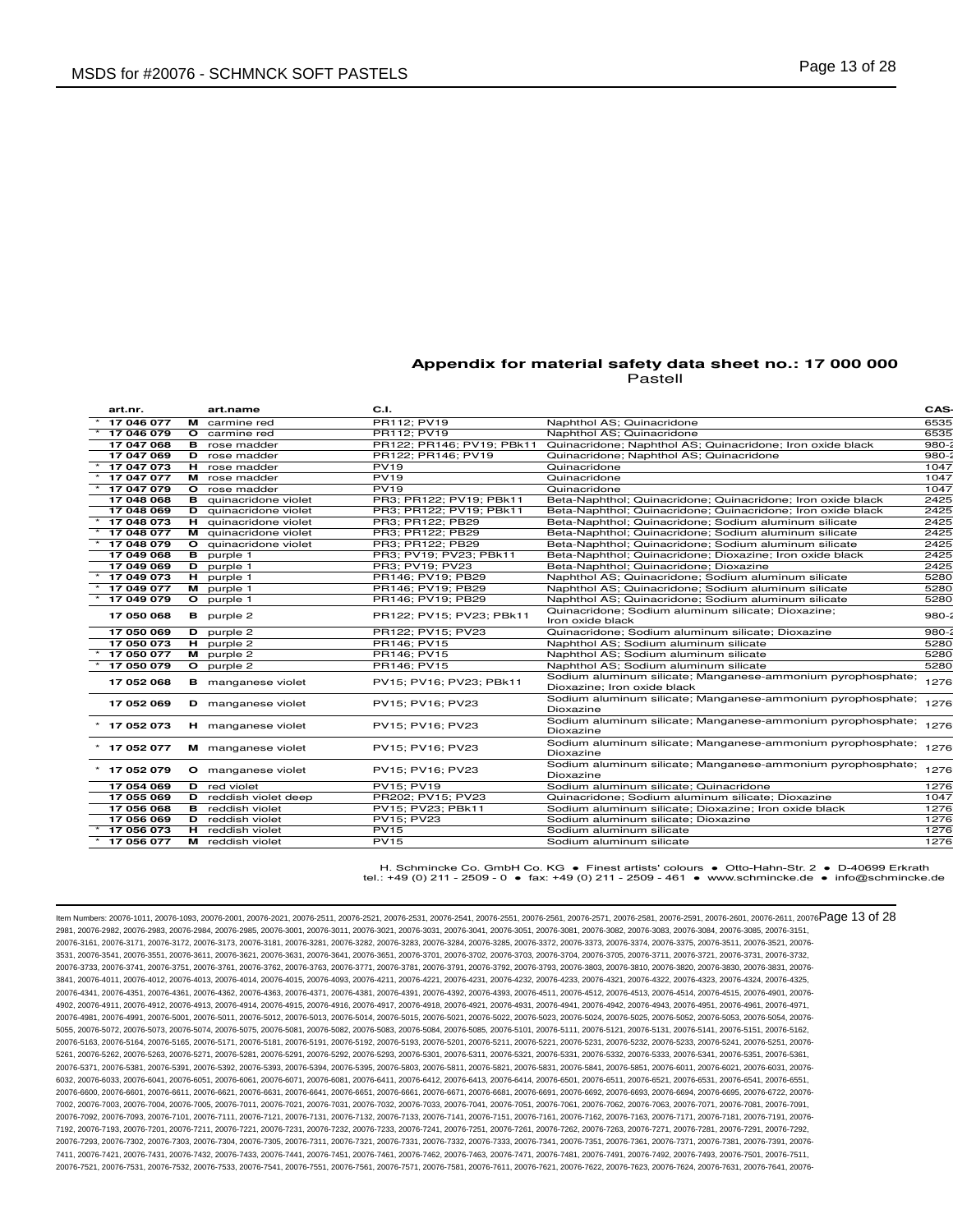| art.nr.        |   | art.name                     | C.I.                      |                                                                                            | CAS-      |
|----------------|---|------------------------------|---------------------------|--------------------------------------------------------------------------------------------|-----------|
| 17 046 077     |   | M carmine red                | PR112; PV19               | Naphthol AS; Quinacridone                                                                  | 6535      |
| 17 046 079     |   | <b>O</b> carmine red         | PR112; PV19               | Naphthol AS; Quinacridone                                                                  | 6535      |
| 17 047 068     |   | <b>B</b> rose madder         | PR122; PR146; PV19; PBk11 | Quinacridone; Naphthol AS; Quinacridone; Iron oxide black                                  | $980 - 3$ |
| 17 047 069     |   | <b>D</b> rose madder         | PR122; PR146; PV19        | Quinacridone; Naphthol AS; Quinacridone                                                    | $980 - 3$ |
| 17 047 073     |   | H rose madder                | <b>PV19</b>               | Quinacridone                                                                               | 1047      |
| 17 047 077     |   | M rose madder                | <b>PV19</b>               | Quinacridone                                                                               | 1047      |
| 17 047 079     |   | O rose madder                | <b>PV19</b>               | Quinacridone                                                                               | 1047      |
| 17 048 068     |   | <b>B</b> quinacridone violet | PR3; PR122; PV19; PBk11   | Beta-Naphthol; Quinacridone; Quinacridone; Iron oxide black                                | 2425      |
| 17 048 069     |   | D quinacridone violet        | PR3; PR122; PV19; PBk11   | Beta-Naphthol; Quinacridone; Quinacridone; Iron oxide black                                | 2425      |
| 17 048 073     |   | H quinacridone violet        | PR3; PR122; PB29          | Beta-Naphthol; Quinacridone; Sodium aluminum silicate                                      | 2425      |
| 17 048 077     | м | quinacridone violet          | PR3; PR122; PB29          | Beta-Naphthol; Quinacridone; Sodium aluminum silicate                                      | 2425      |
| 17 048 079     |   | O quinacridone violet        | PR3; PR122; PB29          | Beta-Naphthol; Quinacridone; Sodium aluminum silicate                                      | 2425      |
| 17 049 068     |   | <b>B</b> purple 1            | PR3; PV19; PV23; PBk11    | Beta-Naphthol; Quinacridone; Dioxazine; Iron oxide black                                   | 2425      |
| 17 049 069     |   | D purple 1                   | PR3: PV19: PV23           | Beta-Naphthol; Quinacridone; Dioxazine                                                     | 2425      |
| $*$ 17 049 073 |   | H purple 1                   | PR146; PV19; PB29         | Naphthol AS; Quinacridone; Sodium aluminum silicate                                        | 5280      |
| 17 049 077     |   | M purple 1                   | PR146: PV19: PB29         | Naphthol AS; Quinacridone; Sodium aluminum silicate                                        | 5280      |
| 17 049 079     |   | O purple 1                   | PR146; PV19; PB29         | Naphthol AS; Quinacridone; Sodium aluminum silicate                                        | 5280      |
| 17 050 068     |   | <b>B</b> purple 2            | PR122; PV15; PV23; PBk11  | Quinacridone; Sodium aluminum silicate; Dioxazine;<br>Iron oxide black                     | $980 - 2$ |
| 17 050 069     |   | D purple 2                   | PR122; PV15; PV23         | Quinacridone: Sodium aluminum silicate: Dioxazine                                          | $980 - 3$ |
| 17 050 073     |   | H purple 2                   | PR146: PV15               | Naphthol AS; Sodium aluminum silicate                                                      | 5280      |
| 17 050 077     |   | M purple 2                   | PR146; PV15               | Naphthol AS; Sodium aluminum silicate                                                      | 5280      |
| 17 050 079     |   | O purple 2                   | PR146; PV15               | Naphthol AS; Sodium aluminum silicate                                                      | 5280      |
| 17 052 068     |   | <b>B</b> manganese violet    | PV15; PV16; PV23; PBk11   | Sodium aluminum silicate; Manganese-ammonium pyrophosphate;<br>Dioxazine; Iron oxide black | 1276      |
| 17 052 069     |   | <b>D</b> manganese violet    | PV15; PV16; PV23          | Sodium aluminum silicate; Manganese-ammonium pyrophosphate;<br>Dioxazine                   | 1276      |
| $*$ 17 052 073 |   | <b>H</b> manganese violet    | PV15: PV16: PV23          | Sodium aluminum silicate; Manganese-ammonium pyrophosphate;<br>Dioxazine                   | 1276      |
| $*$ 17 052 077 |   | M manganese violet           | PV15; PV16; PV23          | Sodium aluminum silicate; Manganese-ammonium pyrophosphate;<br>Dioxazine                   | 1276      |
| $*$ 17 052 079 |   | O manganese violet           | PV15; PV16; PV23          | Sodium aluminum silicate; Manganese-ammonium pyrophosphate;<br>Dioxazine                   | 1276      |
| 17 054 069     |   | D red violet                 | PV15; PV19                | Sodium aluminum silicate; Quinacridone                                                     | 1276      |
| 17 055 069     |   | <b>D</b> reddish violet deep | PR202; PV15; PV23         | Quinacridone; Sodium aluminum silicate; Dioxazine                                          | 1047      |
| 17 056 068     |   | <b>B</b> reddish violet      | PV15; PV23; PBk11         | Sodium aluminum silicate; Dioxazine; Iron oxide black                                      | 1276      |
| 17 056 069     |   | D reddish violet             | PV15; PV23                | Sodium aluminum silicate; Dioxazine                                                        | 1276      |
| 17 056 073     |   | H reddish violet             | <b>PV15</b>               | Sodium aluminum silicate                                                                   | 1276      |
| 17 056 077     |   | M reddish violet             | <b>PV15</b>               | Sodium aluminum silicate                                                                   | 1276      |
|                |   |                              |                           |                                                                                            |           |

H. Schmincke Co. GmbH Co. KG ● Finest artists' colours ● Otto-Hahn-Str. 2 ● D-40699 Erkrath tel.: +49 (0) 211 - 2509 - 0 ● fax: +49 (0) 211 - 2509 - 461 ● www.schmincke.de ● info@schmincke.de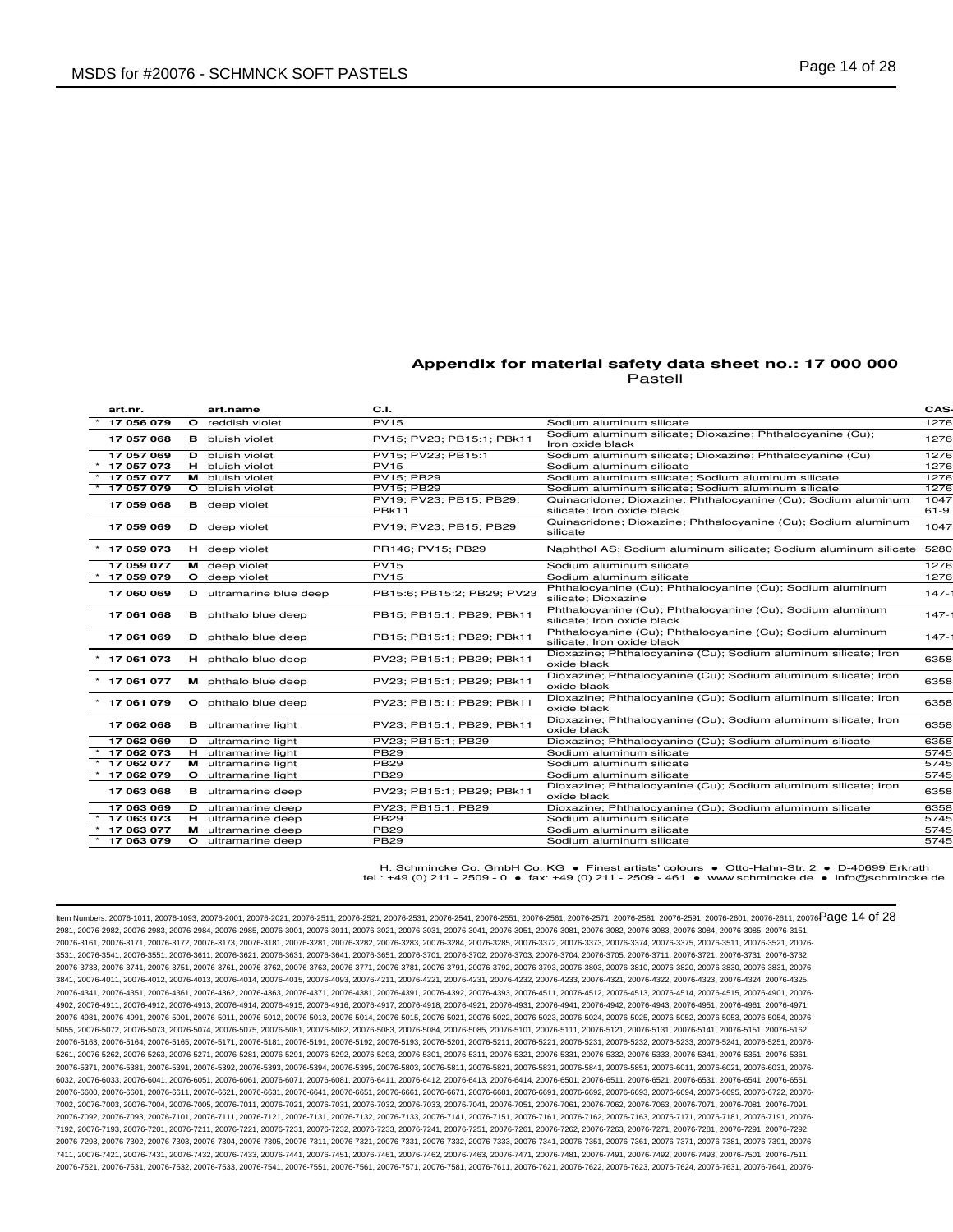| art.nr.    | art.name                   | C.I.                                    |                                                                                             | CAS-             |
|------------|----------------------------|-----------------------------------------|---------------------------------------------------------------------------------------------|------------------|
| 17 056 079 | O reddish violet           | <b>PV15</b>                             | Sodium aluminum silicate                                                                    | 1276             |
| 17 057 068 | <b>B</b> bluish violet     | PV15; PV23; PB15:1; PBk11               | Sodium aluminum silicate; Dioxazine; Phthalocyanine (Cu);<br>Iron oxide black               | 1276             |
| 17 057 069 | <b>D</b> bluish violet     | PV15: PV23: PB15:1                      | Sodium aluminum silicate; Dioxazine; Phthalocyanine (Cu)                                    | 1276             |
| 17 057 073 | <b>H</b> bluish violet     | <b>PV15</b>                             | Sodium aluminum silicate                                                                    | 1276             |
| 17 057 077 | M bluish violet            | <b>PV15: PB29</b>                       | Sodium aluminum silicate: Sodium aluminum silicate                                          | 1276             |
| 17 057 079 | O bluish violet            | PV15; PB29                              | Sodium aluminum silicate; Sodium aluminum silicate                                          | 1276             |
| 17 059 068 | <b>B</b> deep violet       | PV19; PV23; PB15; PB29;<br><b>PBk11</b> | Quinacridone; Dioxazine; Phthalocyanine (Cu); Sodium aluminum<br>silicate; Iron oxide black | 1047<br>$61 - 9$ |
| 17 059 069 | D deep violet              | PV19; PV23; PB15; PB29                  | Quinacridone; Dioxazine; Phthalocyanine (Cu); Sodium aluminum<br>silicate                   | 1047             |
| 17 059 073 | H deep violet              | PR146: PV15: PB29                       | Naphthol AS; Sodium aluminum silicate; Sodium aluminum silicate 5280                        |                  |
| 17 059 077 | M deep violet              | <b>PV15</b>                             | Sodium aluminum silicate                                                                    | 1276             |
| 17 059 079 | O deep violet              | PV15                                    | Sodium aluminum silicate                                                                    | 1276             |
| 17 060 069 | D ultramarine blue deep    | PB15:6; PB15:2; PB29; PV23              | Phthalocyanine (Cu); Phthalocyanine (Cu); Sodium aluminum<br>silicate; Dioxazine            | $147 -$          |
| 17 061 068 | <b>B</b> phthalo blue deep | PB15; PB15:1; PB29; PBk11               | Phthalocyanine (Cu); Phthalocyanine (Cu); Sodium aluminum<br>silicate; Iron oxide black     | $147 -$          |
| 17 061 069 | D phthalo blue deep        | PB15: PB15:1: PB29: PBk11               | Phthalocyanine (Cu); Phthalocyanine (Cu); Sodium aluminum<br>silicate; Iron oxide black     | $147 -$          |
| 17 061 073 | H phthalo blue deep        | PV23; PB15:1; PB29; PBk11               | Dioxazine; Phthalocyanine (Cu); Sodium aluminum silicate; Iron<br>oxide black               | 6358             |
| 17 061 077 | M phthalo blue deep        | PV23; PB15:1; PB29; PBk11               | Dioxazine; Phthalocyanine (Cu); Sodium aluminum silicate; Iron<br>oxide black               | 6358             |
| 17 061 079 | O phthalo blue deep        | PV23; PB15:1; PB29; PBk11               | Dioxazine; Phthalocyanine (Cu); Sodium aluminum silicate; Iron<br>oxide black               | 6358             |
| 17 062 068 | <b>B</b> ultramarine light | PV23; PB15:1; PB29; PBk11               | Dioxazine; Phthalocyanine (Cu); Sodium aluminum silicate; Iron<br>oxide black               | 6358             |
| 17 062 069 | <b>D</b> ultramarine light | PV23: PB15:1: PB29                      | Dioxazine; Phthalocyanine (Cu); Sodium aluminum silicate                                    | 6358             |
| 17 062 073 | <b>H</b> ultramarine light | <b>PB29</b>                             | Sodium aluminum silicate                                                                    | 5745             |
| 17 062 077 | M ultramarine light        | <b>PB29</b>                             | Sodium aluminum silicate                                                                    | 5745             |
| 17 062 079 | O ultramarine light        | <b>PB29</b>                             | Sodium aluminum silicate                                                                    | 5745             |
| 17 063 068 | <b>B</b> ultramarine deep  | PV23; PB15:1; PB29; PBk11               | Dioxazine; Phthalocyanine (Cu); Sodium aluminum silicate; Iron<br>oxide black               | 6358             |
| 17 063 069 | <b>D</b> ultramarine deep  | PV23; PB15:1; PB29                      | Dioxazine; Phthalocyanine (Cu); Sodium aluminum silicate                                    | 6358             |
| 17 063 073 | <b>H</b> ultramarine deep  | <b>PB29</b>                             | Sodium aluminum silicate                                                                    | 5745             |
| 17 063 077 | M ultramarine deep         | <b>PB29</b>                             | Sodium aluminum silicate                                                                    | 5745             |
| 17 063 079 | <b>O</b> ultramarine deep  | <b>PB29</b>                             | Sodium aluminum silicate                                                                    | 5745             |
|            |                            |                                         |                                                                                             |                  |

H. Schmincke Co. GmbH Co. KG ● Finest artists' colours ● Otto-Hahn-Str. 2 ● D-40699 Erkrath tel.: +49 (0) 211 - 2509 - 0 ● fax: +49 (0) 211 - 2509 - 461 ● www.schmincke.de ● info@schmincke.de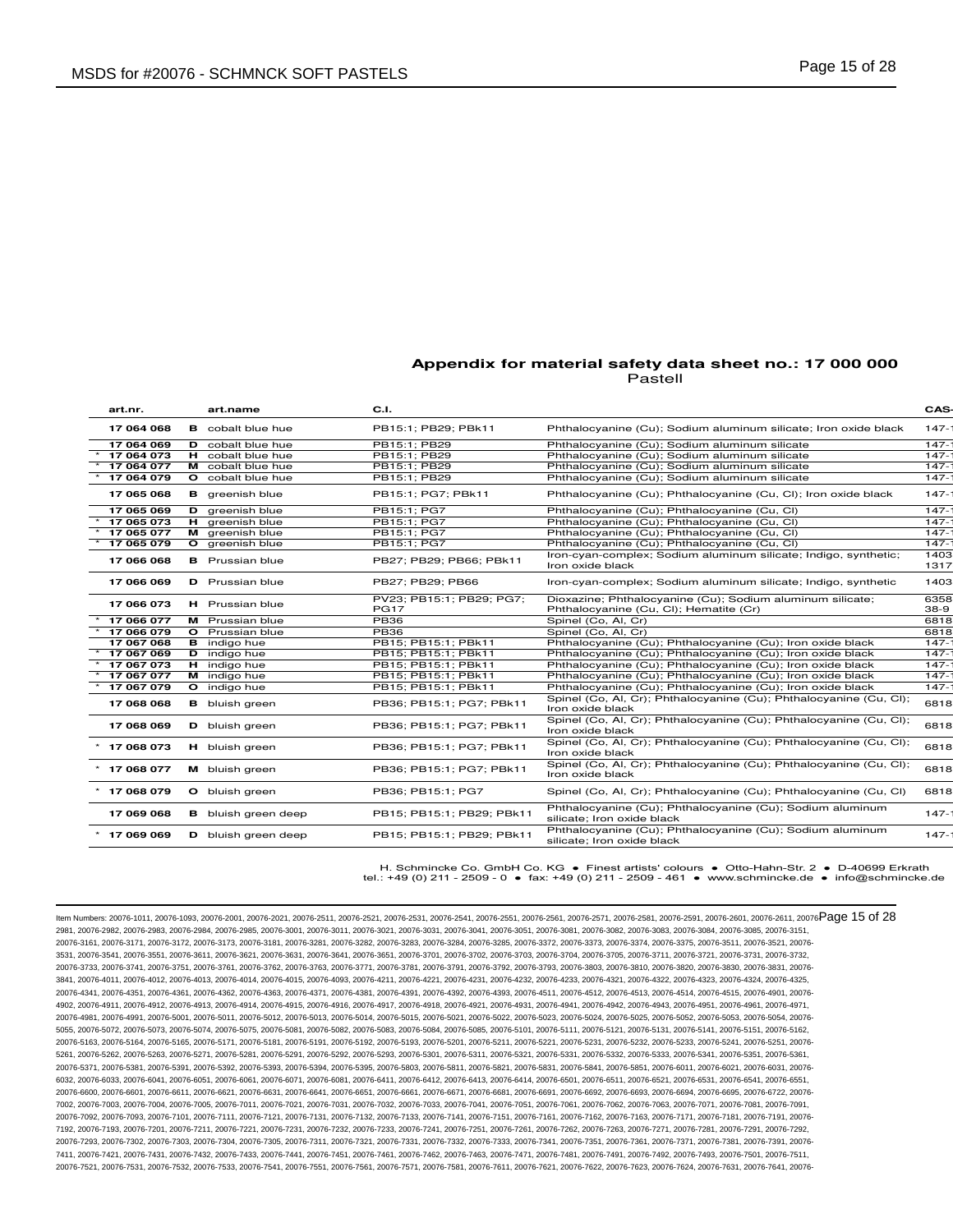| art.nr.        | art.name                   | C.I.                                    |                                                                                                     | CAS-         |
|----------------|----------------------------|-----------------------------------------|-----------------------------------------------------------------------------------------------------|--------------|
| 17 064 068     | <b>B</b> cobalt blue hue   | PB15:1: PB29: PBk11                     | Phthalocyanine (Cu); Sodium aluminum silicate; Iron oxide black                                     | $147 -$      |
| 17 064 069     | D cobalt blue hue          | PB15:1: PB29                            | Phthalocyanine (Cu); Sodium aluminum silicate                                                       | $147 -$      |
| 17 064 073     | <b>H</b> cobalt blue hue   | PB15:1; PB29                            | Phthalocyanine (Cu); Sodium aluminum silicate                                                       | $147 -$      |
| 17 064 077     | M cobalt blue hue          | PB15:1; PB29                            | Phthalocyanine (Cu); Sodium aluminum silicate                                                       | $147 -$      |
| 17 064 079     | <b>O</b> cobalt blue hue   | PB15:1; PB29                            | Phthalocyanine (Cu); Sodium aluminum silicate                                                       | $147 -$      |
| 17 065 068     | <b>B</b> greenish blue     | PB15:1: PG7: PBk11                      | Phthalocyanine (Cu); Phthalocyanine (Cu, Cl); Iron oxide black                                      | $147 -$      |
| 17 065 069     | D greenish blue            | PB15:1: PG7                             | Phthalocyanine (Cu); Phthalocyanine (Cu, Cl)                                                        | $147 -$      |
| 17 065 073     | H greenish blue            | PB15:1; PG7                             | Phthalocyanine (Cu); Phthalocyanine (Cu, Cl)                                                        | $147 -$      |
| 17 065 077     | M areenish blue            | PB15:1: PG7                             | Phthalocyanine (Cu); Phthalocyanine (Cu, Cl)                                                        | $147 -$      |
| 17 065 079     | O greenish blue            | PB15:1; PG7                             | Phthalocyanine (Cu); Phthalocyanine (Cu, Cl)                                                        | $147 -$      |
| 17 066 068     | <b>B</b> Prussian blue     | PB27; PB29; PB66; PBk11                 | Iron-cyan-complex; Sodium aluminum silicate; Indigo, synthetic;<br>Iron oxide black                 | 1403<br>1317 |
| 17 066 069     | <b>D</b> Prussian blue     | PB27: PB29: PB66                        | Iron-cyan-complex; Sodium aluminum silicate; Indigo, synthetic                                      | 1403         |
| 17 066 073     | H Prussian blue            | PV23; PB15:1; PB29; PG7;<br><b>PG17</b> | Dioxazine; Phthalocyanine (Cu); Sodium aluminum silicate;<br>Phthalocyanine (Cu, Cl); Hematite (Cr) | 6358<br>38-9 |
| 17 066 077     | M Prussian blue            | <b>PB36</b>                             | Spinel (Co, Al, Cr)                                                                                 | 6818         |
| 17 066 079     | <b>O</b> Prussian blue     | <b>PB36</b>                             | Spinel (Co, Al, Cr)                                                                                 | 6818         |
| 17 067 068     | <b>B</b> indigo hue        | PB15; PB15:1; PBk11                     | Phthalocyanine (Cu); Phthalocyanine (Cu); Iron oxide black                                          | $147 -$      |
| 17 067 069     | <b>D</b> indigo hue        | PB15; PB15:1; PBk11                     | Phthalocyanine (Cu); Phthalocyanine (Cu); Iron oxide black                                          | $147 -$      |
| 17 067 073     | <b>H</b> indigo hue        | PB15; PB15:1; PBk11                     | Phthalocyanine (Cu); Phthalocyanine (Cu); Iron oxide black                                          | $147 -$      |
| 17 067 077     | M indigo hue               | PB15; PB15:1; PBk11                     | Phthalocyanine (Cu); Phthalocyanine (Cu); Iron oxide black                                          | $147 -$      |
| 17 067 079     | O indigo hue               | PB15; PB15:1; PBk11                     | Phthalocyanine (Cu); Phthalocyanine (Cu); Iron oxide black                                          | $147 -$      |
| 17 068 068     | <b>B</b> bluish green      | PB36; PB15:1; PG7; PBk11                | Spinel (Co, Al, Cr); Phthalocyanine (Cu); Phthalocyanine (Cu, Cl);<br>Iron oxide black              | 6818         |
| 17 068 069     | <b>D</b> bluish green      | PB36; PB15:1; PG7; PBk11                | Spinel (Co, Al, Cr); Phthalocyanine (Cu); Phthalocyanine (Cu, Cl);<br>Iron oxide black              | 6818         |
| $*$ 17 068 073 | H bluish green             | PB36; PB15:1; PG7; PBk11                | Spinel (Co, Al, Cr); Phthalocyanine (Cu); Phthalocyanine (Cu, Cl);<br>Iron oxide black              | 6818         |
| $*$ 17 068 077 | M bluish green             | PB36: PB15:1: PG7: PBk11                | Spinel (Co, Al, Cr); Phthalocyanine (Cu); Phthalocyanine (Cu, Cl);<br>Iron oxide black              | 6818         |
| 17 068 079     | O bluish green             | PB36; PB15:1; PG7                       | Spinel (Co, Al, Cr); Phthalocyanine (Cu); Phthalocyanine (Cu, Cl)                                   | 6818         |
| 17 069 068     | <b>B</b> bluish green deep | PB15; PB15:1; PB29; PBk11               | Phthalocyanine (Cu); Phthalocyanine (Cu); Sodium aluminum<br>silicate: Iron oxide black             | $147 -$      |
| $*$ 17 069 069 | D bluish green deep        | PB15: PB15:1: PB29: PBk11               | Phthalocyanine (Cu); Phthalocyanine (Cu); Sodium aluminum<br>silicate; Iron oxide black             | $147 -$      |
|                |                            |                                         |                                                                                                     |              |

H. Schmincke Co. GmbH Co. KG ● Finest artists' colours ● Otto-Hahn-Str. 2 ● D-40699 Erkrath tel.: +49 (0) 211 - 2509 - 0 ● fax: +49 (0) 211 - 2509 - 461 ● www.schmincke.de ● info@schmincke.de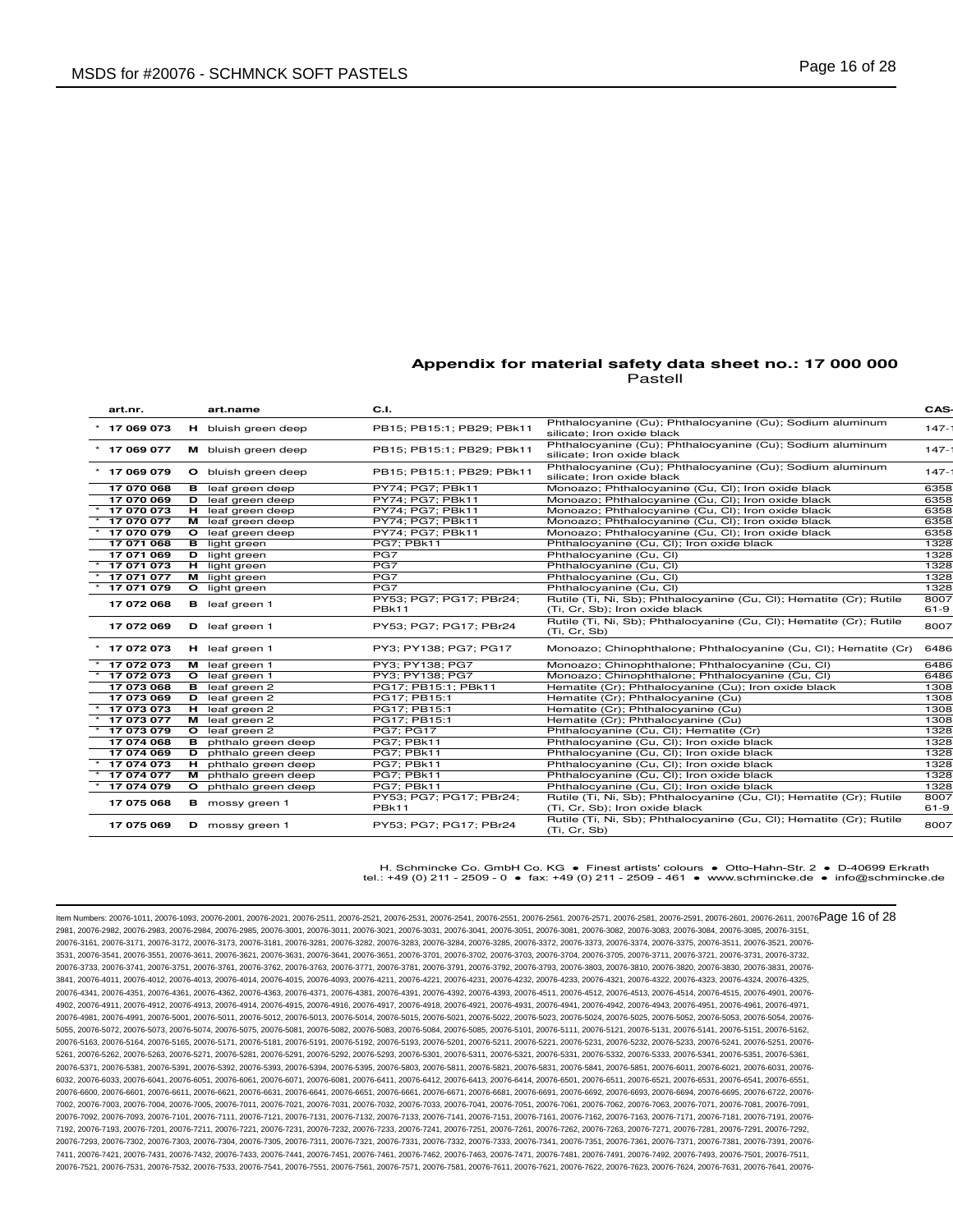| art.nr.        | art.name                    | C.I.                             |                                                                                                       | CAS-             |
|----------------|-----------------------------|----------------------------------|-------------------------------------------------------------------------------------------------------|------------------|
| 17 069 073     | H bluish green deep         | PB15; PB15:1; PB29; PBk11        | Phthalocyanine (Cu); Phthalocyanine (Cu); Sodium aluminum<br>silicate; Iron oxide black               | $147 -$          |
| $*$ 17 069 077 | M bluish green deep         | PB15; PB15:1; PB29; PBk11        | Phthalocyanine (Cu); Phthalocyanine (Cu); Sodium aluminum<br>silicate: Iron oxide black               | $147 -$          |
| 17 069 079     | O bluish green deep         | PB15; PB15:1; PB29; PBk11        | Phthalocyanine (Cu); Phthalocyanine (Cu); Sodium aluminum<br>silicate; Iron oxide black               | $147 -$          |
| 17 070 068     | <b>B</b> leaf green deep    | PY74; PG7; PBk11                 | Monoazo; Phthalocyanine (Cu, Cl); Iron oxide black                                                    | 6358             |
| 17 070 069     | D leaf green deep           | PY74; PG7; PBk11                 | Monoazo; Phthalocyanine (Cu, Cl); Iron oxide black                                                    | 6358             |
| 17 070 073     | H leaf green deep           | PY74; PG7; PBk11                 | Monoazo; Phthalocyanine (Cu, Cl); Iron oxide black                                                    | 6358             |
| 17 070 077     | M leaf green deep           | PY74; PG7; PBk11                 | Monoazo; Phthalocyanine (Cu, Cl); Iron oxide black                                                    | 6358             |
| 17 070 079     | O leaf green deep           | PY74; PG7; PBk11                 | Monoazo; Phthalocyanine (Cu, Cl); Iron oxide black                                                    | 6358             |
| 17 071 068     | <b>B</b> light green        | PG7: PBk11                       | Phthalocyanine (Cu, Cl); Iron oxide black                                                             | 1328             |
| 17 071 069     | <b>D</b> light green        | PG7                              | Phthalocyanine (Cu, CI)                                                                               | 1328             |
| 17 071 073     | <b>H</b> light green        | PG7                              | Phthalocyanine (Cu, CI)                                                                               | 1328             |
| 17 071 077     | M light green               | PG7                              | Phthalocyanine (Cu, Cl)                                                                               | 1328             |
| 17 071 079     | O light green               | PG7                              | Phthalocyanine (Cu, Cl)                                                                               | 1328             |
| 17 072 068     | <b>B</b> leaf green 1       | PY53; PG7; PG17; PBr24;<br>PBk11 | Rutile (Ti, Ni, Sb); Phthalocyanine (Cu, Cl); Hematite (Cr); Rutile<br>(Ti, Cr, Sb); Iron oxide black | 8007<br>$61 - 9$ |
| 17 072 069     | D leaf green 1              | PY53; PG7; PG17; PBr24           | Rutile (Ti, Ni, Sb); Phthalocyanine (Cu, Cl); Hematite (Cr); Rutile<br>(Ti, Cr, Sb)                   | 8007             |
| $*$ 17 072 073 | H leaf green 1              | PY3; PY138; PG7; PG17            | Monoazo; Chinophthalone; Phthalocyanine (Cu, Cl); Hematite (Cr)                                       | 6486             |
| 17 072 073     | M leaf green 1              | PY3; PY138; PG7                  | Monoazo; Chinophthalone; Phthalocyanine (Cu, Cl)                                                      | 6486             |
| 17 072 073     | O leaf green 1              | PY3; PY138; PG7                  | Monoazo; Chinophthalone; Phthalocyanine (Cu, Cl)                                                      | 6486             |
| 17 073 068     | <b>B</b> leaf green 2       | PG17; PB15:1; PBk11              | Hematite (Cr); Phthalocyanine (Cu); Iron oxide black                                                  | 1308             |
| 17 073 069     | D leaf green 2              | PG17; PB15:1                     | Hematite (Cr); Phthalocyanine (Cu)                                                                    | 1308             |
| 17 073 073     | H leaf green 2              | PG17; PB15:1                     | Hematite (Cr); Phthalocyanine (Cu)                                                                    | 1308             |
| 17 073 077     | M leaf green 2              | PG17; PB15:1                     | Hematite (Cr); Phthalocyanine (Cu)                                                                    | 1308             |
| 17 073 079     | O leaf green 2              | <b>PG7: PG17</b>                 | Phthalocyanine (Cu, Cl); Hematite (Cr)                                                                | 1328             |
| 17 074 068     | <b>B</b> phthalo green deep | PG7; PBk11                       | Phthalocyanine (Cu, Cl); Iron oxide black                                                             | 1328             |
| 17 074 069     | D phthalo green deep        | PG7; PBk11                       | Phthalocyanine (Cu, Cl); Iron oxide black                                                             | 1328             |
| 17 074 073     | H phthalo green deep        | PG7: PBk11                       | Phthalocyanine (Cu, Cl); Iron oxide black                                                             | 1328             |
| 17 074 077     | M phthalo green deep        | PG7; PBk11                       | Phthalocyanine (Cu, Cl); Iron oxide black                                                             | 1328             |
| 17 074 079     | O phthalo green deep        | PG7: PBk11                       | Phthalocyanine (Cu, Cl); Iron oxide black                                                             | 1328             |
| 17 075 068     | <b>B</b> mossy green 1      | PY53; PG7; PG17; PBr24;<br>PBk11 | Rutile (Ti, Ni, Sb); Phthalocyanine (Cu, Cl); Hematite (Cr); Rutile<br>(Ti, Cr, Sb); Iron oxide black | 8007<br>$61 - 9$ |
| 17 075 069     | D mossy green 1             | PY53; PG7; PG17; PBr24           | Rutile (Ti, Ni, Sb); Phthalocyanine (Cu, Cl); Hematite (Cr); Rutile<br>(Ti, Cr, Sb)                   | 8007             |

H. Schmincke Co. GmbH Co. KG ● Finest artists' colours ● Otto-Hahn-Str. 2 ● D-40699 Erkrath tel.: +49 (0) 211 - 2509 - 0 ● fax: +49 (0) 211 - 2509 - 461 ● www.schmincke.de ● info@schmincke.de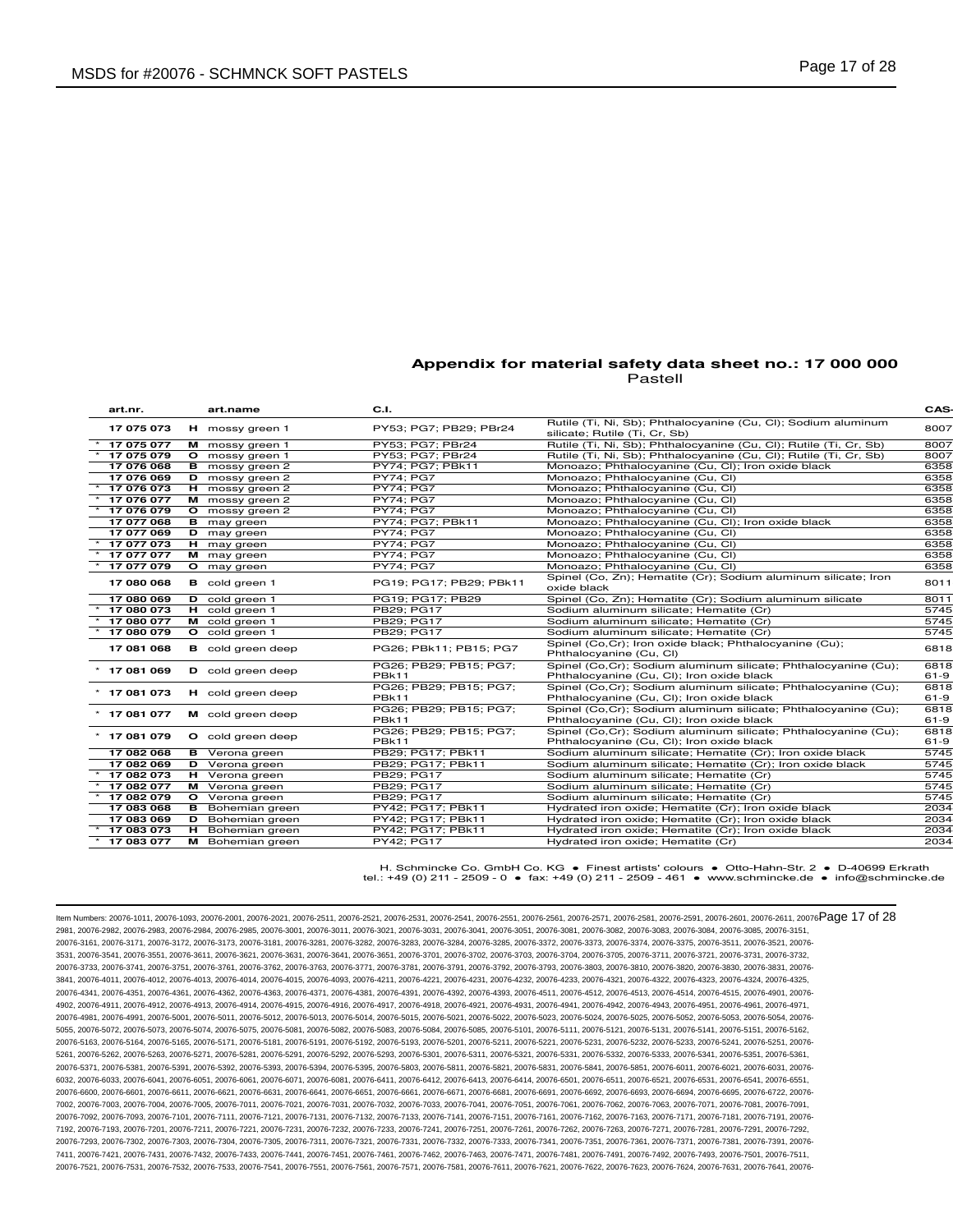| art.nr.        | art.name                 | C.I.                                   |                                                                                                              | CAS-             |
|----------------|--------------------------|----------------------------------------|--------------------------------------------------------------------------------------------------------------|------------------|
| 17 075 073     | H mossy green 1          | PY53; PG7; PB29; PBr24                 | Rutile (Ti, Ni, Sb); Phthalocyanine (Cu, Cl); Sodium aluminum<br>silicate; Rutile (Ti, Cr, Sb)               | 8007             |
| 17 075 077     | M mossy green 1          | PY53: PG7: PBr24                       | Rutile (Ti, Ni, Sb); Phthalocyanine (Cu, Cl); Rutile (Ti, Cr, Sb)                                            | 8007             |
| 17 075 079     | O mossy green 1          | PY53; PG7; PBr24                       | Rutile (Ti, Ni, Sb); Phthalocyanine (Cu, Cl); Rutile (Ti, Cr, Sb)                                            | 8007             |
| 17 076 068     | <b>B</b> mossy green 2   | PY74; PG7; PBk11                       | Monoazo; Phthalocyanine (Cu, Cl); Iron oxide black                                                           | 6358             |
| 17 076 069     | D mossy green 2          | <b>PY74: PG7</b>                       | Monoazo; Phthalocyanine (Cu, Cl)                                                                             | 6358             |
| 17 076 073     | H mossy green 2          | <b>PY74: PG7</b>                       | Monoazo; Phthalocyanine (Cu, Cl)                                                                             | 6358             |
| 17 076 077     | M mossy green 2          | <b>PY74: PG7</b>                       | Monoazo; Phthalocyanine (Cu, Cl)                                                                             | 6358             |
| 17 076 079     | O mossy green 2          | <b>PY74: PG7</b>                       | Monoazo; Phthalocyanine (Cu, Cl)                                                                             | 6358             |
| 17 077 068     | <b>B</b> may green       | PY74: PG7: PBk11                       | Monoazo; Phthalocyanine (Cu, Cl); Iron oxide black                                                           | 6358             |
| 17 077 069     | <b>D</b> may green       | PY74; PG7                              | Monoazo; Phthalocyanine (Cu, Cl)                                                                             | 6358             |
| 17 077 073     | H may green              | <b>PY74: PG7</b>                       | Monoazo; Phthalocyanine (Cu, Cl)                                                                             | 6358             |
| 17 077 077     | M may green              | <b>PY74; PG7</b>                       | Monoazo; Phthalocyanine (Cu, Cl)                                                                             | 6358             |
| 17 077 079     | O may green              | <b>PY74: PG7</b>                       | Monoazo; Phthalocyanine (Cu, Cl)                                                                             | 6358             |
| 17 080 068     | <b>B</b> cold green 1    | PG19; PG17; PB29; PBk11                | Spinel (Co, Zn); Hematite (Cr); Sodium aluminum silicate; Iron<br>oxide black                                | 8011             |
| 17 080 069     | D cold green 1           | PG19; PG17; PB29                       | Spinel (Co, Zn); Hematite (Cr); Sodium aluminum silicate                                                     | 8011             |
| 17 080 073     | H cold green 1           | PB29; PG17                             | Sodium aluminum silicate; Hematite (Cr)                                                                      | 5745             |
| 17 080 077     | M cold green 1           | PB29: PG17                             | Sodium aluminum silicate: Hematite (Cr)                                                                      | 5745             |
| 17 080 079     | O cold green 1           | PB29; PG17                             | Sodium aluminum silicate; Hematite (Cr)                                                                      | 5745             |
| 17 081 068     | <b>B</b> cold green deep | PG26: PBk11: PB15: PG7                 | Spinel (Co,Cr); Iron oxide black; Phthalocyanine (Cu);<br>Phthalocyanine (Cu, CI)                            | 6818             |
| 17 081 069     | D cold green deep        | PG26; PB29; PB15; PG7;<br><b>PBk11</b> | Spinel (Co,Cr); Sodium aluminum silicate; Phthalocyanine (Cu);<br>Phthalocyanine (Cu, Cl); Iron oxide black  | 6818<br>$61 - 9$ |
| $*$ 17 081 073 | H cold green deep        | PG26; PB29; PB15; PG7;<br><b>PBk11</b> | Spinel (Co, Cr); Sodium aluminum silicate; Phthalocyanine (Cu);<br>Phthalocyanine (Cu, Cl); Iron oxide black | 6818<br>$61 - 9$ |
| $*$ 17 081 077 | M cold green deep        | PG26; PB29; PB15; PG7;<br><b>PBk11</b> | Spinel (Co, Cr); Sodium aluminum silicate; Phthalocyanine (Cu);<br>Phthalocyanine (Cu, Cl); Iron oxide black | 6818<br>$61 - 9$ |
| * 17 081 079   | O cold green deep        | PG26; PB29; PB15; PG7;<br><b>PBk11</b> | Spinel (Co, Cr); Sodium aluminum silicate; Phthalocyanine (Cu);<br>Phthalocyanine (Cu, Cl); Iron oxide black | 6818<br>$61 - 9$ |
| 17 082 068     | <b>B</b> Verona green    | PB29: PG17: PBk11                      | Sodium aluminum silicate; Hematite (Cr); Iron oxide black                                                    | 5745             |
| 17 082 069     | <b>D</b> Verona green    | PB29: PG17: PBk11                      | Sodium aluminum silicate; Hematite (Cr); Iron oxide black                                                    | 5745             |
| 17 082 073     | H Verona green           | PB29: PG17                             | Sodium aluminum silicate; Hematite (Cr)                                                                      | 5745             |
| 17 082 077     | M Verona green           | PB29; PG17                             | Sodium aluminum silicate; Hematite (Cr)                                                                      | 5745             |
| 17 082 079     | O Verona green           | PB29; PG17                             | Sodium aluminum silicate; Hematite (Cr)                                                                      | 5745             |
| 17 083 068     | <b>B</b> Bohemian green  | PY42; PG17; PBk11                      | Hydrated iron oxide; Hematite (Cr); Iron oxide black                                                         | 2034             |
| 17 083 069     | <b>D</b> Bohemian green  | PY42; PG17; PBk11                      | Hydrated iron oxide; Hematite (Cr); Iron oxide black                                                         | 2034             |
| 17 083 073     | H Bohemian green         | PY42; PG17; PBk11                      | Hydrated iron oxide; Hematite (Cr); Iron oxide black                                                         | 2034             |
| 17 083 077     | M Bohemian green         | PY42; PG17                             | Hydrated iron oxide; Hematite (Cr)                                                                           | 2034             |
|                |                          |                                        |                                                                                                              |                  |

H. Schmincke Co. GmbH Co. KG ● Finest artists' colours ● Otto-Hahn-Str. 2 ● D-40699 Erkrath tel.: +49 (0) 211 - 2509 - 0 ● fax: +49 (0) 211 - 2509 - 461 ● www.schmincke.de ● info@schmincke.de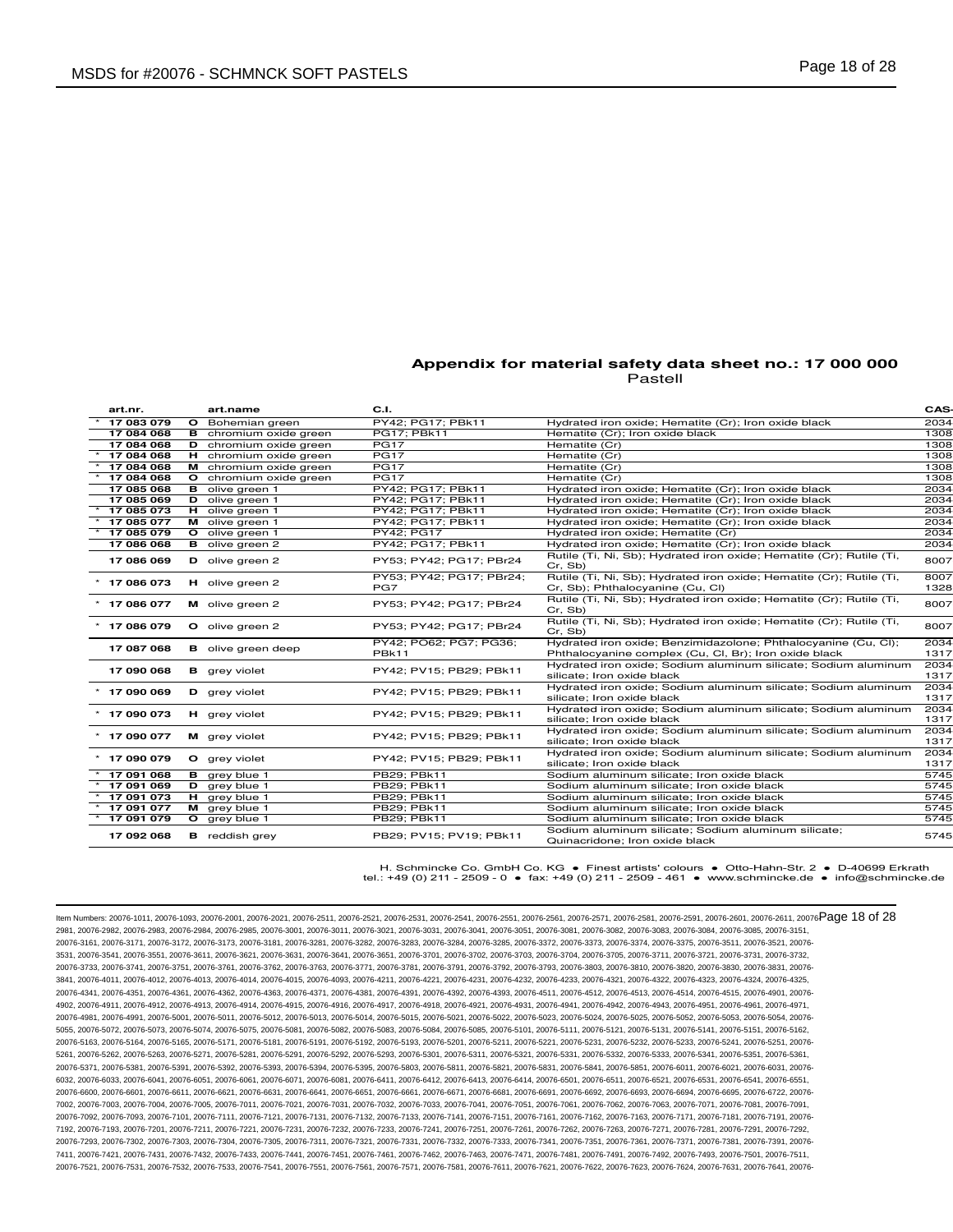| PY42: PG17: PBk11<br>17 083 079<br>O Bohemian green<br>Hydrated iron oxide; Hematite (Cr); Iron oxide black<br>17 084 068<br><b>B</b> chromium oxide green<br>PG17; PBk11<br>Hematite (Cr); Iron oxide black<br>17 084 068<br>D chromium oxide green<br><b>PG17</b><br>Hematite (Cr)<br>17 084 068<br>H chromium oxide green<br><b>PG17</b><br>Hematite (Cr)<br>17 084 068<br><b>PG17</b><br>Hematite (Cr)<br>M chromium oxide green<br>PG17<br>17 084 068<br>O chromium oxide green<br>Hematite (Cr)<br>PY42; PG17; PBk11<br>17 085 068<br>Hydrated iron oxide; Hematite (Cr); Iron oxide black<br><b>B</b> olive green 1<br>17 085 069<br>PY42: PG17: PBk11<br>Hydrated iron oxide; Hematite (Cr); Iron oxide black<br>D olive green 1<br>17 085 073<br>PY42; PG17; PBk11<br>Hydrated iron oxide; Hematite (Cr); Iron oxide black<br>H olive green 1<br>17 085 077<br>PY42; PG17; PBk11<br>Hydrated iron oxide; Hematite (Cr); Iron oxide black<br>M olive green 1<br>17 085 079<br>PY42; PG17<br>Hydrated iron oxide; Hematite (Cr)<br>O olive green 1<br>17 086 068<br>PY42; PG17; PBk11<br>Hydrated iron oxide; Hematite (Cr); Iron oxide black<br><b>B</b> olive green 2<br>Rutile (Ti, Ni, Sb); Hydrated iron oxide; Hematite (Cr); Rutile (Ti,<br>17 086 069<br>D olive green 2<br>PY53; PY42; PG17; PBr24<br>Cr. Sb)<br>Rutile (Ti, Ni, Sb); Hydrated iron oxide; Hematite (Cr); Rutile (Ti,<br>PY53; PY42; PG17; PBr24;<br>$*$ 17 086 073<br>H olive green 2<br>PG7<br>Cr, Sb); Phthalocyanine (Cu, Cl)<br>Rutile (Ti, Ni, Sb); Hydrated iron oxide; Hematite (Cr); Rutile (Ti,<br>PY53; PY42; PG17; PBr24<br>$*$ 17 086 077<br>M olive green 2<br>Cr. Sb)<br>Rutile (Ti, Ni, Sb); Hydrated iron oxide; Hematite (Cr); Rutile (Ti,<br>$*$ 17 086 079<br>PY53; PY42; PG17; PBr24<br>O olive green 2<br>Cr. Sb)<br>Hydrated iron oxide; Benzimidazolone; Phthalocyanine (Cu, Cl);<br>PY42: PO62: PG7: PG36:<br>17 087 068<br><b>B</b> olive green deep<br>PBk11<br>Phthalocyanine complex (Cu, Cl, Br); Iron oxide black<br>Hydrated iron oxide; Sodium aluminum silicate; Sodium aluminum<br>17 090 068<br>PY42; PV15; PB29; PBk11<br><b>B</b> grey violet<br>silicate; Iron oxide black<br>Hydrated iron oxide; Sodium aluminum silicate; Sodium aluminum<br>$*$ 17 090 069<br><b>D</b> grey violet<br>PY42; PV15; PB29; PBk11<br>silicate; Iron oxide black<br>Hydrated iron oxide; Sodium aluminum silicate; Sodium aluminum<br>$*$ 17 090 073<br><b>H</b> grey violet<br>PY42; PV15; PB29; PBk11<br>silicate; Iron oxide black<br>Hydrated iron oxide; Sodium aluminum silicate; Sodium aluminum<br>$*$ 17 090 077<br>PY42; PV15; PB29; PBk11<br>M grey violet<br>silicate: Iron oxide black<br>Hydrated iron oxide; Sodium aluminum silicate; Sodium aluminum<br>PY42: PV15: PB29: PBk11<br>$*$ 17 090 079<br>O grey violet<br>silicate; Iron oxide black<br>17 091 068<br><b>B</b> grey blue 1<br>PB29; PBk11<br>Sodium aluminum silicate; Iron oxide black<br>17 091 069<br>$D$ grey blue 1<br>PB29: PBk11<br>Sodium aluminum silicate: Iron oxide black<br>$*$ 17 091 073<br>H grey blue 1<br>PB29; PBk11<br>Sodium aluminum silicate; Iron oxide black<br>17 091 077<br>PB29; PBk11<br>M grey blue 1<br>Sodium aluminum silicate; Iron oxide black<br>17 091 079<br>PB29; PBk11<br>Sodium aluminum silicate; Iron oxide black<br>O grey blue 1<br>Sodium aluminum silicate; Sodium aluminum silicate;<br>17 092 068<br><b>B</b> reddish grey<br>PB29: PV15: PV19: PBk11<br>Quinacridone; Iron oxide black | art.nr. | art.name | C.I. | CAS-         |
|-----------------------------------------------------------------------------------------------------------------------------------------------------------------------------------------------------------------------------------------------------------------------------------------------------------------------------------------------------------------------------------------------------------------------------------------------------------------------------------------------------------------------------------------------------------------------------------------------------------------------------------------------------------------------------------------------------------------------------------------------------------------------------------------------------------------------------------------------------------------------------------------------------------------------------------------------------------------------------------------------------------------------------------------------------------------------------------------------------------------------------------------------------------------------------------------------------------------------------------------------------------------------------------------------------------------------------------------------------------------------------------------------------------------------------------------------------------------------------------------------------------------------------------------------------------------------------------------------------------------------------------------------------------------------------------------------------------------------------------------------------------------------------------------------------------------------------------------------------------------------------------------------------------------------------------------------------------------------------------------------------------------------------------------------------------------------------------------------------------------------------------------------------------------------------------------------------------------------------------------------------------------------------------------------------------------------------------------------------------------------------------------------------------------------------------------------------------------------------------------------------------------------------------------------------------------------------------------------------------------------------------------------------------------------------------------------------------------------------------------------------------------------------------------------------------------------------------------------------------------------------------------------------------------------------------------------------------------------------------------------------------------------------------------------------------------------------------------------------------------------------------------------------------------------------------------------------------------------------------------------------------------------------------------------------------------------------------------------------------------------------------------------------------------------------------------------------------------------------------------------------------------------------|---------|----------|------|--------------|
|                                                                                                                                                                                                                                                                                                                                                                                                                                                                                                                                                                                                                                                                                                                                                                                                                                                                                                                                                                                                                                                                                                                                                                                                                                                                                                                                                                                                                                                                                                                                                                                                                                                                                                                                                                                                                                                                                                                                                                                                                                                                                                                                                                                                                                                                                                                                                                                                                                                                                                                                                                                                                                                                                                                                                                                                                                                                                                                                                                                                                                                                                                                                                                                                                                                                                                                                                                                                                                                                                                                             |         |          |      | 2034         |
|                                                                                                                                                                                                                                                                                                                                                                                                                                                                                                                                                                                                                                                                                                                                                                                                                                                                                                                                                                                                                                                                                                                                                                                                                                                                                                                                                                                                                                                                                                                                                                                                                                                                                                                                                                                                                                                                                                                                                                                                                                                                                                                                                                                                                                                                                                                                                                                                                                                                                                                                                                                                                                                                                                                                                                                                                                                                                                                                                                                                                                                                                                                                                                                                                                                                                                                                                                                                                                                                                                                             |         |          |      | 1308         |
|                                                                                                                                                                                                                                                                                                                                                                                                                                                                                                                                                                                                                                                                                                                                                                                                                                                                                                                                                                                                                                                                                                                                                                                                                                                                                                                                                                                                                                                                                                                                                                                                                                                                                                                                                                                                                                                                                                                                                                                                                                                                                                                                                                                                                                                                                                                                                                                                                                                                                                                                                                                                                                                                                                                                                                                                                                                                                                                                                                                                                                                                                                                                                                                                                                                                                                                                                                                                                                                                                                                             |         |          |      | 1308         |
|                                                                                                                                                                                                                                                                                                                                                                                                                                                                                                                                                                                                                                                                                                                                                                                                                                                                                                                                                                                                                                                                                                                                                                                                                                                                                                                                                                                                                                                                                                                                                                                                                                                                                                                                                                                                                                                                                                                                                                                                                                                                                                                                                                                                                                                                                                                                                                                                                                                                                                                                                                                                                                                                                                                                                                                                                                                                                                                                                                                                                                                                                                                                                                                                                                                                                                                                                                                                                                                                                                                             |         |          |      | 1308         |
|                                                                                                                                                                                                                                                                                                                                                                                                                                                                                                                                                                                                                                                                                                                                                                                                                                                                                                                                                                                                                                                                                                                                                                                                                                                                                                                                                                                                                                                                                                                                                                                                                                                                                                                                                                                                                                                                                                                                                                                                                                                                                                                                                                                                                                                                                                                                                                                                                                                                                                                                                                                                                                                                                                                                                                                                                                                                                                                                                                                                                                                                                                                                                                                                                                                                                                                                                                                                                                                                                                                             |         |          |      | 1308         |
|                                                                                                                                                                                                                                                                                                                                                                                                                                                                                                                                                                                                                                                                                                                                                                                                                                                                                                                                                                                                                                                                                                                                                                                                                                                                                                                                                                                                                                                                                                                                                                                                                                                                                                                                                                                                                                                                                                                                                                                                                                                                                                                                                                                                                                                                                                                                                                                                                                                                                                                                                                                                                                                                                                                                                                                                                                                                                                                                                                                                                                                                                                                                                                                                                                                                                                                                                                                                                                                                                                                             |         |          |      | 1308         |
|                                                                                                                                                                                                                                                                                                                                                                                                                                                                                                                                                                                                                                                                                                                                                                                                                                                                                                                                                                                                                                                                                                                                                                                                                                                                                                                                                                                                                                                                                                                                                                                                                                                                                                                                                                                                                                                                                                                                                                                                                                                                                                                                                                                                                                                                                                                                                                                                                                                                                                                                                                                                                                                                                                                                                                                                                                                                                                                                                                                                                                                                                                                                                                                                                                                                                                                                                                                                                                                                                                                             |         |          |      | 2034         |
|                                                                                                                                                                                                                                                                                                                                                                                                                                                                                                                                                                                                                                                                                                                                                                                                                                                                                                                                                                                                                                                                                                                                                                                                                                                                                                                                                                                                                                                                                                                                                                                                                                                                                                                                                                                                                                                                                                                                                                                                                                                                                                                                                                                                                                                                                                                                                                                                                                                                                                                                                                                                                                                                                                                                                                                                                                                                                                                                                                                                                                                                                                                                                                                                                                                                                                                                                                                                                                                                                                                             |         |          |      | 2034         |
|                                                                                                                                                                                                                                                                                                                                                                                                                                                                                                                                                                                                                                                                                                                                                                                                                                                                                                                                                                                                                                                                                                                                                                                                                                                                                                                                                                                                                                                                                                                                                                                                                                                                                                                                                                                                                                                                                                                                                                                                                                                                                                                                                                                                                                                                                                                                                                                                                                                                                                                                                                                                                                                                                                                                                                                                                                                                                                                                                                                                                                                                                                                                                                                                                                                                                                                                                                                                                                                                                                                             |         |          |      | 2034         |
|                                                                                                                                                                                                                                                                                                                                                                                                                                                                                                                                                                                                                                                                                                                                                                                                                                                                                                                                                                                                                                                                                                                                                                                                                                                                                                                                                                                                                                                                                                                                                                                                                                                                                                                                                                                                                                                                                                                                                                                                                                                                                                                                                                                                                                                                                                                                                                                                                                                                                                                                                                                                                                                                                                                                                                                                                                                                                                                                                                                                                                                                                                                                                                                                                                                                                                                                                                                                                                                                                                                             |         |          |      | 2034         |
|                                                                                                                                                                                                                                                                                                                                                                                                                                                                                                                                                                                                                                                                                                                                                                                                                                                                                                                                                                                                                                                                                                                                                                                                                                                                                                                                                                                                                                                                                                                                                                                                                                                                                                                                                                                                                                                                                                                                                                                                                                                                                                                                                                                                                                                                                                                                                                                                                                                                                                                                                                                                                                                                                                                                                                                                                                                                                                                                                                                                                                                                                                                                                                                                                                                                                                                                                                                                                                                                                                                             |         |          |      | 2034         |
|                                                                                                                                                                                                                                                                                                                                                                                                                                                                                                                                                                                                                                                                                                                                                                                                                                                                                                                                                                                                                                                                                                                                                                                                                                                                                                                                                                                                                                                                                                                                                                                                                                                                                                                                                                                                                                                                                                                                                                                                                                                                                                                                                                                                                                                                                                                                                                                                                                                                                                                                                                                                                                                                                                                                                                                                                                                                                                                                                                                                                                                                                                                                                                                                                                                                                                                                                                                                                                                                                                                             |         |          |      | 2034         |
|                                                                                                                                                                                                                                                                                                                                                                                                                                                                                                                                                                                                                                                                                                                                                                                                                                                                                                                                                                                                                                                                                                                                                                                                                                                                                                                                                                                                                                                                                                                                                                                                                                                                                                                                                                                                                                                                                                                                                                                                                                                                                                                                                                                                                                                                                                                                                                                                                                                                                                                                                                                                                                                                                                                                                                                                                                                                                                                                                                                                                                                                                                                                                                                                                                                                                                                                                                                                                                                                                                                             |         |          |      | 8007         |
|                                                                                                                                                                                                                                                                                                                                                                                                                                                                                                                                                                                                                                                                                                                                                                                                                                                                                                                                                                                                                                                                                                                                                                                                                                                                                                                                                                                                                                                                                                                                                                                                                                                                                                                                                                                                                                                                                                                                                                                                                                                                                                                                                                                                                                                                                                                                                                                                                                                                                                                                                                                                                                                                                                                                                                                                                                                                                                                                                                                                                                                                                                                                                                                                                                                                                                                                                                                                                                                                                                                             |         |          |      | 8007<br>1328 |
|                                                                                                                                                                                                                                                                                                                                                                                                                                                                                                                                                                                                                                                                                                                                                                                                                                                                                                                                                                                                                                                                                                                                                                                                                                                                                                                                                                                                                                                                                                                                                                                                                                                                                                                                                                                                                                                                                                                                                                                                                                                                                                                                                                                                                                                                                                                                                                                                                                                                                                                                                                                                                                                                                                                                                                                                                                                                                                                                                                                                                                                                                                                                                                                                                                                                                                                                                                                                                                                                                                                             |         |          |      | 8007         |
|                                                                                                                                                                                                                                                                                                                                                                                                                                                                                                                                                                                                                                                                                                                                                                                                                                                                                                                                                                                                                                                                                                                                                                                                                                                                                                                                                                                                                                                                                                                                                                                                                                                                                                                                                                                                                                                                                                                                                                                                                                                                                                                                                                                                                                                                                                                                                                                                                                                                                                                                                                                                                                                                                                                                                                                                                                                                                                                                                                                                                                                                                                                                                                                                                                                                                                                                                                                                                                                                                                                             |         |          |      | 8007         |
|                                                                                                                                                                                                                                                                                                                                                                                                                                                                                                                                                                                                                                                                                                                                                                                                                                                                                                                                                                                                                                                                                                                                                                                                                                                                                                                                                                                                                                                                                                                                                                                                                                                                                                                                                                                                                                                                                                                                                                                                                                                                                                                                                                                                                                                                                                                                                                                                                                                                                                                                                                                                                                                                                                                                                                                                                                                                                                                                                                                                                                                                                                                                                                                                                                                                                                                                                                                                                                                                                                                             |         |          |      | 2034<br>1317 |
|                                                                                                                                                                                                                                                                                                                                                                                                                                                                                                                                                                                                                                                                                                                                                                                                                                                                                                                                                                                                                                                                                                                                                                                                                                                                                                                                                                                                                                                                                                                                                                                                                                                                                                                                                                                                                                                                                                                                                                                                                                                                                                                                                                                                                                                                                                                                                                                                                                                                                                                                                                                                                                                                                                                                                                                                                                                                                                                                                                                                                                                                                                                                                                                                                                                                                                                                                                                                                                                                                                                             |         |          |      | 2034<br>1317 |
|                                                                                                                                                                                                                                                                                                                                                                                                                                                                                                                                                                                                                                                                                                                                                                                                                                                                                                                                                                                                                                                                                                                                                                                                                                                                                                                                                                                                                                                                                                                                                                                                                                                                                                                                                                                                                                                                                                                                                                                                                                                                                                                                                                                                                                                                                                                                                                                                                                                                                                                                                                                                                                                                                                                                                                                                                                                                                                                                                                                                                                                                                                                                                                                                                                                                                                                                                                                                                                                                                                                             |         |          |      | 2034<br>1317 |
|                                                                                                                                                                                                                                                                                                                                                                                                                                                                                                                                                                                                                                                                                                                                                                                                                                                                                                                                                                                                                                                                                                                                                                                                                                                                                                                                                                                                                                                                                                                                                                                                                                                                                                                                                                                                                                                                                                                                                                                                                                                                                                                                                                                                                                                                                                                                                                                                                                                                                                                                                                                                                                                                                                                                                                                                                                                                                                                                                                                                                                                                                                                                                                                                                                                                                                                                                                                                                                                                                                                             |         |          |      | 2034<br>1317 |
|                                                                                                                                                                                                                                                                                                                                                                                                                                                                                                                                                                                                                                                                                                                                                                                                                                                                                                                                                                                                                                                                                                                                                                                                                                                                                                                                                                                                                                                                                                                                                                                                                                                                                                                                                                                                                                                                                                                                                                                                                                                                                                                                                                                                                                                                                                                                                                                                                                                                                                                                                                                                                                                                                                                                                                                                                                                                                                                                                                                                                                                                                                                                                                                                                                                                                                                                                                                                                                                                                                                             |         |          |      | 2034<br>1317 |
|                                                                                                                                                                                                                                                                                                                                                                                                                                                                                                                                                                                                                                                                                                                                                                                                                                                                                                                                                                                                                                                                                                                                                                                                                                                                                                                                                                                                                                                                                                                                                                                                                                                                                                                                                                                                                                                                                                                                                                                                                                                                                                                                                                                                                                                                                                                                                                                                                                                                                                                                                                                                                                                                                                                                                                                                                                                                                                                                                                                                                                                                                                                                                                                                                                                                                                                                                                                                                                                                                                                             |         |          |      | 2034<br>1317 |
|                                                                                                                                                                                                                                                                                                                                                                                                                                                                                                                                                                                                                                                                                                                                                                                                                                                                                                                                                                                                                                                                                                                                                                                                                                                                                                                                                                                                                                                                                                                                                                                                                                                                                                                                                                                                                                                                                                                                                                                                                                                                                                                                                                                                                                                                                                                                                                                                                                                                                                                                                                                                                                                                                                                                                                                                                                                                                                                                                                                                                                                                                                                                                                                                                                                                                                                                                                                                                                                                                                                             |         |          |      | 5745         |
|                                                                                                                                                                                                                                                                                                                                                                                                                                                                                                                                                                                                                                                                                                                                                                                                                                                                                                                                                                                                                                                                                                                                                                                                                                                                                                                                                                                                                                                                                                                                                                                                                                                                                                                                                                                                                                                                                                                                                                                                                                                                                                                                                                                                                                                                                                                                                                                                                                                                                                                                                                                                                                                                                                                                                                                                                                                                                                                                                                                                                                                                                                                                                                                                                                                                                                                                                                                                                                                                                                                             |         |          |      | 5745         |
|                                                                                                                                                                                                                                                                                                                                                                                                                                                                                                                                                                                                                                                                                                                                                                                                                                                                                                                                                                                                                                                                                                                                                                                                                                                                                                                                                                                                                                                                                                                                                                                                                                                                                                                                                                                                                                                                                                                                                                                                                                                                                                                                                                                                                                                                                                                                                                                                                                                                                                                                                                                                                                                                                                                                                                                                                                                                                                                                                                                                                                                                                                                                                                                                                                                                                                                                                                                                                                                                                                                             |         |          |      | 5745         |
|                                                                                                                                                                                                                                                                                                                                                                                                                                                                                                                                                                                                                                                                                                                                                                                                                                                                                                                                                                                                                                                                                                                                                                                                                                                                                                                                                                                                                                                                                                                                                                                                                                                                                                                                                                                                                                                                                                                                                                                                                                                                                                                                                                                                                                                                                                                                                                                                                                                                                                                                                                                                                                                                                                                                                                                                                                                                                                                                                                                                                                                                                                                                                                                                                                                                                                                                                                                                                                                                                                                             |         |          |      | 5745         |
|                                                                                                                                                                                                                                                                                                                                                                                                                                                                                                                                                                                                                                                                                                                                                                                                                                                                                                                                                                                                                                                                                                                                                                                                                                                                                                                                                                                                                                                                                                                                                                                                                                                                                                                                                                                                                                                                                                                                                                                                                                                                                                                                                                                                                                                                                                                                                                                                                                                                                                                                                                                                                                                                                                                                                                                                                                                                                                                                                                                                                                                                                                                                                                                                                                                                                                                                                                                                                                                                                                                             |         |          |      | 5745         |
|                                                                                                                                                                                                                                                                                                                                                                                                                                                                                                                                                                                                                                                                                                                                                                                                                                                                                                                                                                                                                                                                                                                                                                                                                                                                                                                                                                                                                                                                                                                                                                                                                                                                                                                                                                                                                                                                                                                                                                                                                                                                                                                                                                                                                                                                                                                                                                                                                                                                                                                                                                                                                                                                                                                                                                                                                                                                                                                                                                                                                                                                                                                                                                                                                                                                                                                                                                                                                                                                                                                             |         |          |      | 5745         |

H. Schmincke Co. GmbH Co. KG ● Finest artists' colours ● Otto-Hahn-Str. 2 ● D-40699 Erkrath tel.: +49 (0) 211 - 2509 - 0 ● fax: +49 (0) 211 - 2509 - 461 ● www.schmincke.de ● info@schmincke.de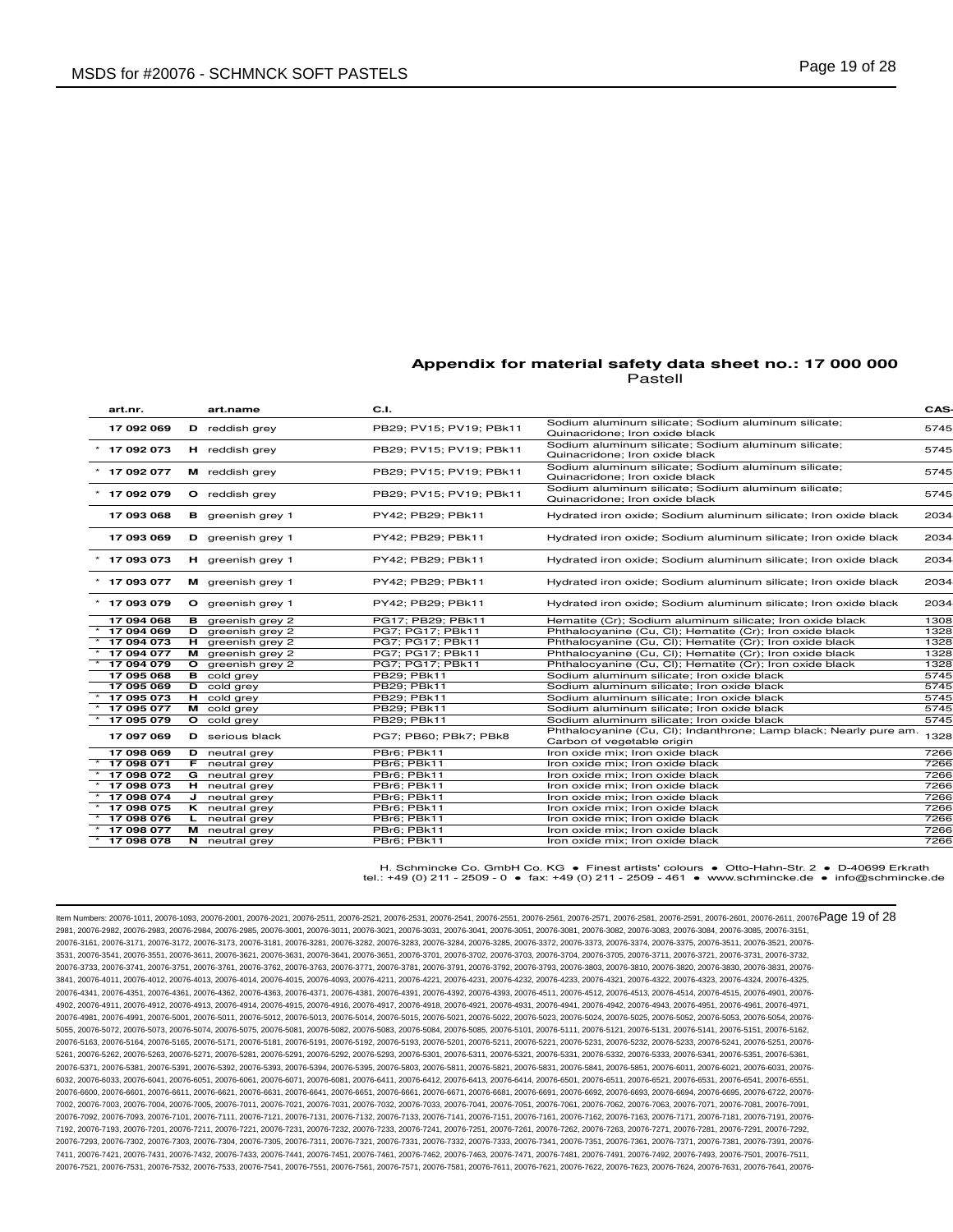| art nr.        | art.name                 | C.I.                    |                                                                                                 | CAS- |
|----------------|--------------------------|-------------------------|-------------------------------------------------------------------------------------------------|------|
| 17 092 069     | $D$ reddish grey         | PB29: PV15: PV19: PBk11 | Sodium aluminum silicate; Sodium aluminum silicate;<br>Quinacridone; Iron oxide black           | 5745 |
| 17 092 073     | H reddish grey           | PB29: PV15: PV19: PBk11 | Sodium aluminum silicate; Sodium aluminum silicate;<br>Quinacridone; Iron oxide black           | 5745 |
| $*$ 17 092 077 | M reddish grey           | PB29: PV15: PV19: PBk11 | Sodium aluminum silicate; Sodium aluminum silicate;<br>Quinacridone; Iron oxide black           | 5745 |
| 17 092 079     | O reddish grey           | PB29; PV15; PV19; PBk11 | Sodium aluminum silicate; Sodium aluminum silicate;<br>Quinacridone; Iron oxide black           | 5745 |
| 17 093 068     | <b>B</b> greenish grey 1 | PY42; PB29; PBk11       | Hydrated iron oxide; Sodium aluminum silicate; Iron oxide black                                 | 2034 |
| 17 093 069     | D greenish grey 1        | PY42; PB29; PBk11       | Hydrated iron oxide; Sodium aluminum silicate; Iron oxide black                                 | 2034 |
| 17 093 073     | <b>H</b> greenish grey 1 | PY42; PB29; PBk11       | Hydrated iron oxide; Sodium aluminum silicate; Iron oxide black                                 | 2034 |
| $*$ 17 093 077 | M greenish grey 1        | PY42; PB29; PBk11       | Hydrated iron oxide; Sodium aluminum silicate; Iron oxide black                                 | 2034 |
| $*$ 17 093 079 | O greenish grey 1        | PY42: PB29: PBk11       | Hydrated iron oxide; Sodium aluminum silicate; Iron oxide black                                 | 2034 |
| 17 094 068     | <b>B</b> greenish grey 2 | PG17: PB29: PBk11       | Hematite (Cr); Sodium aluminum silicate; Iron oxide black                                       | 1308 |
| 17 094 069     | D greenish grey 2        | PG7; PG17; PBk11        | Phthalocyanine (Cu, Cl); Hematite (Cr); Iron oxide black                                        | 1328 |
| 17 094 073     | $H$ greenish grey 2      | PG7: PG17: PBk11        | Phthalocyanine (Cu, Cl); Hematite (Cr); Iron oxide black                                        | 1328 |
| 17 094 077     | M greenish grey 2        | PG7; PG17; PBk11        | Phthalocyanine (Cu, Cl); Hematite (Cr); Iron oxide black                                        | 1328 |
| 17 094 079     | O greenish grey 2        | PG7; PG17; PBk11        | Phthalocyanine (Cu, Cl); Hematite (Cr); Iron oxide black                                        | 1328 |
| 17 095 068     | <b>B</b> cold grey       | PB29; PBk11             | Sodium aluminum silicate; Iron oxide black                                                      | 5745 |
| 17 095 069     | <b>D</b> cold grey       | PB29; PBk11             | Sodium aluminum silicate; Iron oxide black                                                      | 5745 |
| 17 095 073     | H cold grey              | <b>PB29; PBk11</b>      | Sodium aluminum silicate; Iron oxide black                                                      | 5745 |
| 17 095 077     | M cold grey              | PB29; PBk11             | Sodium aluminum silicate; Iron oxide black                                                      | 5745 |
| 17 095 079     | O cold grey              | PB29; PBk11             | Sodium aluminum silicate: Iron oxide black                                                      | 5745 |
| 17 097 069     | <b>D</b> serious black   | PG7; PB60; PBk7; PBk8   | Phthalocyanine (Cu, Cl); Indanthrone; Lamp black; Nearly pure am.<br>Carbon of vegetable origin | 1328 |
| 17 098 069     | <b>D</b> neutral grey    | PBr6; PBk11             | Iron oxide mix; Iron oxide black                                                                | 7266 |
| 17 098 071     | <b>F</b> neutral grey    | PBr6; PBk11             | Iron oxide mix; Iron oxide black                                                                | 7266 |
| 17 098 072     | G neutral grey           | PBr6: PBk11             | Iron oxide mix: Iron oxide black                                                                | 7266 |
| 17 098 073     | <b>H</b> neutral grey    | PBr6; PBk11             | Iron oxide mix; Iron oxide black                                                                | 7266 |
| 17 098 074     | $J$ neutral grey         | PBr6; PBk11             | Iron oxide mix; Iron oxide black                                                                | 7266 |
| 17 098 075     | <b>K</b> neutral grey    | PBr6: PBk11             | Iron oxide mix: Iron oxide black                                                                | 7266 |
| 17 098 076     | L neutral grey           | PBr6; PBk11             | Iron oxide mix; Iron oxide black                                                                | 7266 |
| 17 098 077     | M neutral grey           | PBr6; PBk11             | Iron oxide mix; Iron oxide black                                                                | 7266 |
| 17 098 078     | N neutral grey           | PBr6; PBk11             | Iron oxide mix; Iron oxide black                                                                | 7266 |

H. Schmincke Co. GmbH Co. KG ● Finest artists' colours ● Otto-Hahn-Str. 2 ● D-40699 Erkrath tel.: +49 (0) 211 - 2509 - 0 ● fax: +49 (0) 211 - 2509 - 461 ● www.schmincke.de ● info@schmincke.de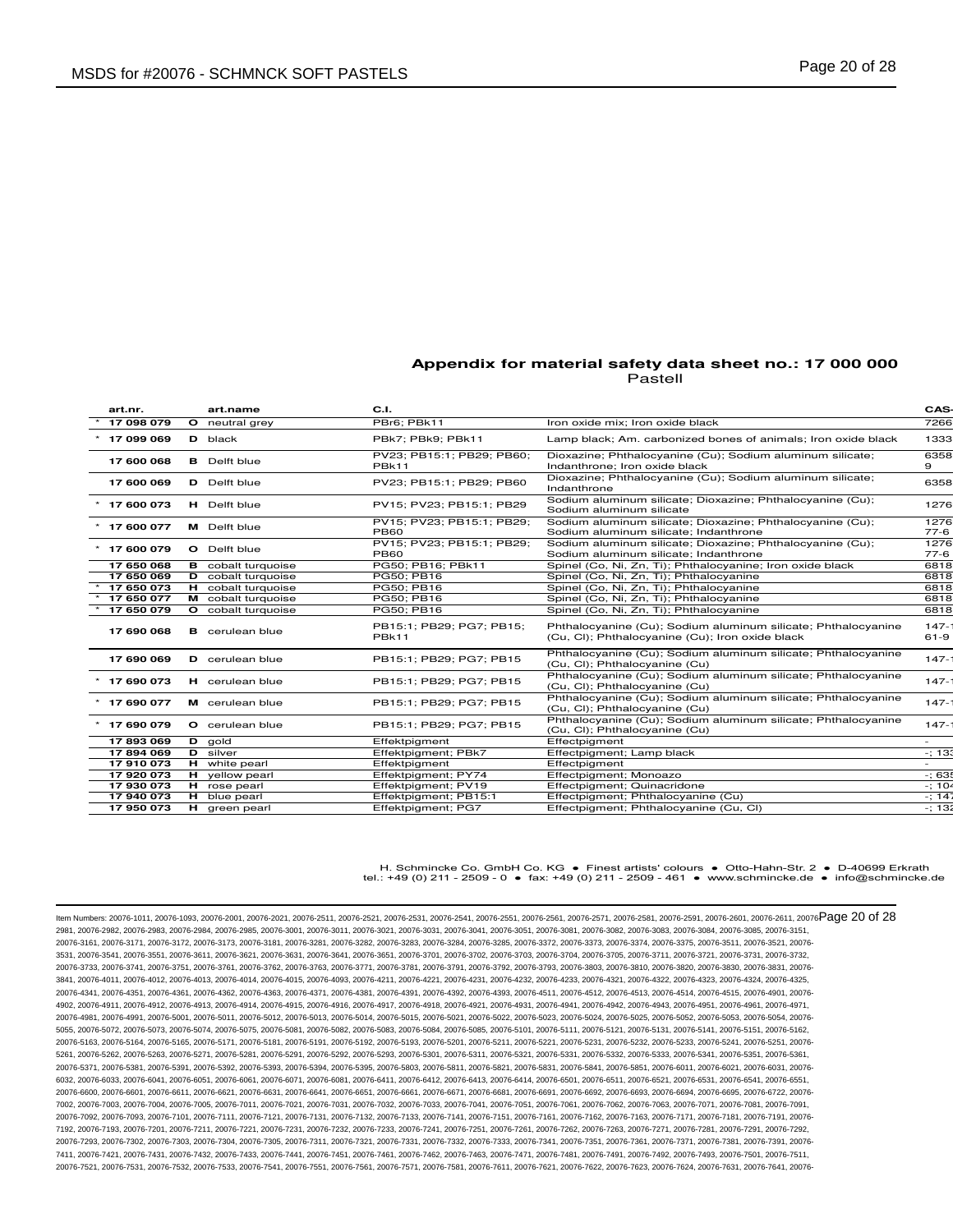| art.nr.        | art.name                  | C.I.                                     |                                                                                                                  | CAS-                |
|----------------|---------------------------|------------------------------------------|------------------------------------------------------------------------------------------------------------------|---------------------|
| 17 098 079     | O neutral grey            | PBr6: PBk11                              | Iron oxide mix: Iron oxide black                                                                                 | 7266                |
| 17 099 069     | <b>D</b> black            | PBk7; PBk9; PBk11                        | Lamp black; Am. carbonized bones of animals; Iron oxide black                                                    | 1333                |
| 17 600 068     | <b>B</b> Delft blue       | PV23: PB15:1: PB29: PB60:<br>PBk11       | Dioxazine; Phthalocyanine (Cu); Sodium aluminum silicate;<br>Indanthrone; Iron oxide black                       | 6358<br>9           |
| 17 600 069     | <b>D</b> Delft blue       | PV23: PB15:1: PB29: PB60                 | Dioxazine; Phthalocyanine (Cu); Sodium aluminum silicate;<br>Indanthrone                                         | 6358                |
| 17 600 073     | H Delft blue              | PV15; PV23; PB15:1; PB29                 | Sodium aluminum silicate; Dioxazine; Phthalocyanine (Cu);<br>Sodium aluminum silicate                            | 1276                |
| 17 600 077     | M Delft blue              | PV15; PV23; PB15:1; PB29;<br><b>PB60</b> | Sodium aluminum silicate; Dioxazine; Phthalocyanine (Cu);<br>Sodium aluminum silicate; Indanthrone               | 1276<br>$77-6$      |
| $*$ 17 600 079 | <b>O</b> Delft blue       | PV15; PV23; PB15:1; PB29;<br><b>PB60</b> | Sodium aluminum silicate; Dioxazine; Phthalocyanine (Cu);<br>Sodium aluminum silicate; Indanthrone               | 1276<br>$77-6$      |
| 17 650 068     | <b>B</b> cobalt turquoise | PG50: PB16: PBk11                        | Spinel (Co, Ni, Zn, Ti); Phthalocyanine; Iron oxide black                                                        | 6818                |
| 17 650 069     | <b>D</b> cobalt turquoise | PG50; PB16                               | Spinel (Co, Ni, Zn, Ti); Phthalocyanine                                                                          | 6818                |
| 17 650 073     | <b>H</b> cobalt turquoise | PG50; PB16                               | Spinel (Co, Ni, Zn, Ti); Phthalocyanine                                                                          | 6818                |
| 17 650 077     | M cobalt turquoise        | PG50; PB16                               | Spinel (Co, Ni, Zn, Ti); Phthalocyanine                                                                          | 6818                |
| 17 650 079     | O cobalt turquoise        | PG50; PB16                               | Spinel (Co, Ni, Zn, Ti); Phthalocyanine                                                                          | 6818                |
| 17 690 068     | <b>B</b> cerulean blue    | PB15:1; PB29; PG7; PB15;<br><b>PBk11</b> | Phthalocyanine (Cu); Sodium aluminum silicate; Phthalocyanine<br>(Cu, Cl); Phthalocyanine (Cu); Iron oxide black | $147 -$<br>$61 - 9$ |
| 17 690 069     | <b>D</b> cerulean blue    | PB15:1: PB29: PG7: PB15                  | Phthalocyanine (Cu); Sodium aluminum silicate; Phthalocyanine<br>(Cu, Cl); Phthalocyanine (Cu)                   | $147 -$             |
| $*$ 17 690 073 | H cerulean blue           | PB15:1; PB29; PG7; PB15                  | Phthalocyanine (Cu); Sodium aluminum silicate; Phthalocyanine<br>(Cu, Cl); Phthalocyanine (Cu)                   | $147 -$             |
| $*$ 17 690 077 | M cerulean blue           | PB15:1; PB29; PG7; PB15                  | Phthalocyanine (Cu); Sodium aluminum silicate; Phthalocyanine<br>(Cu, Cl); Phthalocyanine (Cu)                   | $147 -$             |
| $*$ 17 690 079 | O cerulean blue           | PB15:1; PB29; PG7; PB15                  | Phthalocyanine (Cu); Sodium aluminum silicate; Phthalocyanine<br>(Cu, Cl); Phthalocyanine (Cu)                   | $147 -$             |
| 17893069       | D gold                    | Effektpigment                            | Effectpigment                                                                                                    |                     |
| 17894069       | D silver                  | Effektpigment; PBk7                      | Effectpigment; Lamp black                                                                                        | $-; 133$            |
| 17910073       | H white pearl             | Effektpigment                            | Effectpigment                                                                                                    |                     |
| 17920073       | H yellow pearl            | Effektpigment; PY74                      | Effectpigment; Monoazo                                                                                           | $-;635$             |
| 17 930 073     | H rose pearl              | Effektpigment; PV19                      | Effectpigment; Quinacridone                                                                                      | $-; 104$            |
| 17 940 073     | H blue pearl              | Effektpigment; PB15:1                    | Effectpigment; Phthalocyanine (Cu)                                                                               | $-; 14$             |
| 17 950 073     | H green pearl             | Effektpigment; PG7                       | Effectpigment; Phthalocyanine (Cu, Cl)                                                                           | $-$ ; 132           |
|                |                           |                                          |                                                                                                                  |                     |

H. Schmincke Co. GmbH Co. KG ● Finest artists' colours ● Otto-Hahn-Str. 2 ● D-40699 Erkrath tel.: +49 (0) 211 - 2509 - 0 ● fax: +49 (0) 211 - 2509 - 461 ● www.schmincke.de ● info@schmincke.de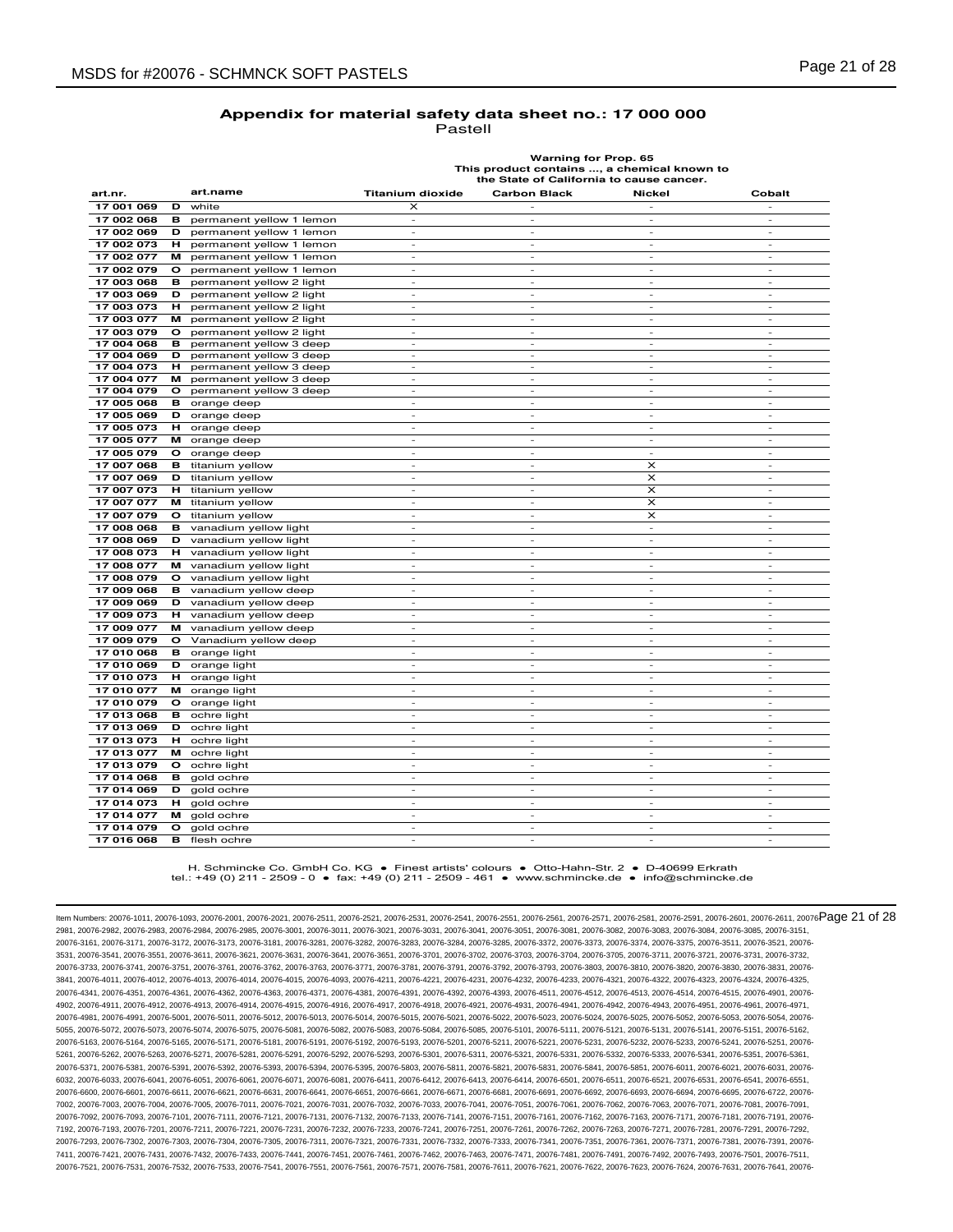| <b>Warning for Prop. 65</b>                 |
|---------------------------------------------|
| This product contains , a chemical known to |
| the State of California to cause cancer.    |

| art.nr.    |         | art.name                 | <b>Titanium dioxide</b>  | <b>Carbon Black</b>      | <b>Nickel</b>            | Cobalt                   |
|------------|---------|--------------------------|--------------------------|--------------------------|--------------------------|--------------------------|
| 17 001 069 | D       | white                    | x                        |                          |                          |                          |
| 17 002 068 | в       | permanent yellow 1 lemon | $\overline{\phantom{a}}$ |                          |                          |                          |
| 17 002 069 | D       | permanent yellow 1 lemon | $\overline{\phantom{a}}$ | $\sim$                   | $\sim$                   | $\sim$                   |
| 17 002 073 | н       | permanent yellow 1 lemon |                          | $\overline{\phantom{a}}$ |                          |                          |
| 17 002 077 | м       | permanent yellow 1 lemon | ÷.                       | ÷.                       | ÷.                       | $\sim$                   |
| 17 002 079 | $\circ$ | permanent yellow 1 lemon | $\overline{\phantom{a}}$ | $\sim$                   | $\sim$                   | $\sim$                   |
| 17 003 068 | в       | permanent yellow 2 light | $\overline{a}$           | $\overline{\phantom{a}}$ | L.                       | $\overline{\phantom{a}}$ |
| 17 003 069 | D       | permanent yellow 2 light | $\sim$                   | $\sim$                   | $\sim$                   | $\sim$                   |
| 17 003 073 | н       | permanent yellow 2 light |                          | ٠                        | $\overline{\phantom{a}}$ | $\overline{\phantom{a}}$ |
| 17 003 077 | м       | permanent yellow 2 light | $\overline{\phantom{a}}$ | $\sim$                   | $\sim$                   | $\sim$                   |
| 17 003 079 | $\circ$ | permanent yellow 2 light | $\sim$                   | $\sim$                   | $\sim$                   | $\sim$                   |
| 17 004 068 | в       | permanent yellow 3 deep  | $\overline{\phantom{m}}$ | $\overline{\phantom{m}}$ | $\overline{\phantom{a}}$ | $\overline{\phantom{a}}$ |
| 17 004 069 | D       | permanent yellow 3 deep  | ٠                        | ٠                        | $\overline{\phantom{a}}$ | $\sim$                   |
| 17 004 073 | н       | permanent yellow 3 deep  | $\overline{a}$           | $\overline{\phantom{0}}$ | $\overline{\phantom{a}}$ | $\overline{\phantom{a}}$ |
| 17 004 077 | м       | permanent yellow 3 deep  | $\overline{\phantom{a}}$ | $\overline{\phantom{a}}$ | $\overline{\phantom{a}}$ | $\sim$                   |
| 17 004 079 | o       | permanent yellow 3 deep  | $\overline{a}$           | ä,                       | $\sim$                   | $\overline{\phantom{a}}$ |
| 17 005 068 | в       | orange deep              | $\overline{a}$           | $\overline{a}$           | $\overline{\phantom{a}}$ | $\overline{\phantom{a}}$ |
| 17 005 069 | D       | orange deep              | $\overline{\phantom{a}}$ | $\overline{\phantom{a}}$ | $\overline{\phantom{a}}$ | $\overline{\phantom{a}}$ |
| 17 005 073 | н       | orange deep              | $\overline{\phantom{a}}$ | $\overline{\phantom{a}}$ | $\sim$                   | $\overline{\phantom{a}}$ |
| 17 005 077 | м       | orange deep              | ٠                        | ٠                        | $\overline{\phantom{a}}$ | $\overline{\phantom{a}}$ |
| 17 005 079 | o       | orange deep              | $\overline{\phantom{a}}$ | $\sim$                   | $\sim$                   | $\sim$                   |
| 17 007 068 | в       | titanium yellow          | $\overline{a}$           | $\overline{\phantom{0}}$ | $\times$                 | $\overline{\phantom{a}}$ |
| 17 007 069 | D       | titanium yellow          | $\overline{\phantom{a}}$ | $\overline{\phantom{a}}$ | $\times$                 | $\overline{\phantom{a}}$ |
| 17 007 073 | н.      | titanium yellow          | $\overline{\phantom{a}}$ | $\overline{\phantom{a}}$ | $\boldsymbol{\times}$    | $\sim$                   |
| 17 007 077 | м       | titanium yellow          | ٠                        | $\overline{\phantom{0}}$ | x                        | $\overline{\phantom{a}}$ |
| 17 007 079 | o       | titanium yellow          | $\overline{\phantom{a}}$ | $\sim$                   | $\pmb{\times}$           | $\overline{\phantom{a}}$ |
| 17 008 068 | в       | vanadium yellow light    | $\overline{a}$           | $\overline{\phantom{0}}$ | $\bar{a}$                | $\sim$                   |
| 17 008 069 | D       | vanadium yellow light    | $\overline{\phantom{a}}$ | $\overline{\phantom{a}}$ | $\overline{\phantom{a}}$ | $\overline{\phantom{a}}$ |
| 17 008 073 | н.      | vanadium yellow light    | $\overline{\phantom{a}}$ | $\overline{\phantom{a}}$ | $\overline{\phantom{a}}$ | $\overline{\phantom{a}}$ |
| 17 008 077 | м       | vanadium yellow light    | $\overline{a}$           | $\sim$                   | $\sim$                   | $\sim$                   |
| 17 008 079 | $\circ$ | vanadium yellow light    | $\overline{\phantom{a}}$ | $\sim$                   | $\sim$                   | $\sim$                   |
| 17 009 068 | в       | vanadium yellow deep     | $\overline{\phantom{a}}$ | $\overline{\phantom{a}}$ | $\overline{\phantom{a}}$ | $\overline{\phantom{a}}$ |
| 17 009 069 | D       | vanadium yellow deep     | $\overline{\phantom{a}}$ | $\overline{\phantom{a}}$ | $\overline{\phantom{a}}$ | $\overline{\phantom{a}}$ |
| 17 009 073 | н.      | vanadium yellow deep     | $\overline{\phantom{a}}$ | $\overline{\phantom{a}}$ | $\overline{\phantom{a}}$ | $\sim$                   |
| 17 009 077 | м       | vanadium yellow deep     |                          |                          |                          |                          |
| 17 009 079 | o       | Vanadium yellow deep     | $\overline{\phantom{a}}$ | $\sim$                   | $\sim$                   | $\sim$                   |
| 17 010 068 | в       | orange light             | $\overline{\phantom{a}}$ | $\overline{\phantom{a}}$ | $\overline{\phantom{a}}$ | $\overline{\phantom{a}}$ |
| 17 010 069 | D       | orange light             | ٠                        | $\sim$                   | $\sim$                   | $\sim$                   |
| 17 010 073 | н.      | orange light             | $\overline{\phantom{a}}$ | $\sim$                   | $\overline{\phantom{a}}$ | $\overline{\phantom{a}}$ |
| 17 010 077 | м       | orange light             |                          |                          |                          |                          |
| 17 010 079 | o       | orange light             | ٠                        | $\overline{\phantom{a}}$ | $\overline{\phantom{a}}$ | $\overline{\phantom{a}}$ |
| 17 013 068 | в       | ochre light              | $\overline{\phantom{a}}$ | $\overline{\phantom{a}}$ | $\overline{\phantom{a}}$ | $\overline{\phantom{a}}$ |
| 17 013 069 | D       | ochre light              | ٠                        | $\sim$                   | $\sim$                   | $\sim$                   |
| 17 013 073 | н.      | ochre light              | $\overline{\phantom{a}}$ | $\overline{\phantom{a}}$ | $\sim$                   | $\overline{\phantom{a}}$ |
| 17 013 077 | м       | ochre light              |                          |                          |                          |                          |
| 17 013 079 | o       | ochre light              | ×,                       | $\overline{\phantom{a}}$ | $\sim$                   | $\overline{\phantom{a}}$ |
| 17 014 068 | в       | gold ochre               | ×,                       | ٠                        | $\sim$                   | $\sim$                   |
| 17 014 069 | D       | gold ochre               | $\overline{\phantom{a}}$ | $\overline{\phantom{a}}$ | $\overline{\phantom{a}}$ | $\overline{\phantom{a}}$ |
| 17 014 073 | н       | gold ochre               | $\overline{\phantom{a}}$ | $\overline{\phantom{a}}$ | $\sim$                   | $\overline{\phantom{a}}$ |
| 17 014 077 | м       | gold ochre               |                          |                          |                          |                          |
| 17 014 079 | O       | gold ochre               | $\overline{\phantom{a}}$ | ٠                        | $\overline{\phantom{a}}$ | $\overline{\phantom{a}}$ |
| 17 016 068 | в       | flesh ochre              | ×,                       | $\sim$                   | $\sim$                   | $\sim$                   |

H. Schmincke Co. GmbH Co. KG ● Finest artists' colours ● Otto-Hahn-Str. 2 ● D-40699 Erkrath tel.: +49 (0) 211 - 2509 - 0 ● fax: +49 (0) 211 - 2509 - 461 ● www.schmincke.de ● info@schmincke.de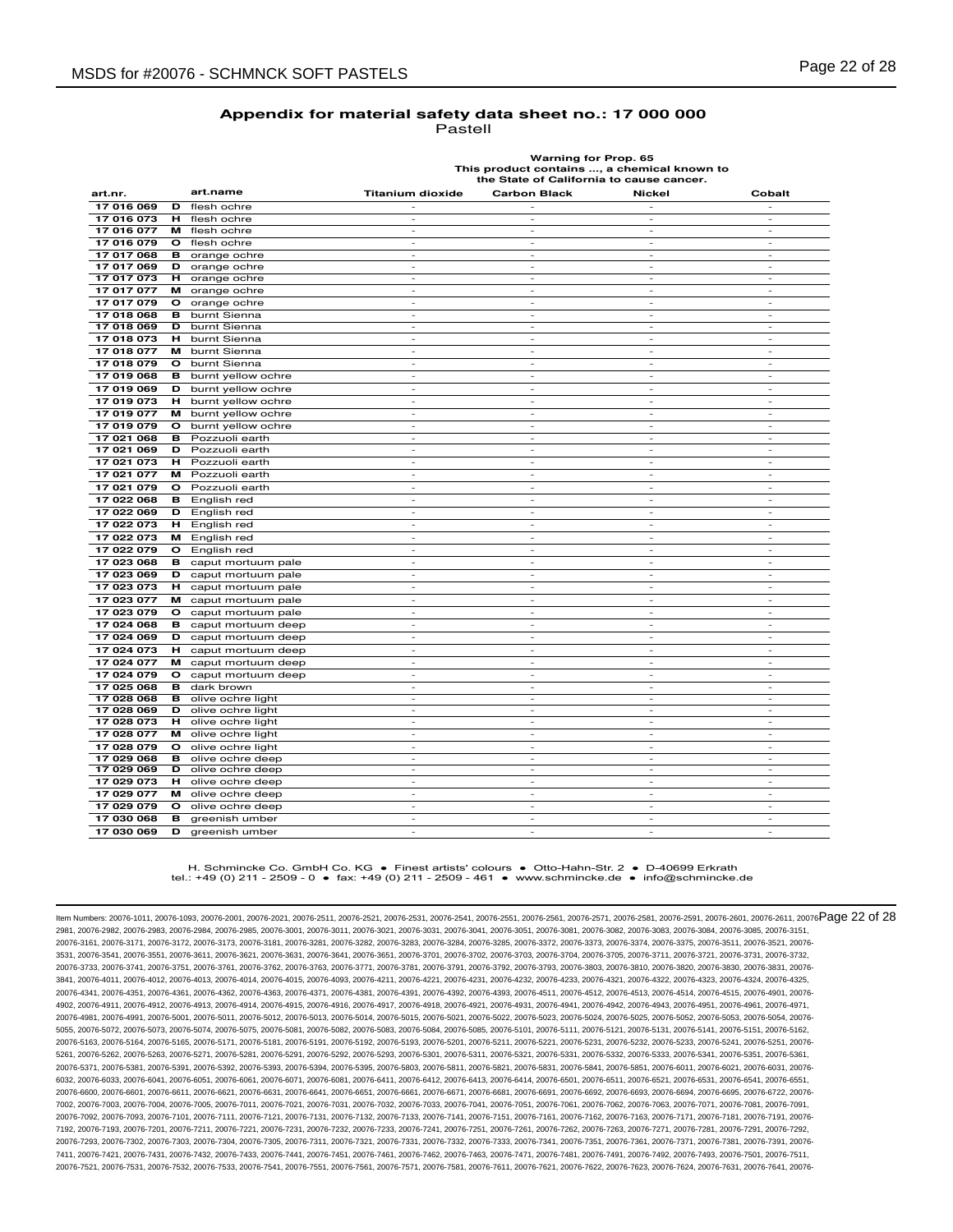| ı<br><br>- |  |
|------------|--|
|------------|--|

**Warning for Prop. 65 This product contains ..., a chemical known to the State of California to cause cancer.**

| art.nr.    |         | art.name           | <b>Titanium dioxide</b>  | <b>Carbon Black</b>      | Nickel                   | Cobalt                   |
|------------|---------|--------------------|--------------------------|--------------------------|--------------------------|--------------------------|
| 17 016 069 | D       | flesh ochre        |                          |                          | $\frac{1}{2}$            |                          |
| 17 016 073 | н       | flesh ochre        | ٠                        | ÷,                       | $\overline{\phantom{a}}$ | $\overline{\phantom{a}}$ |
| 17 016 077 | м       | flesh ochre        | ٠                        | ٠                        | ٠                        | ٠                        |
| 17 016 079 | $\circ$ | flesh ochre        | $\overline{\phantom{a}}$ | $\overline{\phantom{a}}$ | $\overline{\phantom{a}}$ | $\overline{\phantom{a}}$ |
| 17 017 068 | в       | orange ochre       | $\overline{\phantom{a}}$ | $\overline{\phantom{a}}$ | $\overline{\phantom{a}}$ | $\sim$                   |
| 17 017 069 | D       | orange ochre       | $\overline{\phantom{a}}$ | $\overline{\phantom{a}}$ | $\overline{\phantom{a}}$ | $\overline{\phantom{a}}$ |
| 17 017 073 | н       | orange ochre       | $\sim$                   | ÷.                       | $\sim$                   | $\sim$                   |
| 17 017 077 | м       | orange ochre       | ٠                        | ٠                        | $\overline{\phantom{a}}$ | $\overline{\phantom{a}}$ |
| 17 017 079 | $\circ$ | orange ochre       | $\overline{\phantom{a}}$ | $\sim$                   | $\sim$                   | $\sim$                   |
| 17 018 068 | в       | burnt Sienna       | $\overline{\phantom{a}}$ | $\overline{\phantom{a}}$ | $\overline{\phantom{a}}$ | $\overline{\phantom{a}}$ |
| 17 018 069 | D       | burnt Sienna       | $\sim$                   | ÷.                       | ٠                        | ÷.                       |
| 17 018 073 | н       | burnt Sienna       | $\overline{\phantom{a}}$ | $\overline{\phantom{a}}$ | $\bar{\phantom{a}}$      | $\overline{\phantom{a}}$ |
| 17 018 077 | м       | burnt Sienna       | $\overline{\phantom{a}}$ | $\overline{\phantom{m}}$ | $\overline{a}$           | $\overline{\phantom{a}}$ |
| 17 018 079 | o       | burnt Sienna       | $\overline{\phantom{a}}$ | $\overline{\phantom{a}}$ | $\sim$                   | $\overline{\phantom{a}}$ |
| 17 019 068 | в       | burnt yellow ochre | $\overline{a}$           | $\overline{a}$           | $\overline{a}$           |                          |
| 17 019 069 | D       | burnt yellow ochre | $\overline{\phantom{a}}$ | $\overline{\phantom{a}}$ | $\overline{a}$           | $\bar{\phantom{a}}$      |
| 17 019 073 | н       | burnt yellow ochre | $\sim$                   | $\sim$                   | $\sim$                   | $\sim$                   |
| 17 019 077 | м       | burnt yellow ochre | $\sim$                   | $\sim$                   | $\sim$                   | $\sim$                   |
| 17 019 079 | $\circ$ | burnt yellow ochre | $\overline{\phantom{a}}$ | $\overline{\phantom{a}}$ | $\overline{\phantom{a}}$ | $\overline{\phantom{a}}$ |
| 17 021 068 | в       | Pozzuoli earth     | $\overline{\phantom{a}}$ | $\overline{\phantom{m}}$ | $\overline{\phantom{m}}$ | $\overline{\phantom{a}}$ |
| 17 021 069 | D       | Pozzuoli earth     | $\overline{\phantom{a}}$ | ä,                       | ä,                       | ÷.                       |
| 17 021 073 | н       | Pozzuoli earth     | $\sim$                   | $\overline{\phantom{a}}$ | $\overline{\phantom{a}}$ | $\sim$                   |
| 17 021 077 | м       | Pozzuoli earth     | $\overline{a}$           | $\overline{a}$           | $\overline{a}$           | $\overline{\phantom{a}}$ |
| 17 021 079 | o       | Pozzuoli earth     | $\sim$                   | $\sim$                   | ٠                        | $\overline{\phantom{a}}$ |
| 17 022 068 | в       | English red        | $\overline{\phantom{a}}$ | $\sim$                   | $\sim$                   | $\overline{\phantom{a}}$ |
| 17 022 069 | D       | English red        | $\overline{\phantom{a}}$ | $\sim$                   | $\overline{\phantom{a}}$ | $\sim$                   |
| 17 022 073 | н       | English red        | $\overline{a}$           | $\overline{\phantom{a}}$ | ä,                       | $\overline{\phantom{a}}$ |
| 17 022 073 | м       | English red        | ٠                        | ٠                        | ٠                        | $\sim$                   |
| 17 022 079 | $\circ$ | English red        | $\sim$                   | $\overline{\phantom{a}}$ | $\sim$                   | $\sim$                   |
| 17 023 068 | в       | caput mortuum pale | ٠                        | ÷,                       | ÷,                       | $\overline{\phantom{a}}$ |
| 17 023 069 | D       | caput mortuum pale | $\sim$                   | $\overline{\phantom{a}}$ | $\overline{\phantom{a}}$ | $\sim$                   |
| 17 023 073 | н       | caput mortuum pale | $\sim$                   | $\sim$                   | $\sim$                   | $\sim$                   |
| 17 023 077 | м       | caput mortuum pale | $\overline{\phantom{a}}$ | $\overline{\phantom{a}}$ | $\overline{\phantom{a}}$ | $\overline{\phantom{a}}$ |
| 17 023 079 | o       | caput mortuum pale | $\overline{\phantom{a}}$ | $\overline{a}$           | $\overline{a}$           | $\overline{\phantom{a}}$ |
| 17 024 068 | в       | caput mortuum deep | $\sim$                   | ÷.                       | ÷.                       | $\sim$                   |
| 17 024 069 | D       | caput mortuum deep | $\overline{\phantom{a}}$ | ÷.                       | $\overline{\phantom{a}}$ | $\sim$                   |
| 17 024 073 | н       | caput mortuum deep | ٠                        | $\overline{\phantom{a}}$ | $\bar{\phantom{a}}$      | $\overline{\phantom{a}}$ |
| 17 024 077 | м       | caput mortuum deep | $\overline{\phantom{a}}$ | $\sim$                   | $\sim$                   | $\sim$                   |
| 17 024 079 | o       | caput mortuum deep | $\overline{\phantom{a}}$ | $\overline{\phantom{a}}$ | $\overline{\phantom{a}}$ | $\sim$                   |
| 17 025 068 | в       | dark brown         | $\overline{\phantom{a}}$ | $\overline{\phantom{a}}$ | $\overline{\phantom{a}}$ | $\overline{\phantom{a}}$ |
| 17 028 068 | в       | olive ochre light  | $\sim$                   | $\overline{\phantom{a}}$ | $\overline{\phantom{a}}$ | $\sim$                   |
| 17 028 069 | D       | olive ochre light  | $\overline{\phantom{a}}$ | $\overline{\phantom{m}}$ | $\overline{\phantom{m}}$ | $\overline{\phantom{a}}$ |
| 17 028 073 | н       | olive ochre light  | $\overline{\phantom{a}}$ | $\overline{\phantom{a}}$ | $\bar{\phantom{a}}$      | $\bar{\phantom{a}}$      |
| 17 028 077 | м       | olive ochre light  | $\sim$                   | $\sim$                   | $\sim$                   | $\sim$                   |
| 17 028 079 | $\circ$ | olive ochre light  | $\sim$                   | $\sim$                   | $\sim$                   | $\sim$                   |
| 17 029 068 | в       | olive ochre deep   | $\sim$                   | $\overline{\phantom{a}}$ | $\overline{\phantom{a}}$ | $\sim$                   |
| 17 029 069 | D       | olive ochre deep   | $\overline{\phantom{a}}$ | ٠                        | ٠                        | $\overline{\phantom{a}}$ |
| 17 029 073 | н       | olive ochre deep   | L,                       | L,                       | L,                       | L,                       |
| 17 029 077 | м       | olive ochre deep   | $\sim$                   | ٠                        | ٠                        | $\sim$                   |
| 17 029 079 | o       | olive ochre deep   | $\overline{\phantom{a}}$ | ٠.                       | $\sim$                   | $\sim$                   |
| 17 030 068 | в       | greenish umber     | $\overline{\phantom{a}}$ | $\overline{\phantom{a}}$ | $\overline{\phantom{a}}$ | $\overline{a}$           |
| 17 030 069 | D       | greenish umber     | ÷,                       | ÷,                       | L,                       | L,                       |

#### H. Schmincke Co. GmbH Co. KG ● Finest artists' colours ● Otto-Hahn-Str. 2 ● D-40699 Erkrath tel.: +49 (0) 211 - 2509 - 0 ● fax: +49 (0) 211 - 2509 - 461 ● www.schmincke.de ● info@schmincke.de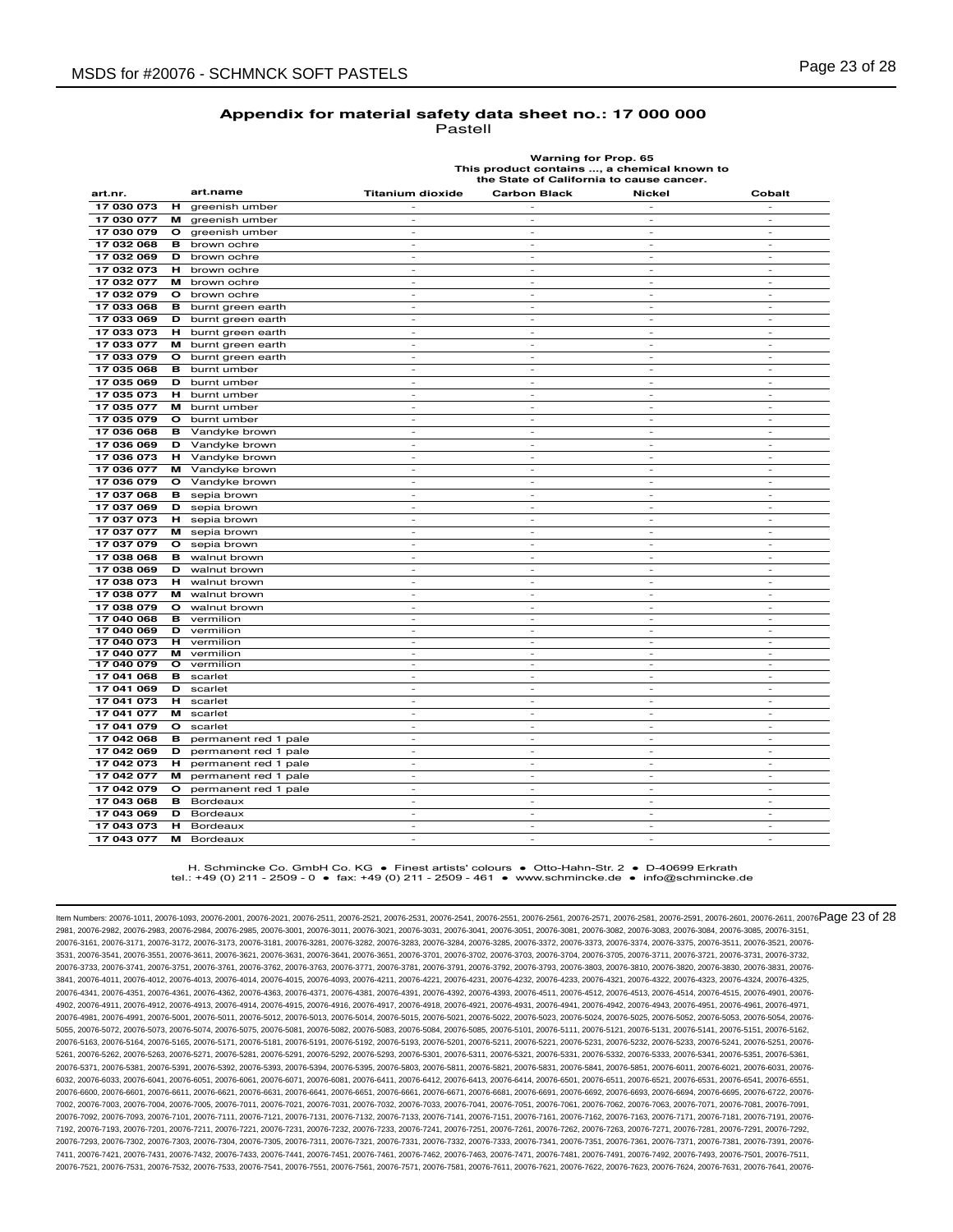| astell |  |
|--------|--|
|--------|--|

**Warning for Prop. 65 This product contains ..., a chemical known to the State of California to cause cancer.**

| art.nr.    |         | art.name             | <b>Titanium dioxide</b>     | <b>Carbon Black</b>      | Nickel                   | Cobalt                   |
|------------|---------|----------------------|-----------------------------|--------------------------|--------------------------|--------------------------|
| 17 030 073 | н       | greenish umber       |                             |                          |                          |                          |
| 17 030 077 | м       | greenish umber       |                             |                          |                          |                          |
| 17 030 079 | o       | greenish umber       | $\overline{\phantom{a}}$    | $\sim$                   | $\sim$                   | $\sim$                   |
| 17 032 068 | в       | brown ochre          | $\overline{\phantom{a}}$    | $\overline{\phantom{a}}$ | $\overline{\phantom{a}}$ | $\overline{\phantom{a}}$ |
| 17 032 069 | D       | brown ochre          | $\overline{\phantom{a}}$    | $\overline{a}$           | $\overline{\phantom{a}}$ | $\overline{\phantom{a}}$ |
| 17 032 073 | н       | brown ochre          | $\overline{\phantom{0}}$    | $\sim$                   | $\overline{\phantom{a}}$ | $\overline{\phantom{a}}$ |
| 17 032 077 | м       | brown ochre          | $\overline{\phantom{a}}$    | $\overline{\phantom{a}}$ | $\overline{\phantom{a}}$ | $\overline{\phantom{a}}$ |
| 17 032 079 | o       | brown ochre          | ٠                           | ٠                        | $\overline{\phantom{a}}$ | $\sim$                   |
| 17 033 068 | в       | burnt green earth    | $\mathcal{L}_{\mathcal{A}}$ | $\sim$                   | $\sim$                   | $\sim$                   |
| 17 033 069 | D       | burnt green earth    | $\overline{a}$              | $\overline{a}$           | $\overline{a}$           | $\overline{\phantom{a}}$ |
| 17 033 073 | н       | burnt green earth    | ×,                          | ٠                        | ٠                        | $\sim$                   |
| 17 033 077 | м       | burnt green earth    | $\overline{\phantom{a}}$    | $\sim$                   | $\overline{\phantom{a}}$ | $\overline{\phantom{a}}$ |
| 17 033 079 | O       | burnt green earth    | $\overline{\phantom{a}}$    | $\bar{\phantom{a}}$      | $\overline{\phantom{a}}$ | $\overline{\phantom{a}}$ |
| 17 035 068 | в       | burnt umber          | ×,                          | ٠                        | $\overline{\phantom{a}}$ | $\sim$                   |
| 17 035 069 | D       | burnt umber          | $\overline{\phantom{a}}$    | $\overline{\phantom{a}}$ | $\overline{\phantom{a}}$ | $\overline{\phantom{a}}$ |
| 17 035 073 | н       | burnt umber          | $\overline{a}$              | $\overline{\phantom{a}}$ | $\overline{\phantom{a}}$ | $\overline{\phantom{a}}$ |
| 17 035 077 | м       | burnt umber          | $\overline{\phantom{a}}$    | $\overline{\phantom{a}}$ | $\overline{\phantom{a}}$ | $\overline{\phantom{a}}$ |
| 17 035 079 | O       | burnt umber          | $\overline{\phantom{a}}$    | $\sim$                   | $\sim$                   | $\overline{\phantom{a}}$ |
| 17 036 068 | в       | Vandyke brown        |                             |                          |                          |                          |
| 17 036 069 | D       | Vandyke brown        | ٠                           | ٠                        | $\overline{\phantom{a}}$ | $\sim$                   |
| 17 036 073 | н.      | Vandyke brown        | $\sim$                      | $\overline{\phantom{a}}$ | $\sim$                   | $\sim$                   |
| 17 036 077 | м       | Vandyke brown        | $\overline{\phantom{a}}$    | $\overline{\phantom{a}}$ | $\overline{a}$           | $\overline{\phantom{a}}$ |
| 17 036 079 | $\circ$ | Vandyke brown        | $\sim$                      | $\sim$                   | $\sim$                   | $\sim$                   |
| 17 037 068 | в       | sepia brown          | $\overline{\phantom{a}}$    | $\overline{\phantom{m}}$ | $\overline{\phantom{a}}$ | $\overline{\phantom{a}}$ |
| 17 037 069 | D       | sepia brown          | $\overline{\phantom{a}}$    | $\overline{a}$           | $\overline{a}$           | $\overline{a}$           |
| 17 037 073 | н       | sepia brown          | $\sim$                      | $\sim$                   | $\sim$                   | $\sim$                   |
| 17 037 077 | м       | sepia brown          | ٠                           | $\sim$                   | $\sim$                   | $\sim$                   |
| 17 037 079 | $\circ$ | sepia brown          | $\overline{\phantom{a}}$    | $\overline{\phantom{a}}$ | $\sim$                   | $\sim$                   |
| 17 038 068 | в       | walnut brown         | $\sim$                      | $\overline{\phantom{a}}$ | $\overline{\phantom{a}}$ | $\overline{\phantom{a}}$ |
| 17 038 069 | D       | walnut brown         | $\overline{\phantom{a}}$    | $\bar{\phantom{a}}$      | $\overline{\phantom{a}}$ | $\overline{\phantom{a}}$ |
| 17 038 073 | н       | walnut brown         | ×,                          | ٠                        | ٠                        | $\sim$                   |
| 17 038 077 | м       | walnut brown         | $\mathcal{L}_{\mathcal{A}}$ | $\sim$                   | $\sim$                   | $\sim$                   |
| 17 038 079 | o       | walnut brown         | $\overline{\phantom{a}}$    | $\overline{\phantom{a}}$ | $\overline{\phantom{a}}$ | $\overline{\phantom{a}}$ |
| 17 040 068 | в       | vermilion            | $\overline{\phantom{m}}$    | $\overline{a}$           | $\overline{\phantom{a}}$ | $\overline{\phantom{a}}$ |
| 17 040 069 | D       | vermilion            | $\overline{a}$              | $\frac{1}{2}$            | $\overline{a}$           | $\overline{\phantom{a}}$ |
| 17 040 073 | н       | vermilion            | $\sim$                      | $\sim$                   | $\sim$                   | $\sim$                   |
| 17 040 077 | м       | vermilion            | $\overline{\phantom{a}}$    | $\bar{\phantom{a}}$      | $\overline{\phantom{a}}$ | $\overline{\phantom{a}}$ |
| 17 040 079 | O       | vermilion            | ٠                           | $\overline{\phantom{a}}$ | $\overline{\phantom{a}}$ | $\sim$                   |
| 17 041 068 | в       | scarlet              | $\overline{\phantom{a}}$    | $\overline{\phantom{a}}$ | $\sim$                   | $\sim$                   |
| 17 041 069 | D       | scarlet              |                             |                          |                          |                          |
| 17 041 073 | н       | scarlet              | ÷.                          | ٠                        | $\overline{\phantom{a}}$ | $\sim$                   |
| 17 041 077 | м       | scarlet              | $\sim$                      | $\overline{\phantom{a}}$ | $\sim$                   | $\sim$                   |
| 17 041 079 | o       | scarlet              | $\overline{\phantom{m}}$    | $\overline{\phantom{a}}$ | $\overline{\phantom{a}}$ | $\overline{\phantom{a}}$ |
| 17 042 068 | в       | permanent red 1 pale | $\sim$                      | $\sim$                   | $\sim$                   | $\sim$                   |
| 17 042 069 | D       | permanent red 1 pale | $\overline{\phantom{a}}$    | $\overline{\phantom{a}}$ | $\overline{\phantom{a}}$ | $\overline{\phantom{a}}$ |
| 17 042 073 | н       | permanent red 1 pale | $\overline{\phantom{a}}$    | $\bar{\phantom{a}}$      | $\overline{a}$           | $\overline{a}$           |
| 17 042 077 | м       | permanent red 1 pale | $\sim$                      | $\sim$                   | $\sim$                   | $\sim$                   |
| 17 042 079 | $\circ$ | permanent red 1 pale | $\overline{a}$              | $\sim$                   | $\sim$                   | $\sim$                   |
| 17 043 068 | в       | Bordeaux             | $\overline{\phantom{a}}$    | $\overline{\phantom{a}}$ | $\overline{\phantom{a}}$ | $\overline{\phantom{a}}$ |
| 17 043 069 | D       | Bordeaux             | $\overline{\phantom{a}}$    | $\overline{\phantom{a}}$ | $\overline{\phantom{a}}$ | $\overline{\phantom{a}}$ |
| 17 043 073 | н       | Bordeaux             | $\overline{\phantom{a}}$    | $\overline{\phantom{a}}$ | $\overline{\phantom{a}}$ | $\overline{\phantom{a}}$ |
| 17 043 077 | м       | Bordeaux             | ÷                           | ÷.                       | ÷.                       | ÷.                       |

H. Schmincke Co. GmbH Co. KG ● Finest artists' colours ● Otto-Hahn-Str. 2 ● D-40699 Erkrath tel.: +49 (0) 211 - 2509 - 0 ● fax: +49 (0) 211 - 2509 - 461 ● www.schmincke.de ● info@schmincke.de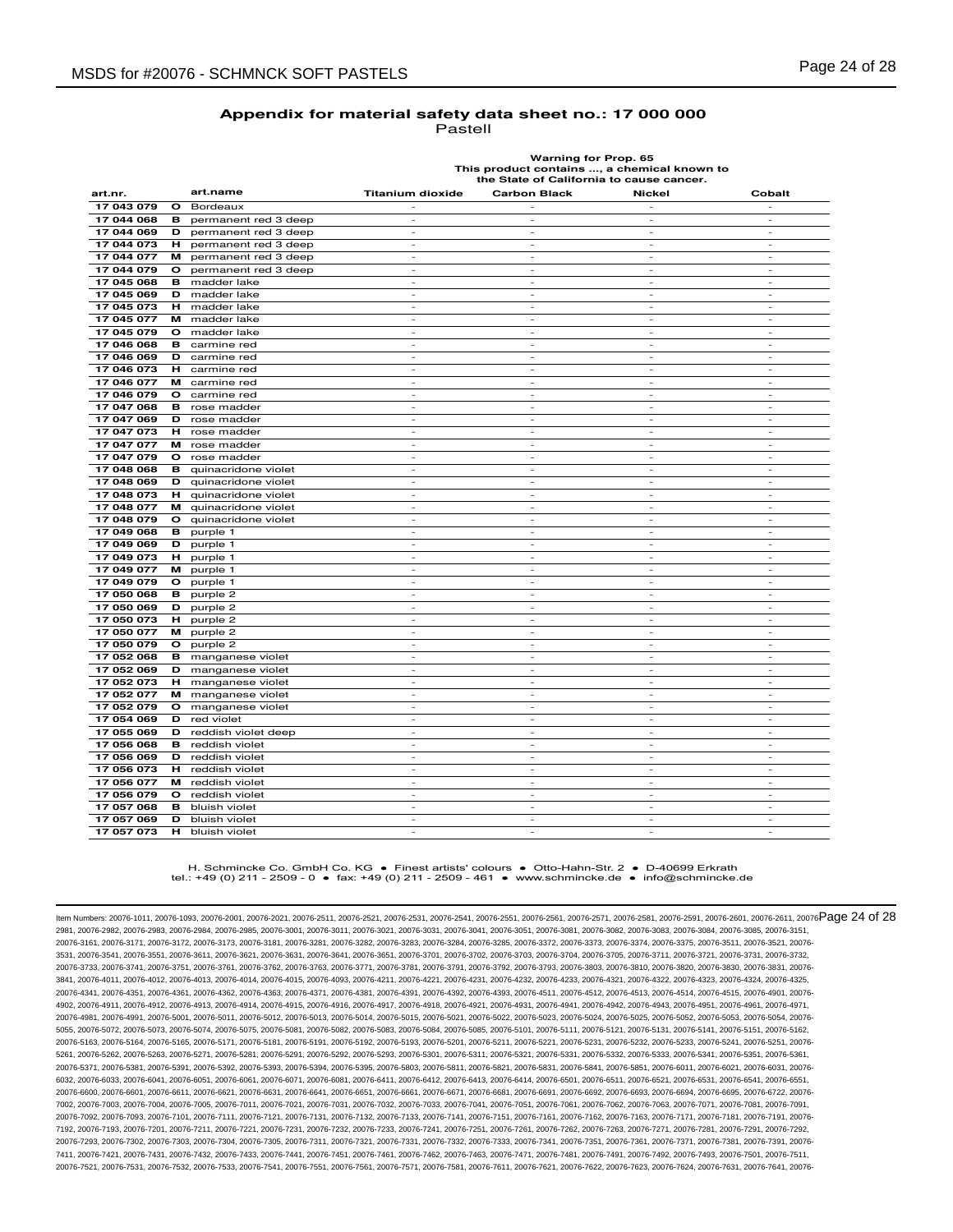**Warning for Prop. 65 This product contains ..., a chemical known to the State of California to cause cancer.**

| art.nr.    |         | art.name             | <b>Titanium dioxide</b>     | <b>Carbon Black</b>      | Nickel                   | Cobalt                   |
|------------|---------|----------------------|-----------------------------|--------------------------|--------------------------|--------------------------|
| 17 043 079 | o       | Bordeaux             |                             |                          | $\overline{\phantom{a}}$ | $\overline{\phantom{a}}$ |
| 17 044 068 | в       | permanent red 3 deep | $\overline{\phantom{a}}$    | $\overline{\phantom{a}}$ | $\sim$                   | $\overline{\phantom{a}}$ |
| 17 044 069 | D       | permanent red 3 deep | $\overline{\phantom{a}}$    | $\overline{\phantom{a}}$ | $\overline{\phantom{a}}$ | $\sim$                   |
| 17 044 073 | н       | permanent red 3 deep | $\overline{\phantom{a}}$    | ٠                        | $\overline{\phantom{a}}$ | $\overline{\phantom{a}}$ |
| 17 044 077 | м       | permanent red 3 deep | $\overline{\phantom{a}}$    | ٠                        | ٠                        | $\sim$                   |
| 17 044 079 | o       | permanent red 3 deep | $\mathcal{L}_{\mathcal{A}}$ | $\sim$                   | $\sim$                   | $\sim$                   |
| 17 045 068 | в       | madder lake          | $\overline{\phantom{a}}$    | $\overline{\phantom{a}}$ | $\sim$                   | $\sim$                   |
| 17 045 069 | D       | madder lake          | $\overline{\phantom{a}}$    | $\overline{\phantom{a}}$ | $\sim$                   | $\sim$                   |
| 17 045 073 | н       | madder lake          | $\overline{\phantom{a}}$    | $\sim$                   | $\overline{\phantom{a}}$ | $\sim$                   |
| 17 045 077 | м       | madder lake          | $\overline{\phantom{a}}$    | $\overline{\phantom{a}}$ | $\overline{\phantom{a}}$ | $\overline{\phantom{a}}$ |
| 17 045 079 | o       | madder lake          | $\overline{\phantom{a}}$    | $\overline{a}$           | $\overline{\phantom{a}}$ | $\overline{a}$           |
| 17 046 068 | в       | carmine red          | $\sim$                      | $\sim$                   | $\sim$                   | $\sim$                   |
| 17 046 069 | D       | carmine red          | $\sim$                      | $\sim$                   | $\sim$                   | $\sim$                   |
| 17 046 073 | н       | carmine red          | $\overline{\phantom{a}}$    | $\overline{\phantom{a}}$ | $\overline{\phantom{a}}$ | $\overline{\phantom{a}}$ |
| 17 046 077 | м       | carmine red          | $\sim$                      | $\sim$                   | $\sim$                   | $\overline{\phantom{a}}$ |
| 17 046 079 | o       | carmine red          | $\overline{\phantom{a}}$    | $\sim$                   | $\sim$                   | $\overline{\phantom{a}}$ |
| 17 047 068 | в       | rose madder          | $\overline{\phantom{a}}$    | $\sim$                   | $\overline{\phantom{a}}$ | $\overline{\phantom{a}}$ |
| 17 047 069 | D       | rose madder          | $\overline{a}$              |                          |                          |                          |
| 17 047 073 | н.      | rose madder          | ٠                           | ٠                        | $\sim$                   | $\sim$                   |
| 17 047 077 | м       | rose madder          | $\sim$                      | $\sim$                   | $\sim$                   | $\sim$                   |
| 17 047 079 | o       | rose madder          | $\overline{\phantom{a}}$    | $\overline{a}$           | $\overline{a}$           | $\overline{\phantom{a}}$ |
| 17 048 068 | в       | quinacridone violet  | $\sim$                      | $\overline{\phantom{a}}$ | $\sim$                   | $\sim$                   |
| 17 048 069 | D       | quinacridone violet  | $\overline{\phantom{a}}$    | $\sim$                   | $\sim$                   | $\overline{\phantom{a}}$ |
| 17 048 073 | н       | quinacridone violet  | $\overline{\phantom{a}}$    | $\overline{\phantom{a}}$ | $\overline{\phantom{a}}$ | $\overline{\phantom{a}}$ |
| 17 048 077 | м       | quinacridone violet  | $\overline{\phantom{a}}$    | $\overline{a}$           | $\overline{a}$           | $\overline{a}$           |
| 17 048 079 | o       | quinacridone violet  | ٠                           | $\overline{\phantom{a}}$ | $\sim$                   | $\overline{\phantom{a}}$ |
| 17 049 068 | в       | purple 1             | $\sim$                      | $\sim$                   | $\sim$                   | $\sim$                   |
| 17 049 069 | D       | purple 1             | $\overline{\phantom{a}}$    | $\overline{\phantom{a}}$ | $\overline{\phantom{a}}$ | $\overline{\phantom{a}}$ |
| 17 049 073 | н.      | purple 1             | $\sim$                      | $\sim$                   | $\sim$                   | $\sim$                   |
| 17 049 077 | м       | purple 1             | $\overline{\phantom{a}}$    | $\sim$                   | $\sim$                   | $\overline{\phantom{a}}$ |
| 17 049 079 | o       | purple 1             | $\overline{\phantom{a}}$    | $\overline{a}$           | $\overline{\phantom{a}}$ | $\overline{a}$           |
| 17 050 068 | в       | purple 2             | $\sim$                      | $\sim$                   | $\sim$                   | $\sim$                   |
| 17 050 069 | D       | purple 2             | ٠                           | ٠                        | $\sim$                   | $\sim$                   |
| 17 050 073 | н       | purple 2             | $\mathcal{L}_{\mathcal{A}}$ | $\sim$                   | $\sim$                   | $\sim$                   |
| 17 050 077 | м       | purple 2             | $\overline{\phantom{a}}$    | ٠                        | $\overline{\phantom{a}}$ | $\overline{\phantom{a}}$ |
| 17 050 079 | $\circ$ | purple 2             | $\sim$                      | $\sim$                   | $\sim$                   | $\sim$                   |
| 17 052 068 | в       | manganese violet     | ٠                           | $\overline{\phantom{a}}$ | $\overline{\phantom{a}}$ | $\sim$                   |
| 17 052 069 | D       | manganese violet     | $\overline{a}$              | $\overline{\phantom{m}}$ | $\overline{a}$           | $\overline{\phantom{a}}$ |
| 17 052 073 | н       | manganese violet     | $\sim$                      | ÷.                       | $\sim$                   | $\sim$                   |
| 17 052 077 | м       | manganese violet     | $\sim$                      | $\sim$                   | $\sim$                   | $\sim$                   |
| 17 052 079 | $\circ$ | manganese violet     | $\sim$                      | $\sim$                   | $\sim$                   | $\sim$                   |
| 17 054 069 | D       | red violet           | $\sim$                      | $\overline{\phantom{a}}$ | $\overline{\phantom{a}}$ | $\overline{\phantom{a}}$ |
| 17 055 069 | D       | reddish violet deep  | $\sim$                      | $\sim$                   | $\sim$                   | $\sim$                   |
| 17 056 068 | в       | reddish violet       | $\overline{\phantom{a}}$    | $\overline{\phantom{a}}$ | $\overline{\phantom{a}}$ | $\overline{\phantom{a}}$ |
| 17 056 069 | D       | reddish violet       | $\overline{\phantom{a}}$    | ä,                       | $\overline{\phantom{a}}$ | $\sim$                   |
| 17 056 073 | н       | reddish violet       | $\sim$                      | $\sim$                   | $\sim$                   | $\sim$                   |
| 17 056 077 | м       | reddish violet       | $\sim$                      | $\sim$                   | $\sim$                   | $\sim$                   |
| 17 056 079 | $\circ$ | reddish violet       | ٠                           | ٠                        | $\sim$                   | $\sim$                   |
| 17 057 068 | в       | bluish violet        | $\overline{\phantom{a}}$    | $\overline{\phantom{a}}$ | $\overline{\phantom{a}}$ | $\overline{\phantom{a}}$ |
| 17 057 069 | D       | bluish violet        | $\overline{\phantom{a}}$    | $\overline{\phantom{a}}$ | $\overline{\phantom{a}}$ | $\sim$                   |
| 17 057 073 | н       | bluish violet        |                             | ٠                        | $\overline{\phantom{a}}$ | $\overline{\phantom{a}}$ |

#### H. Schmincke Co. GmbH Co. KG ● Finest artists' colours ● Otto-Hahn-Str. 2 ● D-40699 Erkrath tel.: +49 (0) 211 - 2509 - 0 ● fax: +49 (0) 211 - 2509 - 461 ● www.schmincke.de ● info@schmincke.de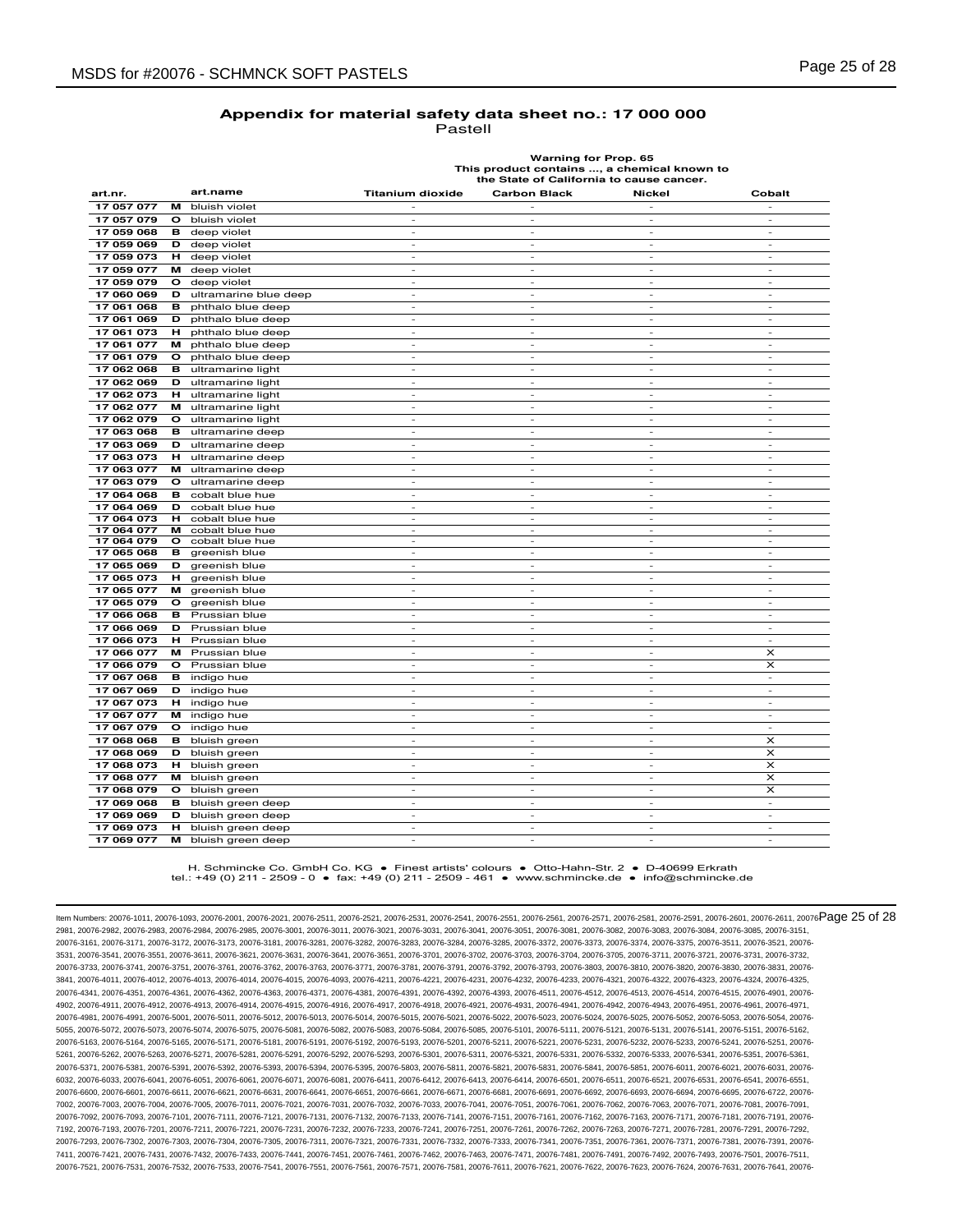|  | astell |  |  |
|--|--------|--|--|
|  |        |  |  |

**Warning for Prop. 65 This product contains ..., a chemical known to the State of California to cause cancer.**

| art.nr.    |         | art.name              | <b>Titanium dioxide</b>  | <b>Carbon Black</b>      | <b>Nickel</b>            | Cobalt                   |
|------------|---------|-----------------------|--------------------------|--------------------------|--------------------------|--------------------------|
| 17 057 077 | м       | bluish violet         |                          |                          |                          |                          |
| 17 057 079 | $\circ$ | bluish violet         |                          |                          |                          |                          |
| 17 059 068 | в       | deep violet           | $\overline{a}$           | ä,                       | $\overline{a}$           | $\sim$                   |
| 17 059 069 | D       | deep violet           | $\sim$                   | $\sim$                   | $\sim$                   | $\sim$                   |
| 17 059 073 | н       | deep violet           | $\overline{\phantom{a}}$ | ÷,                       | $\overline{\phantom{a}}$ | $\overline{\phantom{a}}$ |
| 17 059 077 | м       | deep violet           | $\overline{\phantom{a}}$ | $\overline{\phantom{a}}$ | $\sim$                   | $\sim$                   |
| 17 059 079 | o       | deep violet           | $\overline{\phantom{a}}$ | $\overline{\phantom{a}}$ | $\overline{\phantom{a}}$ | $\overline{\phantom{a}}$ |
| 17 060 069 | D       | ultramarine blue deep | $\overline{a}$           | ä,                       | ÷,                       | $\sim$                   |
| 17 061 068 | в       | phthalo blue deep     | $\overline{a}$           | $\overline{\phantom{a}}$ | $\sim$                   | $\sim$                   |
| 17 061 069 | D       | phthalo blue deep     | ×,                       | $\overline{\phantom{a}}$ | $\sim$                   | $\sim$                   |
| 17 061 073 | н       | phthalo blue deep     | $\overline{a}$           | $\frac{1}{2}$            | $\overline{\phantom{a}}$ | $\overline{\phantom{a}}$ |
| 17 061 077 | м       | phthalo blue deep     | $\overline{\phantom{a}}$ | $\overline{\phantom{a}}$ | $\overline{\phantom{a}}$ | $\overline{\phantom{a}}$ |
| 17 061 079 | O       | phthalo blue deep     | $\overline{\phantom{a}}$ | $\sim$                   | $\sim$                   | $\sim$                   |
| 17 062 068 | в       | ultramarine light     | $\overline{\phantom{m}}$ | $\overline{a}$           |                          | $\overline{\phantom{a}}$ |
| 17 062 069 | D       | ultramarine light     | $\overline{a}$           | ä,                       | $\sim$                   | $\sim$                   |
| 17 062 073 | н.      | ultramarine light     | $\overline{\phantom{a}}$ | $\overline{\phantom{a}}$ | $\overline{\phantom{a}}$ | $\overline{\phantom{a}}$ |
| 17 062 077 | м       | ultramarine light     | $\overline{\phantom{a}}$ | $\bar{\phantom{a}}$      | $\overline{\phantom{a}}$ | $\overline{\phantom{a}}$ |
| 17 062 079 | $\circ$ | ultramarine light     | $\overline{\phantom{a}}$ | $\sim$                   | $\overline{\phantom{a}}$ | $\overline{\phantom{a}}$ |
| 17 063 068 | в       | ultramarine deep      | $\overline{\phantom{a}}$ | $\overline{\phantom{a}}$ | $\overline{\phantom{a}}$ | $\overline{\phantom{a}}$ |
| 17 063 069 | D       | ultramarine deep      | $\overline{\phantom{a}}$ | $\overline{a}$           | $\overline{a}$           | $\overline{\phantom{a}}$ |
| 17 063 073 | н       | ultramarine deep      | $\overline{\phantom{a}}$ | $\sim$                   | $\sim$                   | $\sim$                   |
| 17 063 077 | м       | ultramarine deep      | ٠                        | $\overline{\phantom{a}}$ | $\overline{\phantom{a}}$ | $\overline{\phantom{a}}$ |
| 17 063 079 | $\circ$ | ultramarine deep      | $\overline{\phantom{a}}$ | $\overline{\phantom{a}}$ | $\overline{\phantom{a}}$ | $\overline{\phantom{a}}$ |
| 17 064 068 | в       | cobalt blue hue       | $\overline{\phantom{a}}$ | $\overline{\phantom{a}}$ | $\overline{\phantom{a}}$ | $\sim$                   |
| 17 064 069 | D       | cobalt blue hue       | $\overline{\phantom{a}}$ | $\overline{\phantom{a}}$ | $\overline{\phantom{a}}$ | $\overline{\phantom{a}}$ |
| 17 064 073 | н       | cobalt blue hue       | ٠                        | ٠                        | $\overline{\phantom{a}}$ | $\overline{\phantom{a}}$ |
| 17 064 077 | м       | cobalt blue hue       | $\overline{\phantom{m}}$ | $\overline{\phantom{m}}$ | $\overline{\phantom{a}}$ | $\overline{\phantom{a}}$ |
| 17 064 079 | o       | cobalt blue hue       | ÷.                       | ÷.                       | $\sim$                   | ÷.                       |
| 17 065 068 | в       | greenish blue         | $\overline{\phantom{a}}$ | $\bar{\phantom{a}}$      | $\overline{\phantom{a}}$ | $\overline{\phantom{a}}$ |
| 17 065 069 | D       | greenish blue         | $\overline{\phantom{a}}$ | $\overline{\phantom{a}}$ | $\overline{\phantom{a}}$ | $\sim$                   |
| 17 065 073 | н       | greenish blue         | $\overline{\phantom{a}}$ | $\overline{\phantom{a}}$ | $\overline{\phantom{a}}$ | $\overline{\phantom{a}}$ |
| 17 065 077 | м       | greenish blue         |                          | L,                       |                          | J.                       |
| 17 065 079 | o       | greenish blue         | $\overline{a}$           | ٠                        | $\sim$                   | $\sim$                   |
| 17 066 068 | в       | Prussian blue         | $\overline{\phantom{a}}$ | $\overline{\phantom{a}}$ | $\overline{\phantom{a}}$ | $\overline{\phantom{a}}$ |
| 17 066 069 | D       | Prussian blue         | $\overline{a}$           | $\overline{a}$           | $\overline{a}$           | $\overline{\phantom{a}}$ |
| 17 066 073 | н       | Prussian blue         | $\sim$                   | $\overline{\phantom{a}}$ | $\sim$                   | $\sim$                   |
| 17 066 077 | м       | Prussian blue         | ×,                       | $\overline{\phantom{a}}$ | $\overline{\phantom{a}}$ | $\times$                 |
| 17 066 079 | o       | Prussian blue         | $\overline{\phantom{a}}$ | $\overline{\phantom{0}}$ | $\overline{a}$           | ×                        |
| 17 067 068 | в       | indigo hue            | $\overline{a}$           | $\sim$                   | $\sim$                   | $\sim$                   |
| 17 067 069 | D       | indigo hue            | ٠                        | $\sim$                   | $\sim$                   | $\sim$                   |
| 17 067 073 | н       | indigo hue            | $\overline{\phantom{a}}$ | $\overline{\phantom{a}}$ | $\overline{\phantom{a}}$ | $\overline{\phantom{a}}$ |
| 17 067 077 | м       | indigo hue            | $\overline{\phantom{a}}$ | $\sim$                   | $\overline{\phantom{a}}$ | $\sim$                   |
| 17 067 079 | O       | indigo hue            | $\overline{\phantom{a}}$ | $\overline{\phantom{a}}$ | $\overline{\phantom{a}}$ | $\overline{\phantom{a}}$ |
| 17 068 068 | в       | bluish green          | $\overline{\phantom{a}}$ | $\overline{\phantom{0}}$ | $\overline{a}$           | $\times$                 |
| 17 068 069 | D       | bluish green          | ×,                       | $\overline{\phantom{a}}$ | $\sim$                   | $\times$                 |
| 17 068 073 | н       | bluish green          | ×,                       | ٠                        | $\sim$                   | $\times$                 |
| 17 068 077 | м       | bluish green          | $\overline{a}$           | $\overline{a}$           | L,                       | ×                        |
| 17 068 079 | o       | bluish green          | $\sim$                   | ٠                        | $\sim$                   | $\times$                 |
| 17 069 068 | в       | bluish green deep     | $\overline{\phantom{m}}$ | $\overline{\phantom{m}}$ | $\overline{\phantom{a}}$ | $\overline{\phantom{a}}$ |
| 17 069 069 | D       | bluish green deep     | $\overline{a}$           | L,                       |                          | ÷,                       |
| 17 069 073 | н       | bluish green deep     | $\sim$                   | $\sim$                   | $\overline{\phantom{a}}$ | $\overline{\phantom{a}}$ |
| 17 069 077 | м       | bluish green deep     | ٠                        | $\sim$                   | $\overline{a}$           | $\sim$                   |

H. Schmincke Co. GmbH Co. KG ● Finest artists' colours ● Otto-Hahn-Str. 2 ● D-40699 Erkrath tel.: +49 (0) 211 - 2509 - 0 ● fax: +49 (0) 211 - 2509 - 461 ● www.schmincke.de ● info@schmincke.de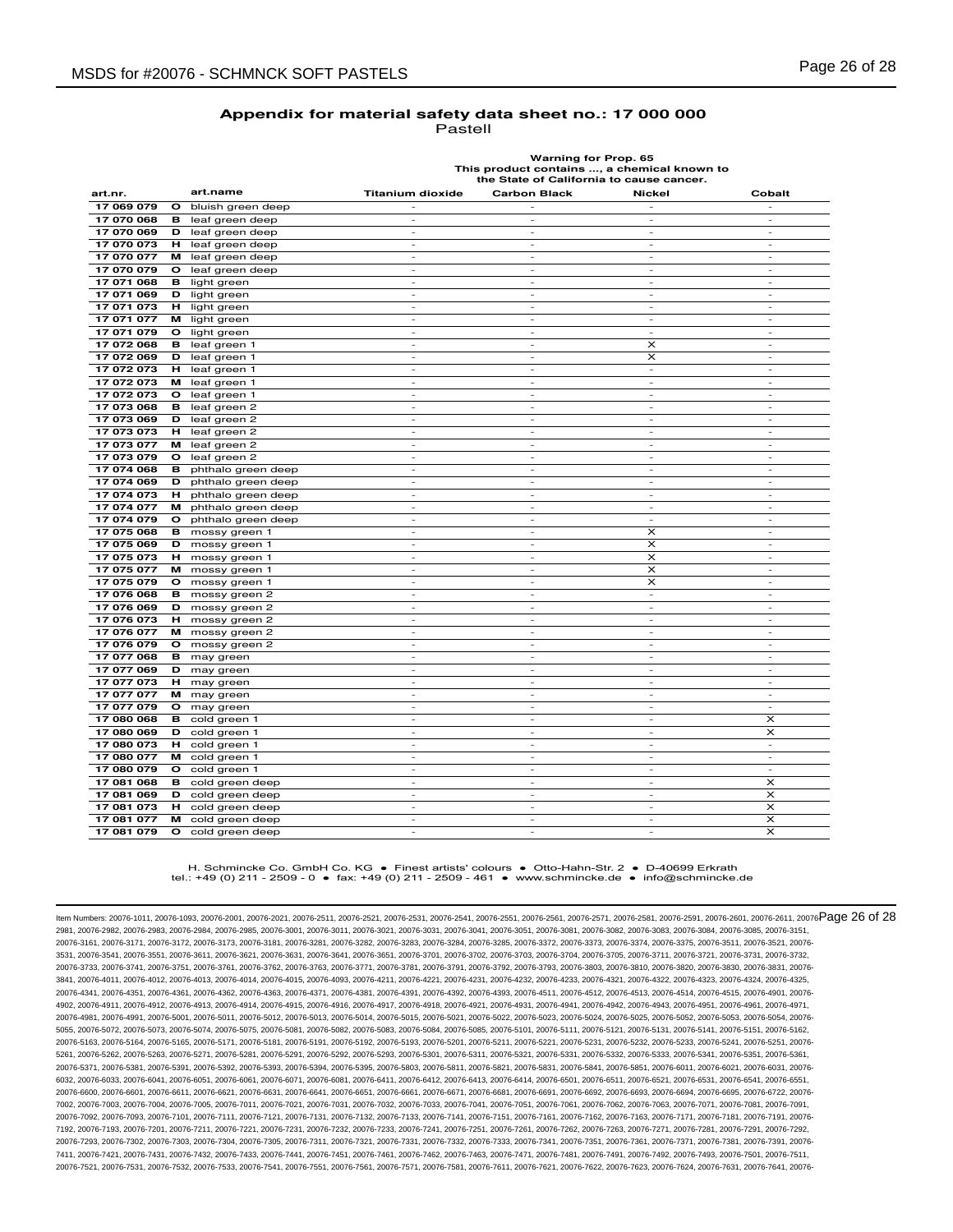# **Warning for Prop. 65 This product contains ..., a chemical known to the State of California to cause cancer.**

| art.nr.    | art.name                     | <b>Titanium dioxide</b>     | <b>Carbon Black</b>      | Nickel                   | Cobalt                   |
|------------|------------------------------|-----------------------------|--------------------------|--------------------------|--------------------------|
| 17 069 079 | $\circ$<br>bluish green deep |                             |                          |                          |                          |
| 17 070 068 | leaf green deep<br>в         | $\overline{\phantom{a}}$    | $\overline{a}$           | $\overline{\phantom{a}}$ | L,                       |
| 17 070 069 | leaf green deep<br>D         | $\overline{\phantom{a}}$    | $\sim$                   | $\sim$                   | $\sim$                   |
| 17 070 073 | н<br>leaf green deep         | $\overline{\phantom{a}}$    | ۰                        | $\sim$                   | $\sim$                   |
| 17 070 077 | leaf green deep<br>м         | $\overline{a}$              | $\overline{a}$           | $\overline{a}$           | L,                       |
| 17 070 079 | $\circ$<br>leaf green deep   | $\overline{\phantom{a}}$    | $\overline{\phantom{0}}$ | $\overline{\phantom{a}}$ | $\overline{\phantom{a}}$ |
| 17 071 068 | в<br>light green             | $\overline{\phantom{a}}$    | $\sim$                   | $\sim$                   | $\sim$                   |
| 17 071 069 | D<br>light green             | $\overline{\phantom{a}}$    | $\overline{\phantom{0}}$ | $\overline{\phantom{a}}$ | $\overline{\phantom{a}}$ |
| 17 071 073 | light green<br>н             | $\overline{\phantom{a}}$    | $\overline{\phantom{m}}$ | $\overline{\phantom{a}}$ | $\overline{\phantom{a}}$ |
| 17 071 077 | м<br>light green             | $\overline{\phantom{a}}$    | $\sim$                   | $\sim$                   | $\sim$                   |
| 17 071 079 | $\circ$<br>light green       | $\overline{\phantom{a}}$    | $\overline{\phantom{a}}$ | $\sim$                   | $\overline{\phantom{a}}$ |
| 17 072 068 | leaf green 1<br>в            | $\overline{a}$              | $\overline{a}$           | x                        | $\overline{a}$           |
| 17 072 069 | D<br>leaf green 1            | $\overline{\phantom{a}}$    | ÷.                       | x                        | $\sim$                   |
| 17 072 073 | leaf green 1<br>н            | $\sim$                      | $\sim$                   | $\sim$                   | $\sim$                   |
| 17 072 073 | leaf green 1<br>м            | $\overline{\phantom{a}}$    | $\bar{\phantom{a}}$      | $\overline{\phantom{a}}$ | $\overline{\phantom{a}}$ |
| 17 072 073 | leaf green 1<br>o            | ٠                           | ٠                        | $\sim$                   | $\overline{\phantom{a}}$ |
| 17 073 068 | leaf green 2<br>в            | $\sim$                      | $\sim$                   | $\sim$                   | $\sim$                   |
| 17 073 069 | D<br>leaf green 2            | $\overline{\phantom{a}}$    | $\overline{\phantom{a}}$ | $\sim$                   | $\overline{\phantom{a}}$ |
| 17 073 073 | leaf green 2<br>н            | $\overline{\phantom{a}}$    | $\overline{a}$           | $\overline{a}$           | $\overline{a}$           |
| 17 073 077 | leaf green 2<br>м            | ÷                           | ÷.                       | $\sim$                   | ÷.                       |
| 17 073 079 | leaf green 2<br>O            | $\overline{\phantom{a}}$    | ä,                       | $\sim$                   | $\sim$                   |
| 17 074 068 | phthalo green deep<br>в      | $\overline{\phantom{a}}$    | $\overline{\phantom{a}}$ | $\overline{\phantom{a}}$ | $\overline{\phantom{a}}$ |
| 17 074 069 | phthalo green deep<br>D      | $\overline{\phantom{a}}$    | $\overline{\phantom{a}}$ | $\sim$                   | $\overline{\phantom{a}}$ |
| 17 074 073 | phthalo green deep<br>н      | $\sim$                      | $\sim$                   | $\sim$                   | $\sim$                   |
| 17 074 077 | м<br>phthalo green deep      | $\overline{\phantom{a}}$    | $\overline{\phantom{a}}$ | $\overline{\phantom{a}}$ | $\overline{\phantom{a}}$ |
| 17 074 079 | phthalo green deep<br>o      | $\overline{\phantom{a}}$    | $\frac{1}{2}$            | $\overline{\phantom{a}}$ | $\overline{\phantom{a}}$ |
| 17 075 068 | в<br>mossy green 1           | $\mathcal{L}_{\mathcal{A}}$ | ÷.                       | x                        | $\sim$                   |
| 17 075 069 | D<br>mossy green 1           | ٠                           | ٠                        | x                        | $\overline{\phantom{a}}$ |
| 17 075 073 | н<br>mossy green 1           | $\overline{\phantom{a}}$    | $\overline{\phantom{a}}$ | x                        | $\sim$                   |
| 17 075 077 | м<br>mossy green 1           | $\overline{\phantom{a}}$    | $\overline{\phantom{a}}$ | $\times$                 | $\overline{\phantom{a}}$ |
| 17 075 079 | mossy green 1<br>O           | $\overline{\phantom{a}}$    | $\overline{\phantom{a}}$ | x                        | $\overline{\phantom{a}}$ |
| 17 076 068 | в<br>mossy green 2           |                             | $\overline{a}$           | $\overline{\phantom{a}}$ |                          |
| 17 076 069 | D<br>mossy green 2           | ٠                           | ٠                        | ٠                        | $\overline{\phantom{a}}$ |
| 17 076 073 | н<br>mossy green 2           | $\mathcal{L}_{\mathcal{A}}$ | $\sim$                   | $\sim$                   | $\sim$                   |
| 17 076 077 | mossy green 2<br>м           | ٠                           | ٠                        | $\sim$                   | $\overline{\phantom{a}}$ |
| 17 076 079 | mossy green 2<br>$\circ$     | $\overline{\phantom{a}}$    | $\overline{\phantom{a}}$ | $\overline{\phantom{a}}$ | $\overline{\phantom{a}}$ |
| 17 077 068 | may green<br>в               | $\overline{\phantom{a}}$    | $\sim$                   | $\sim$                   | $\overline{\phantom{a}}$ |
| 17 077 069 | D<br>may green               | $\overline{\phantom{a}}$    | $\overline{\phantom{a}}$ | $\overline{\phantom{a}}$ | $\overline{\phantom{a}}$ |
| 17 077 073 | н<br>may green               | $\overline{\phantom{a}}$    | $\overline{a}$           | $\overline{a}$           | $\overline{a}$           |
| 17 077 077 | м<br>may green               | $\sim$                      | ÷.                       | $\sim$                   | $\sim$                   |
| 17 077 079 | $\circ$<br>may green         | $\sim$                      | $\sim$                   | $\sim$                   | $\sim$                   |
| 17 080 068 | в<br>cold green 1            | $\overline{a}$              | $\overline{a}$           | $\overline{a}$           | $\times$                 |
| 17 080 069 | cold green 1<br>D            | $\overline{\phantom{a}}$    | $\overline{\phantom{a}}$ | $\sim$                   | $\times$                 |
| 17 080 073 | cold green 1<br>н            | $\overline{\phantom{a}}$    | $\sim$                   | $\sim$                   | $\sim$                   |
| 17 080 077 | cold green 1<br>м            | $\overline{\phantom{a}}$    | $\overline{\phantom{a}}$ | $\overline{\phantom{a}}$ | $\overline{\phantom{a}}$ |
| 17 080 079 | $\circ$<br>cold green 1      | $\overline{\phantom{m}}$    | $\overline{a}$           | $\overline{a}$           | L,                       |
| 17 081 068 | cold green deep<br>в         | ٠                           | ٠                        | $\sim$                   | $\times$                 |
| 17 081 069 | D<br>cold green deep         | $\sim$                      | $\sim$                   | $\sim$                   | $\times$                 |
| 17 081 073 | cold green deep<br>н         |                             | $\overline{a}$           | ÷,                       | $\times$                 |
| 17 081 077 | cold green deep<br>м         | $\sim$                      | $\sim$                   | $\sim$                   | $\times$                 |
| 17 081 079 | o<br>cold green deep         | $\overline{\phantom{a}}$    | ٠                        | $\overline{\phantom{a}}$ | $\times$                 |

H. Schmincke Co. GmbH Co. KG ● Finest artists' colours ● Otto-Hahn-Str. 2 ● D-40699 Erkrath tel.: +49 (0) 211 - 2509 - 0 ● fax: +49 (0) 211 - 2509 - 461 ● www.schmincke.de ● info@schmincke.de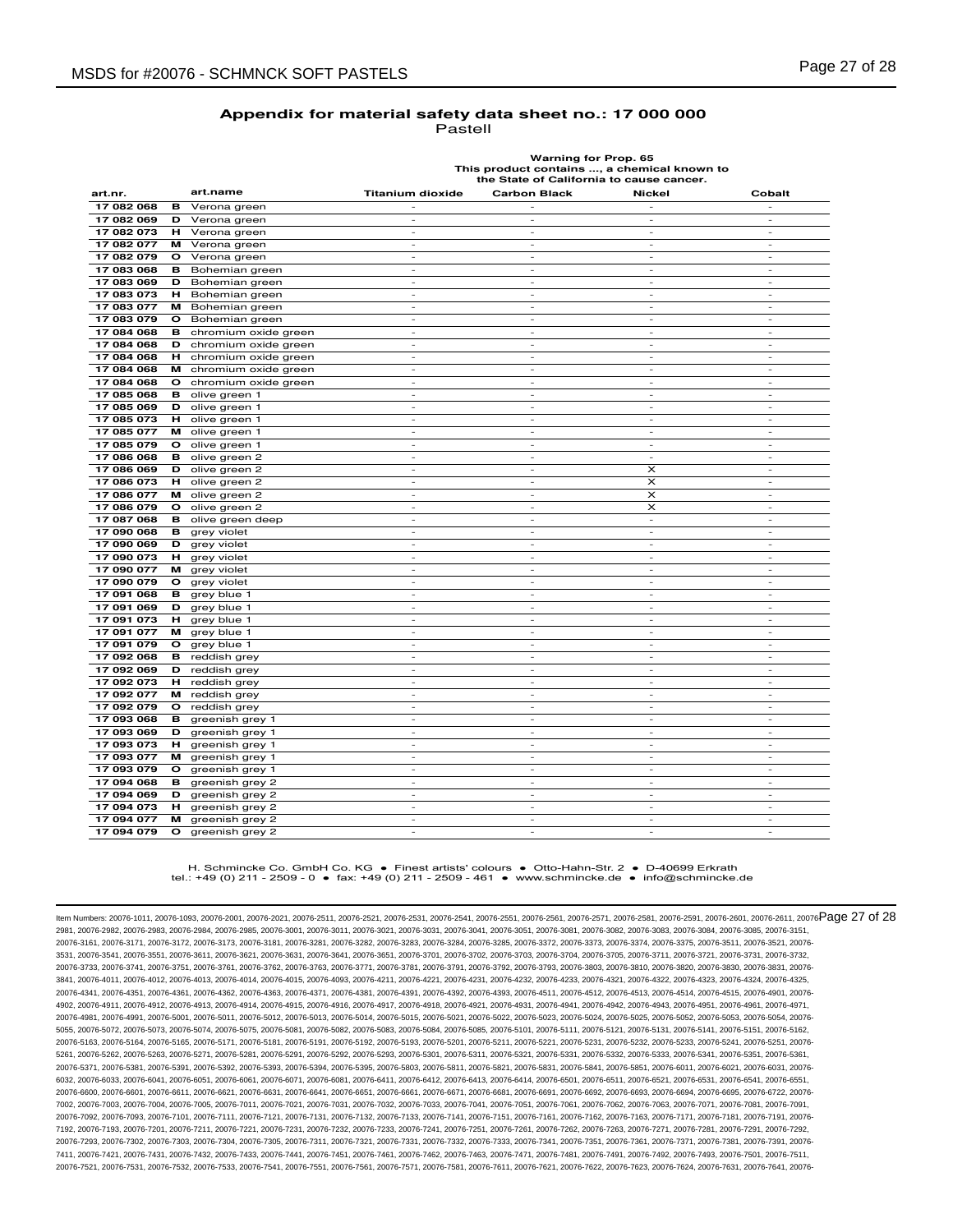| Warning for Prop. 65                        |
|---------------------------------------------|
| This product contains , a chemical known to |
| the State of California to cause cancer.    |

| art.nr.    |              | art.name             | <b>Titanium dioxide</b>     | <b>Carbon Black</b>      | <b>Nickel</b>            | Cobalt                       |
|------------|--------------|----------------------|-----------------------------|--------------------------|--------------------------|------------------------------|
| 17 082 068 | в            | Verona green         |                             |                          | $\overline{a}$           |                              |
| 17 082 069 | D            | Verona green         | $\overline{\phantom{a}}$    | $\overline{\phantom{a}}$ | ٠                        | $\overline{\phantom{a}}$     |
| 17 082 073 | н            | Verona green         | $\overline{\phantom{a}}$    | $\overline{\phantom{a}}$ | $\overline{\phantom{a}}$ | $\overline{\phantom{a}}$     |
| 17 082 077 | м            | Verona green         |                             |                          |                          |                              |
| 17 082 079 | $\circ$      | Verona green         | ٠                           | $\sim$                   | $\sim$                   | $\sim$                       |
| 17 083 068 | в            | Bohemian green       | $\sim$                      | $\sim$                   | $\sim$                   | $\overline{\phantom{a}}$     |
| 17 083 069 | D            | Bohemian green       | ٠                           | $\overline{a}$           | J.                       | L,                           |
| 17 083 073 | н            | Bohemian green       | $\sim$                      | $\sim$                   | $\sim$                   | $\sim$                       |
| 17 083 077 | м            | Bohemian green       | $\overline{\phantom{a}}$    | $\sim$                   | $\sim$                   | $\overline{\phantom{a}}$     |
| 17 083 079 | O            | Bohemian green       | $\overline{\phantom{m}}$    | $\overline{a}$           | L,                       | L,                           |
| 17 084 068 | в            | chromium oxide green | $\overline{\phantom{a}}$    | $\sim$                   | $\sim$                   | $\sim$                       |
| 17 084 068 | D            | chromium oxide green | ٠                           | $\sim$                   | $\overline{\phantom{a}}$ | $\overline{\phantom{a}}$     |
| 17 084 068 | н            | chromium oxide green | $\sim$                      | $\sim$                   | $\sim$                   | $\overline{\phantom{a}}$     |
| 17 084 068 | м            | chromium oxide green | ٠                           | $\overline{\phantom{a}}$ | $\overline{\phantom{a}}$ | $\overline{a}$               |
| 17 084 068 | $\mathbf{o}$ | chromium oxide green | $\sim$                      | $\sim$                   | $\sim$                   | $\overline{\phantom{a}}$     |
| 17 085 068 | в            | olive green 1        | ٠                           | $\overline{\phantom{a}}$ | $\overline{\phantom{a}}$ | $\overline{\phantom{a}}$     |
| 17 085 069 | D            | olive green 1        | $\overline{\phantom{a}}$    | $\overline{\phantom{m}}$ | $\overline{\phantom{a}}$ | $\frac{1}{2}$                |
| 17 085 073 | н            | olive green 1        | $\mathcal{L}_{\mathcal{A}}$ | $\sim$                   | $\sim$                   | $\sim$                       |
| 17 085 077 | м            | olive green 1        | $\overline{\phantom{a}}$    | $\sim$                   | $\overline{\phantom{a}}$ | $\overline{\phantom{a}}$     |
| 17 085 079 | o            | olive green 1        | $\overline{\phantom{a}}$    | $\overline{\phantom{a}}$ | $\overline{\phantom{a}}$ | $\frac{1}{2}$                |
| 17 086 068 | в            | olive green 2        | $\overline{\phantom{a}}$    | $\sim$                   | $\sim$                   | $\overline{\phantom{a}}$     |
| 17 086 069 | D            | olive green 2        | ٠                           | $\overline{\phantom{a}}$ | X                        | $\overline{\phantom{a}}$     |
| 17 086 073 | н            | olive green 2        | $\overline{\phantom{m}}$    | $\overline{\phantom{m}}$ | x                        | ÷                            |
| 17 086 077 | м            | olive green 2        | ٠                           | ٠                        | $\pmb{\times}$           | $\frac{1}{2}$                |
| 17 086 079 | $\circ$      | olive green 2        | $\sim$                      | $\sim$                   | $\times$                 | ÷.                           |
| 17 087 068 | в            | olive green deep     | $\overline{\phantom{m}}$    | $\overline{\phantom{a}}$ | $\overline{\phantom{a}}$ | $\overline{\phantom{a}}$     |
| 17 090 068 | в            | grey violet          | $\overline{\phantom{a}}$    | $\sim$                   | $\overline{\phantom{a}}$ | $\overline{\phantom{a}}$     |
| 17 090 069 | D            | grey violet          | ٠                           | $\sim$                   | $\sim$                   | $\overline{\phantom{a}}$     |
| 17 090 073 | н            | grey violet          | $\overline{\phantom{m}}$    | $\overline{a}$           | ÷                        | ÷                            |
| 17 090 077 | м            | grey violet          | ÷.                          | $\sim$                   | $\sim$                   | $\sim$                       |
| 17 090 079 | $\circ$      | grey violet          | $\sim$                      | $\sim$                   | $\sim$                   | $\overline{a}$               |
| 17 091 068 | в            | grey blue 1          | ٠                           | $\sim$                   | $\sim$                   | $\overline{\phantom{a}}$     |
| 17 091 069 | D            | grey blue 1          | $\overline{\phantom{a}}$    | $\sim$                   | $\overline{\phantom{a}}$ | $\overline{a}$               |
| 17 091 073 | н            | grey blue 1          | $\overline{\phantom{a}}$    | $\sim$                   | $\sim$                   | ٠                            |
| 17 091 077 | м            | grey blue 1          | $\overline{\phantom{a}}$    | $\overline{\phantom{a}}$ | $\overline{\phantom{a}}$ | $\overline{\phantom{a}}$     |
| 17 091 079 | o            | grey blue 1          | $\sim$                      | ٠                        | $\overline{\phantom{a}}$ | $\overline{\phantom{a}}$     |
| 17 092 068 | в            | reddish grey         | $\sim$                      | $\sim$                   | $\sim$                   | $\overline{\phantom{a}}$     |
| 17 092 069 | D            | reddish grey         | $\overline{\phantom{a}}$    | $\sim$                   | $\overline{\phantom{a}}$ | $\overline{\phantom{a}}$     |
| 17 092 073 | н            | reddish grey         | $\overline{\phantom{a}}$    | $\overline{\phantom{a}}$ | $\overline{\phantom{a}}$ | $\overline{\phantom{m}}$     |
| 17 092 077 | м            | reddish grey         | $\overline{\phantom{a}}$    | $\overline{\phantom{a}}$ | $\sim$                   | $\overline{\phantom{a}}$     |
| 17 092 079 | $\circ$      | reddish grey         | $\sim$                      | $\sim$                   | $\sim$                   | $\overline{\phantom{a}}$     |
| 17 093 068 | в            | greenish grey 1      | ٠                           | $\overline{a}$           | ÷,                       | ÷,                           |
| 17 093 069 | D            | greenish grey 1      | $\sim$                      | $\sim$                   | $\sim$                   | $\overline{a}$               |
| 17 093 073 | н            | greenish grey 1      | $\overline{\phantom{a}}$    | $\overline{\phantom{a}}$ | $\overline{\phantom{a}}$ | $\overline{\phantom{a}}$     |
| 17 093 077 | м            | greenish grey 1      | $\overline{\phantom{a}}$    | $\sim$                   | $\overline{\phantom{a}}$ | $\overline{\phantom{a}}$     |
| 17 093 079 | o            | greenish grey 1      | $\overline{\phantom{a}}$    | $\sim$                   | $\sim$                   | $\overline{\phantom{a}}$     |
| 17 094 068 | в            | greenish grey 2      | $\overline{\phantom{a}}$    | $\overline{\phantom{a}}$ | $\overline{\phantom{a}}$ | $\overline{\phantom{a}}$     |
| 17 094 069 | D            | greenish grey 2      | $\overline{\phantom{a}}$    | $\overline{\phantom{a}}$ | $\overline{\phantom{a}}$ | $\qquad \qquad \blacksquare$ |
| 17 094 073 | н            | greenish grey 2      | $\overline{\phantom{a}}$    | $\sim$                   | $\overline{\phantom{a}}$ | $\overline{\phantom{a}}$     |
| 17 094 077 | м            | greenish grey 2      | $\sim$                      | $\sim$                   | $\sim$                   | $\overline{a}$               |
| 17 094 079 | O            | greenish grey 2      | ٠                           | $\sim$                   | ٠                        | $\overline{\phantom{a}}$     |

#### H. Schmincke Co. GmbH Co. KG ● Finest artists' colours ● Otto-Hahn-Str. 2 ● D-40699 Erkrath tel.: +49 (0) 211 - 2509 - 0 ● fax: +49 (0) 211 - 2509 - 461 ● www.schmincke.de ● info@schmincke.de